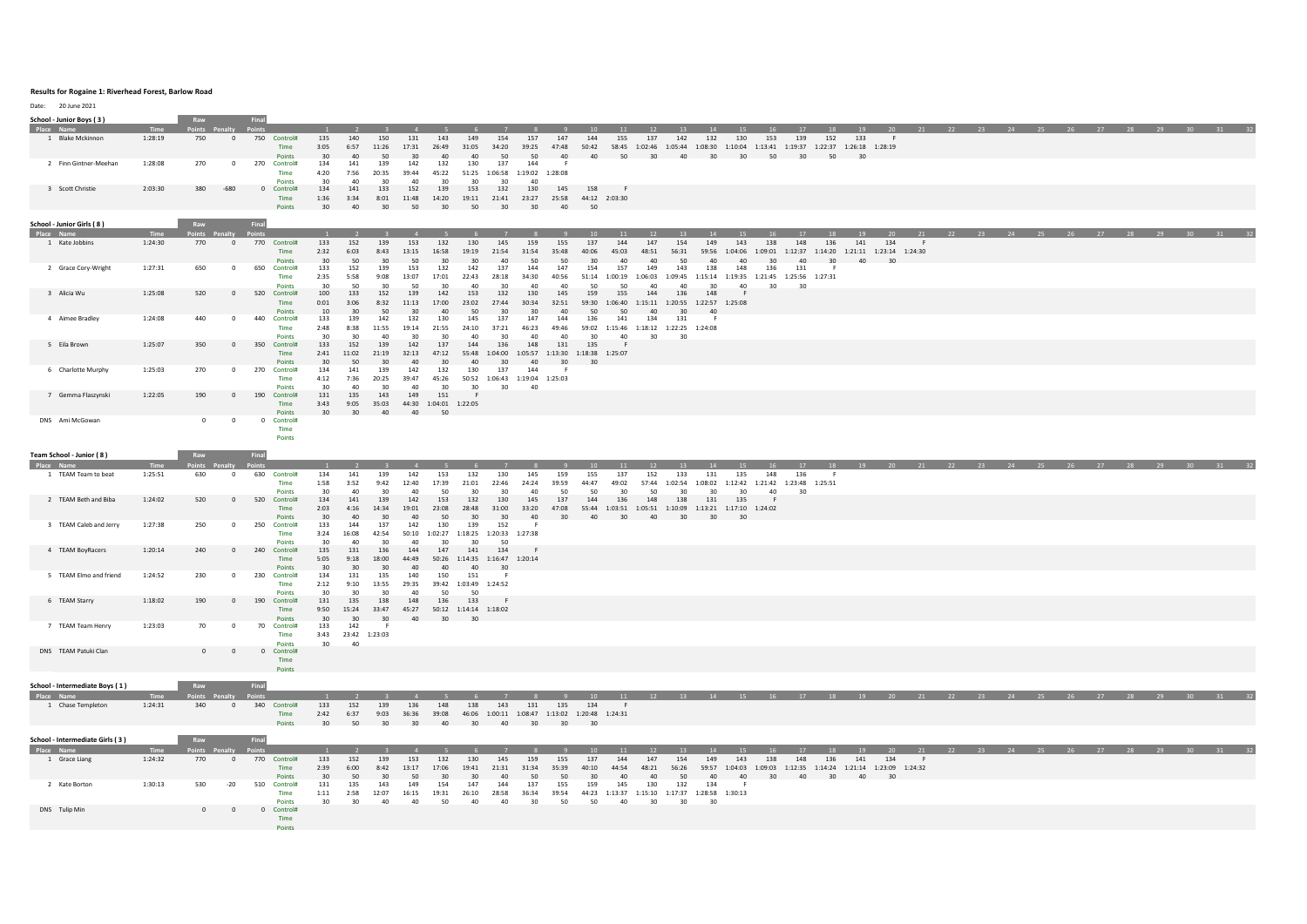## **Results for Rogaine 1: Riverhead Forest, Barlow Road**

Date: 20 June 2021

| Date.<br><b>CO JUNE 2021</b>    |         |                       |              |                                  |                      |                 |                 |              |                                       |                                             |                       |             |                                                                                               |                        |                                                                       |                                                               |               |     |     |                                                 |     |    |          |    |    |                                                                      |                  |  |
|---------------------------------|---------|-----------------------|--------------|----------------------------------|----------------------|-----------------|-----------------|--------------|---------------------------------------|---------------------------------------------|-----------------------|-------------|-----------------------------------------------------------------------------------------------|------------------------|-----------------------------------------------------------------------|---------------------------------------------------------------|---------------|-----|-----|-------------------------------------------------|-----|----|----------|----|----|----------------------------------------------------------------------|------------------|--|
| School - Junior Boys (3)        |         | Raw                   |              | Final                            |                      |                 |                 |              |                                       |                                             |                       |             |                                                                                               |                        |                                                                       |                                                               |               |     |     |                                                 |     |    |          |    |    |                                                                      |                  |  |
|                                 |         | vints Pe              |              |                                  |                      |                 |                 |              |                                       |                                             |                       |             |                                                                                               |                        |                                                                       |                                                               |               |     |     |                                                 |     |    |          |    |    | 27 28 29 30                                                          |                  |  |
| 1 Blake Mckinnon                | 1:28:19 | 750                   | $\mathbf{0}$ | 750 Control#                     | 135                  | 140             | 150             | 131          | 143                                   | 149<br>154                                  | 157                   | 147         | 144                                                                                           | 137<br>155             | 142                                                                   | 130<br>132                                                    | 153           | 139 | 152 | 133                                             |     |    |          |    |    |                                                                      |                  |  |
|                                 |         |                       |              | Time                             | 3:05                 | 6:57            | 11:26           | 17:31        | 26:49                                 | 31:05<br>34:20                              | 39:25                 | 47:48       | 50:42  58:45  1:02:46  1:05:44  1:08:30  1:10:04  1:13:41  1:19:37  1:22:37  1:26:18  1:28:19 |                        |                                                                       |                                                               |               |     |     |                                                 |     |    |          |    |    |                                                                      |                  |  |
|                                 |         |                       |              | Points                           | $30^{\circ}$         | 40              | 50              | 30           | 40                                    | 40<br>50                                    | 50                    | 40          | 40                                                                                            | 50<br>30               | 40                                                                    | 30 <sup>7</sup>                                               | $30 \quad 50$ | 30  | 50  | 30                                              |     |    |          |    |    |                                                                      |                  |  |
| 2 Finn Gintner-Meehan           | 1:28:08 | 270                   | $\mathbf{0}$ | 270<br>Control#                  | 134                  | 141             | 139             | 142          | 132                                   | 130<br>137                                  | 144                   |             |                                                                                               |                        |                                                                       |                                                               |               |     |     |                                                 |     |    |          |    |    |                                                                      |                  |  |
|                                 |         |                       |              | Time                             | 4:20                 | 7:56            | 20:35           | 39:44        | 45:22                                 | 51:25 1:06:58 1:19:02 1:28:08               |                       |             |                                                                                               |                        |                                                                       |                                                               |               |     |     |                                                 |     |    |          |    |    |                                                                      |                  |  |
| 3 Scott Christie                | 2:03:30 | 380                   | $-680$       | <b>Points</b><br>0 Control#      | 30<br>134            | 40<br>141       | 30<br>133       | 40<br>152    | 30<br>139                             | 30<br>153<br>132                            | 30<br>40<br>130       | 145         | 158                                                                                           |                        |                                                                       |                                                               |               |     |     |                                                 |     |    |          |    |    |                                                                      |                  |  |
|                                 |         |                       |              | Time                             | 1:36                 | 3:34            | 8:01            | 11:48        | 14:20                                 |                                             |                       |             | 19:11 21:41 23:27 25:58 44:12 2:03:30                                                         |                        |                                                                       |                                                               |               |     |     |                                                 |     |    |          |    |    |                                                                      |                  |  |
|                                 |         |                       |              | Points                           | 30                   | 40              | 30              | 50           | 30 50                                 | 30                                          | 30                    |             | 40 50                                                                                         |                        |                                                                       |                                                               |               |     |     |                                                 |     |    |          |    |    |                                                                      |                  |  |
|                                 |         |                       |              |                                  |                      |                 |                 |              |                                       |                                             |                       |             |                                                                                               |                        |                                                                       |                                                               |               |     |     |                                                 |     |    |          |    |    |                                                                      |                  |  |
| School - Junior Girls (8)       |         | Raw                   |              | Final                            |                      |                 |                 |              |                                       |                                             |                       |             |                                                                                               |                        |                                                                       |                                                               |               |     |     |                                                 |     |    |          |    |    |                                                                      |                  |  |
| Place Name                      | Time    | Points Penalty Points |              |                                  |                      |                 |                 |              |                                       |                                             |                       |             |                                                                                               | 11<br>12               |                                                                       |                                                               |               | 17  | 18  | 19                                              |     |    |          |    |    | 20 21 22 23 24 25 26 27 28 29 30 31 31                               |                  |  |
| 1 Kate Jobbins                  | 1:24:30 | 770                   | $\mathbf{0}$ | 770 Control#                     | 133                  | 152             | 139             | 153          | 132                                   | 130<br>145                                  | 159                   | 155         | 137                                                                                           | 147<br>144             | 154                                                                   | 149<br>143                                                    | 138           | 148 | 136 | 141<br>134                                      | - F |    |          |    |    |                                                                      |                  |  |
|                                 |         |                       |              | Time                             | 2:32                 | 6:03            | 8:43            | 13:15        | 16:58                                 | 19:19<br>21:54                              | 31:54                 | 35:48       | 40:06<br>45:03                                                                                | 48:51                  | 56:31                                                                 | 59:56 1:04:06                                                 |               |     |     | 1:09:01 1:12:37 1:14:20 1:21:11 1:23:14 1:24:30 |     |    |          |    |    |                                                                      |                  |  |
|                                 |         |                       |              | Points                           | 30                   | 50              | 30              | 50           | 30                                    | 30                                          | 40<br>50              | 50          | 30                                                                                            | 40<br>40               | 50                                                                    | 40<br>40                                                      | 30            | 40  | 30  | 40<br>30                                        |     |    |          |    |    |                                                                      |                  |  |
| 2 Grace Cory-Wright             | 1:27:31 | 650                   | $\mathbf{0}$ | 650<br>Control#                  | 133                  | 152             | 139             | 153          | 132                                   | 142<br>137                                  | 144                   | 147         | 154                                                                                           | 149<br>157             | 143                                                                   | 138<br>148                                                    | 136           | 131 |     |                                                 |     |    |          |    |    |                                                                      |                  |  |
|                                 |         |                       |              | Time                             | 2:35                 | 5:58            | 9:08            | 13:07        | 17:01                                 | 22:43<br>28:18                              | 34:30                 | 40:56       |                                                                                               |                        | 51:14 1:00:19 1:06:03 1:09:45 1:15:14 1:19:35 1:21:45 1:25:56 1:27:31 |                                                               |               |     |     |                                                 |     |    |          |    |    |                                                                      |                  |  |
| 3 Alicia Wu                     | 1:25:08 | 520                   | $\Omega$     | <b>Points</b><br>520<br>Control# | 30<br>100            | 50<br>133       | 30<br>152       | 50<br>139    | 30<br>142                             | 40<br>132<br>153                            | 30<br>40<br>130       | 40<br>145   | 50<br>159                                                                                     | 50<br>40<br>155<br>144 | 40<br>136                                                             | 30<br>40<br>148                                               | 30            | 30  |     |                                                 |     |    |          |    |    |                                                                      |                  |  |
|                                 |         |                       |              | Time                             | 0:01                 | 3:06            | 8:32            | 11:13        | 17:00                                 | 27:44<br>23:02                              | 30:34                 | 32:51       | 59:30  1:06:40  1:15:11  1:20:55  1:22:57  1:25:08                                            |                        |                                                                       |                                                               |               |     |     |                                                 |     |    |          |    |    |                                                                      |                  |  |
|                                 |         |                       |              | Points                           | 10 <sup>1</sup>      | 30 <sup>2</sup> | 50              | 30           | AD                                    | 50<br>30 <sup>2</sup>                       | 30 <sup>2</sup>       | 40          | 50                                                                                            | 50<br>40               | 30 <sup>1</sup>                                                       | 40                                                            |               |     |     |                                                 |     |    |          |    |    |                                                                      |                  |  |
| 4 Aimee Bradley                 | 1:24:08 | 440                   | $^{\circ}$   | 440<br>Control#                  | 133                  | 139             | 142             | 132          | 130                                   | 145                                         | 137<br>147            | 144         | 136                                                                                           | 141<br>134             | 131                                                                   | - 6                                                           |               |     |     |                                                 |     |    |          |    |    |                                                                      |                  |  |
|                                 |         |                       |              | Time                             | 2:48                 | 8:38            | 11:55           | 19:14        | 21:55                                 | 24:10<br>37:21                              | 46:23                 | 49:46       |                                                                                               |                        | 59:02 1:15:46 1:18:12 1:22:25 1:24:08                                 |                                                               |               |     |     |                                                 |     |    |          |    |    |                                                                      |                  |  |
|                                 |         |                       |              | <b>Points</b>                    | 30                   | 30              | 40              | 30           | 30                                    | 40                                          | 30<br>40              | 40          | 30                                                                                            | 40<br>30               | 30                                                                    |                                                               |               |     |     |                                                 |     |    |          |    |    |                                                                      |                  |  |
| 5 Eila Brown                    | 1:25:07 | 350                   | $\circ$      | 350 Control#                     | 133                  | 152             | 139             | 142          | 137                                   | 144<br>136                                  | 148                   | 131         | 135                                                                                           |                        |                                                                       |                                                               |               |     |     |                                                 |     |    |          |    |    |                                                                      |                  |  |
|                                 |         |                       |              | Time                             | 2:41                 | 11:02           | 21:19           | 32:13        | 47:12                                 | 55:48 1:04:00                               | 1:05:57               |             | 1:13:30  1:18:38  1:25:07                                                                     |                        |                                                                       |                                                               |               |     |     |                                                 |     |    |          |    |    |                                                                      |                  |  |
| 6 Charlotte Murphy              |         |                       | $\Omega$     | Points                           | 30 <sup>2</sup>      | 50              | 30 <sup>2</sup> | 40           | 30                                    | 40<br>30 <sup>2</sup>                       | $\Delta$ 0<br>144     | 30<br>- 6   | 30                                                                                            |                        |                                                                       |                                                               |               |     |     |                                                 |     |    |          |    |    |                                                                      |                  |  |
|                                 | 1:25:03 | 270                   |              | 270<br>Control#<br>Time          | 134<br>4:12          | 141             | 139             | 142<br>39:47 | 132                                   | 130<br>137<br>50:52 1:06:43 1:19:04 1:25:03 |                       |             |                                                                                               |                        |                                                                       |                                                               |               |     |     |                                                 |     |    |          |    |    |                                                                      |                  |  |
|                                 |         |                       |              | Points                           | 30                   | 7:36<br>40      | 20:25<br>30     | 40           | 45:26<br>30                           | 30                                          | 30<br>40              |             |                                                                                               |                        |                                                                       |                                                               |               |     |     |                                                 |     |    |          |    |    |                                                                      |                  |  |
| 7 Gemma Flaszynski              | 1:22:05 | 190                   | $\Omega$     | 190<br>Control#                  | 131                  | 135             | 143             | 149          | 151                                   | - F                                         |                       |             |                                                                                               |                        |                                                                       |                                                               |               |     |     |                                                 |     |    |          |    |    |                                                                      |                  |  |
|                                 |         |                       |              | Time                             | 3:43                 | 9:05            | 35:03           |              | 44:30 1:04:01 1:22:05                 |                                             |                       |             |                                                                                               |                        |                                                                       |                                                               |               |     |     |                                                 |     |    |          |    |    |                                                                      |                  |  |
|                                 |         |                       |              | Points                           | 30 <sup>2</sup>      | 30 <sup>2</sup> |                 | 40 40 50     |                                       |                                             |                       |             |                                                                                               |                        |                                                                       |                                                               |               |     |     |                                                 |     |    |          |    |    |                                                                      |                  |  |
| DNS Ami McGowan                 |         | $\overline{0}$        | $\Omega$     | 0 Control#                       |                      |                 |                 |              |                                       |                                             |                       |             |                                                                                               |                        |                                                                       |                                                               |               |     |     |                                                 |     |    |          |    |    |                                                                      |                  |  |
|                                 |         |                       |              | Time                             |                      |                 |                 |              |                                       |                                             |                       |             |                                                                                               |                        |                                                                       |                                                               |               |     |     |                                                 |     |    |          |    |    |                                                                      |                  |  |
|                                 |         |                       |              | Points                           |                      |                 |                 |              |                                       |                                             |                       |             |                                                                                               |                        |                                                                       |                                                               |               |     |     |                                                 |     |    |          |    |    |                                                                      |                  |  |
|                                 |         |                       |              |                                  |                      |                 |                 |              |                                       |                                             |                       |             |                                                                                               |                        |                                                                       |                                                               |               |     |     |                                                 |     |    |          |    |    |                                                                      |                  |  |
| Team School - Junior (8)        |         | Raw                   |              | Final                            |                      |                 |                 |              |                                       |                                             |                       |             |                                                                                               |                        |                                                                       |                                                               |               |     |     |                                                 |     |    |          |    |    |                                                                      |                  |  |
| Place Name                      |         | nts Per               |              |                                  | 134                  |                 |                 |              |                                       |                                             |                       |             |                                                                                               | 11<br>12               | 13                                                                    | 14<br>15                                                      | - 16 -        | 17  | 18  |                                                 |     |    |          |    |    |                                                                      |                  |  |
| 1 TEAM Team to beat             | 1:25:51 | 630                   | $\mathbf 0$  | 630 Control#                     |                      |                 |                 |              |                                       |                                             |                       |             |                                                                                               |                        |                                                                       |                                                               |               |     |     |                                                 |     |    |          |    |    |                                                                      |                  |  |
|                                 |         |                       |              |                                  |                      | 141             | 139             | 142          | 153                                   | 132<br>130                                  | 145                   | 159         | 155                                                                                           | 137<br>152             | 133                                                                   | 131<br>135                                                    | 148           | 136 |     |                                                 |     |    |          |    |    |                                                                      |                  |  |
|                                 |         |                       |              | Time                             | 1:58                 | 3:52            | 9:42            | 12:40        | 17:39                                 | 21:01<br>22:46                              | 24:24                 | 39:59       | 49:02<br>44:47                                                                                |                        | 57:44 1:02:54 1:08:02 1:12:42 1:21:42 1:23:48 1:25:51                 |                                                               |               |     |     |                                                 |     |    |          |    |    |                                                                      |                  |  |
|                                 |         |                       |              | Points                           | 30                   | 40              | 30              | 40           | 50                                    | 30                                          | 30 <sub>o</sub><br>40 | 50          | 50                                                                                            | 50<br>30               | 30                                                                    | 30<br>30                                                      | 40            | 30  |     |                                                 |     |    |          |    |    |                                                                      |                  |  |
| 2 TEAM Beth and Biba            | 1:24:02 | 520                   | $\circ$      | 520 Control#                     | 134                  | 141             | 139             | 142          | 153                                   | 130<br>132                                  | 145                   | 137         | 144                                                                                           | 148<br>136             | 138                                                                   | 131<br>135                                                    | - F           |     |     |                                                 |     |    |          |    |    |                                                                      |                  |  |
|                                 |         |                       |              | Time<br><b>Points</b>            | 2:03<br>$30^{\circ}$ | 4:16<br>40      | 14:34<br>30     | 19:01<br>40  | 23:08<br>50                           | 28:48<br>31:00<br>$30^{\circ}$<br>30        | 33:20<br>40           | 47:08<br>30 | 55:44   1:03:51   1:05:51   1:10:09   1:13:21   1:17:10   1:24:02<br>40 30                    | 40 30                  |                                                                       | 30<br>$30^{\circ}$                                            |               |     |     |                                                 |     |    |          |    |    |                                                                      |                  |  |
| 3 TEAM Caleb and Jerry          | 1:27:38 | 250                   | $\mathbf{0}$ | 250<br>Control#                  | 133                  | 144             | 137             | 142          | 130                                   | 139<br>152                                  | - F                   |             |                                                                                               |                        |                                                                       |                                                               |               |     |     |                                                 |     |    |          |    |    |                                                                      |                  |  |
|                                 |         |                       |              | Time                             | 3:24                 | 16:08           | 42:54           |              | 50:10 1:02:27 1:18:25 1:20:33 1:27:38 |                                             |                       |             |                                                                                               |                        |                                                                       |                                                               |               |     |     |                                                 |     |    |          |    |    |                                                                      |                  |  |
|                                 |         |                       |              | Points                           | 30                   | 40              | 30              | 40           | 30                                    | 30                                          | 50                    |             |                                                                                               |                        |                                                                       |                                                               |               |     |     |                                                 |     |    |          |    |    |                                                                      |                  |  |
| 4 TEAM BoyRacers                | 1:20:14 | 240                   | $\Omega$     | 240<br>Control#                  | 135                  | 131             | 136             | 144          | 147                                   | 141<br>134                                  |                       |             |                                                                                               |                        |                                                                       |                                                               |               |     |     |                                                 |     |    |          |    |    |                                                                      |                  |  |
|                                 |         |                       |              | Time                             | 5:05                 | 9:18            | 18:00           | 44:49        |                                       | 50:26 1:14:35 1:16:47 1:20:14               |                       |             |                                                                                               |                        |                                                                       |                                                               |               |     |     |                                                 |     |    |          |    |    |                                                                      |                  |  |
|                                 |         |                       |              | Points                           | $30^{\circ}$         | $30^{\circ}$    | 30 <sup>2</sup> | 40           | 40                                    | 40<br>30                                    | - 6                   |             |                                                                                               |                        |                                                                       |                                                               |               |     |     |                                                 |     |    |          |    |    |                                                                      |                  |  |
| 5 TEAM Elmo and friend          | 1:24:52 | 230                   | $\Omega$     | 230<br>Control#                  | 134                  | 131             | 135             | 140          | 150                                   | 151                                         |                       |             |                                                                                               |                        |                                                                       |                                                               |               |     |     |                                                 |     |    |          |    |    |                                                                      |                  |  |
|                                 |         |                       |              | Time                             | 2:12                 | 9:10            | 13:55           | 29:35        | 50                                    | 39:42 1:03:49 1:24:52<br>50                 |                       |             |                                                                                               |                        |                                                                       |                                                               |               |     |     |                                                 |     |    |          |    |    |                                                                      |                  |  |
| 6 TEAM Starry                   | 1:18:02 | 190                   | $\mathbf{0}$ | Points<br>190<br>Control#        | 30<br>131            | 30<br>135       | 30<br>138       | 40<br>148    | 136                                   | 133                                         |                       |             |                                                                                               |                        |                                                                       |                                                               |               |     |     |                                                 |     |    |          |    |    |                                                                      |                  |  |
|                                 |         |                       |              | Time                             | 9:50                 | 15:24           | 33:47           | 45:27        |                                       |                                             |                       |             |                                                                                               |                        |                                                                       |                                                               |               |     |     |                                                 |     |    |          |    |    |                                                                      |                  |  |
|                                 |         |                       |              | <b>Points</b>                    | 30                   | $30^{\circ}$    | 30 <sup>2</sup> | 40           | 30 <sup>1</sup>                       | 50:12 1:14:14 1:18:02<br>30                 |                       |             |                                                                                               |                        |                                                                       |                                                               |               |     |     |                                                 |     |    |          |    |    |                                                                      |                  |  |
| 7 TEAM Team Henry               | 1:23:03 | 70                    | $\mathbf{0}$ | 70 Control#                      | 133                  | 142             |                 |              |                                       |                                             |                       |             |                                                                                               |                        |                                                                       |                                                               |               |     |     |                                                 |     |    |          |    |    |                                                                      |                  |  |
|                                 |         |                       |              | Time                             | 3:43                 | 23:42 1:23:03   |                 |              |                                       |                                             |                       |             |                                                                                               |                        |                                                                       |                                                               |               |     |     |                                                 |     |    |          |    |    |                                                                      |                  |  |
|                                 |         |                       |              | Points                           | 30                   | 40              |                 |              |                                       |                                             |                       |             |                                                                                               |                        |                                                                       |                                                               |               |     |     |                                                 |     |    |          |    |    |                                                                      |                  |  |
| DNS TEAM Patuki Clan            |         | $\overline{0}$        | $\circ$      | 0 Control#                       |                      |                 |                 |              |                                       |                                             |                       |             |                                                                                               |                        |                                                                       |                                                               |               |     |     |                                                 |     |    |          |    |    |                                                                      |                  |  |
|                                 |         |                       |              | Time                             |                      |                 |                 |              |                                       |                                             |                       |             |                                                                                               |                        |                                                                       |                                                               |               |     |     |                                                 |     |    |          |    |    |                                                                      |                  |  |
|                                 |         |                       |              | Points                           |                      |                 |                 |              |                                       |                                             |                       |             |                                                                                               |                        |                                                                       |                                                               |               |     |     |                                                 |     |    |          |    |    |                                                                      |                  |  |
|                                 |         | Raw                   |              | Final                            |                      |                 |                 |              |                                       |                                             |                       |             |                                                                                               |                        |                                                                       |                                                               |               |     |     |                                                 |     |    |          |    |    |                                                                      |                  |  |
| School - Intermediate Boys (1)  |         |                       |              |                                  | $\overline{1}$       |                 |                 |              |                                       |                                             |                       | -9.         |                                                                                               |                        |                                                                       |                                                               |               |     |     |                                                 |     |    |          |    |    |                                                                      |                  |  |
| Place Name<br>1 Chase Templeton | Time    | Points Penalty Po     | $\mathbf{0}$ |                                  |                      |                 |                 |              |                                       |                                             |                       |             |                                                                                               | F                      |                                                                       |                                                               |               |     |     |                                                 |     |    |          |    |    | 10 11 12 13 14 15 16 17 18 19 20 21 22 23 24 25 26 27 28 29 30 31 3. |                  |  |
|                                 | 1:24:31 | 340                   |              | 340 Control#<br>Time             | 133<br>2:42          | 152<br>6:37     | 139<br>9:03     | 136<br>36:36 | 148<br>39:08                          | 138<br>143                                  | 131                   | 135         | 134<br>46:06 1:00:11 1:08:47 1:13:02 1:20:48 1:24:31                                          |                        |                                                                       |                                                               |               |     |     |                                                 |     |    |          |    |    |                                                                      |                  |  |
|                                 |         |                       |              | Points                           |                      |                 |                 |              | 30 50 30 30 40 30 40 30 30            |                                             |                       |             | 30                                                                                            |                        |                                                                       |                                                               |               |     |     |                                                 |     |    |          |    |    |                                                                      |                  |  |
|                                 |         |                       |              |                                  |                      |                 |                 |              |                                       |                                             |                       |             |                                                                                               |                        |                                                                       |                                                               |               |     |     |                                                 |     |    |          |    |    |                                                                      |                  |  |
| School - Intermediate Girls (3) |         | Raw                   |              | Final                            |                      |                 |                 |              |                                       |                                             |                       |             |                                                                                               |                        |                                                                       |                                                               |               |     |     |                                                 |     |    |          |    |    |                                                                      |                  |  |
| Place Name                      | Time    |                       |              |                                  |                      |                 |                 |              |                                       |                                             |                       |             |                                                                                               | 11<br>12               |                                                                       |                                                               |               |     |     |                                                 | 21  | 22 | 23<br>24 | 25 | 27 | 28                                                                   | $29 \t 30 \t 31$ |  |
| 1 Grace Liang                   | 1:24:32 | 770                   | $\mathbf{0}$ | 770 Control#                     | 133                  | 152             | 139             | 153          | 132                                   | 130<br>145                                  | 159                   | 155         | 137                                                                                           | 144<br>147             | 154                                                                   | 149<br>143                                                    | 138           | 148 | 136 | 141<br>134                                      | - F |    |          |    |    |                                                                      |                  |  |
|                                 |         |                       |              | Time                             | 2:39                 | 6:00            | 8:42            | 13:17        | 17:06                                 | 19:41<br>21:31                              | 31:34                 | 35:39       | 40:10<br>44:54                                                                                | 48:21                  | 56:26                                                                 | 59:57 1:04:03 1:09:03 1:12:35 1:14:24 1:21:14 1:23:09 1:24:32 |               |     |     |                                                 |     |    |          |    |    |                                                                      |                  |  |
|                                 |         |                       |              | <b>Points</b>                    | $30^{\circ}$         | 50              | $30^{\circ}$    | 50           | 30                                    | $30^{\circ}$<br>40                          | 50                    | 50          | $30^{\circ}$                                                                                  | 40<br>40               | 50                                                                    | 40<br>40                                                      | $30^{\circ}$  | 40  | 30  | 40<br>30                                        |     |    |          |    |    |                                                                      |                  |  |
| 2 Kate Borton                   | 1:30:13 | 530                   | $-20$        | 510<br>Control#                  | 131                  | 135             | 143             | 149          | 154                                   | 147<br>144                                  | 137                   | 155         | 159                                                                                           | 145<br>130             | 132                                                                   | 134                                                           |               |     |     |                                                 |     |    |          |    |    |                                                                      |                  |  |
|                                 |         |                       |              | Time                             | 1:11                 | 2:58            | 12:07           | 16:15        | 19:31                                 | 26:10<br>28:58                              | 36:34                 | 39:54       | 44:23  1:13:37  1:15:10  1:17:37  1:28:58  1:30:13                                            |                        |                                                                       |                                                               |               |     |     |                                                 |     |    |          |    |    |                                                                      |                  |  |
|                                 |         |                       | $\mathbf{0}$ | Points                           | 30                   | 30              | 40              | 40           | 50                                    | 40                                          | 40<br>30              | 50          | 50                                                                                            | 40<br>30 <sub>o</sub>  | 30                                                                    | 30                                                            |               |     |     |                                                 |     |    |          |    |    |                                                                      |                  |  |
| DNS Tulip Min                   |         | $\overline{0}$        |              | 0 Control#                       |                      |                 |                 |              |                                       |                                             |                       |             |                                                                                               |                        |                                                                       |                                                               |               |     |     |                                                 |     |    |          |    |    |                                                                      |                  |  |
|                                 |         |                       |              | Time<br>Points                   |                      |                 |                 |              |                                       |                                             |                       |             |                                                                                               |                        |                                                                       |                                                               |               |     |     |                                                 |     |    |          |    |    |                                                                      |                  |  |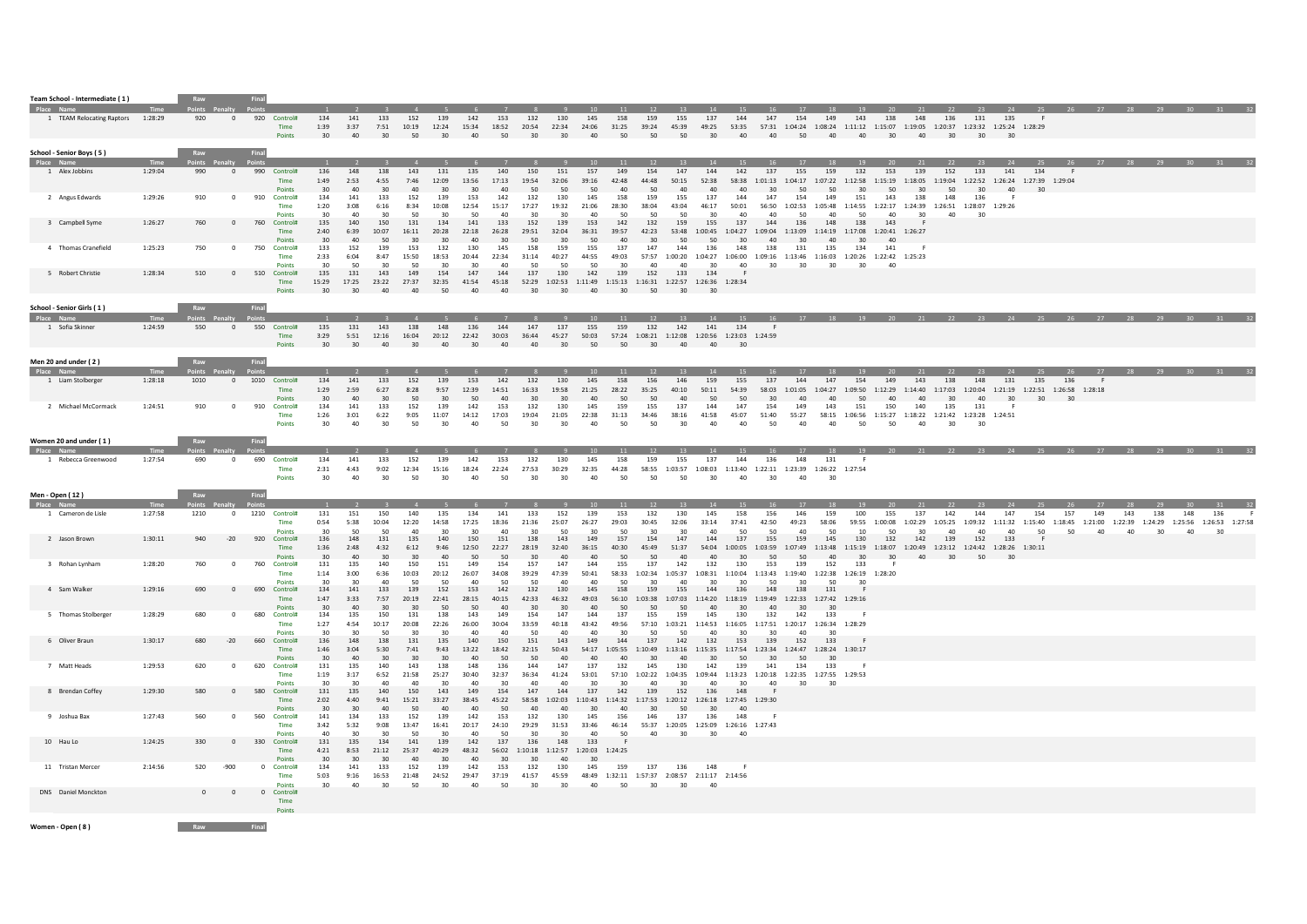| Team School - Intermediate (1)                           |                 |                   |                         |                                             |                                   |                                |                                   |                              |                                       |                                 |                            |                                      |                                 |                                                 |                                                                                      |                               |                                    |                                |                                                                   |                                    |                                                                                                                                  |                              |                                                                          |                      |                                 |                           |                                       |              |             |                                                |       |          | 29                                                                                           |                 |       |
|----------------------------------------------------------|-----------------|-------------------|-------------------------|---------------------------------------------|-----------------------------------|--------------------------------|-----------------------------------|------------------------------|---------------------------------------|---------------------------------|----------------------------|--------------------------------------|---------------------------------|-------------------------------------------------|--------------------------------------------------------------------------------------|-------------------------------|------------------------------------|--------------------------------|-------------------------------------------------------------------|------------------------------------|----------------------------------------------------------------------------------------------------------------------------------|------------------------------|--------------------------------------------------------------------------|----------------------|---------------------------------|---------------------------|---------------------------------------|--------------|-------------|------------------------------------------------|-------|----------|----------------------------------------------------------------------------------------------|-----------------|-------|
| 1 TEAM Relocating Raptors                                | 1:28:29         | 920               | $\mathbf{0}$            | 920 Control#<br>Time<br>Points              | 134<br>1:39<br>30                 | 141<br>3:37<br>40              | 133<br>7:51<br>$30^{\circ}$       | 152<br>10:19 12:24<br>50     | 139<br>30 <sup>2</sup>                | 142<br>15:34<br>40              | 153<br>18:52<br>50         | 132<br>20:54<br>30 <sup>2</sup>      | 130<br>22:34<br>30 <sup>1</sup> | 145<br>24:06<br>40                              | 158<br>31:25<br>50                                                                   | 159<br>39:24<br>50            | 155<br>45:39<br>50                 | 137<br>30 <sup>2</sup>         | 144                                                               | 147                                | <sup>17</sup><br>154<br>49:25 53:35 57:31 1:04:24 1:08:24 1:11:12 1:15:07 1:19:05 1:20:37 1:23:32 1:25:24 1:28:29<br>40 40 50 40 | - 18 -<br>149                | 143                                                                      | 138                  | -21<br>148<br>40 30 40 30 30 30 | 136                       | - 23<br>131                           | 135          | - 25<br>- F |                                                |       |          |                                                                                              |                 |       |
| School - Senior Boys (5)<br>Place Name<br>1 Alex Jobbins | Time<br>1:29:04 | Raw<br>990        | $\mathbf{0}$            | Final<br>990 Control#                       | 136                               | $\overline{2}$<br>148          | 138                               | $\overline{4}$<br>143        | 131                                   | 135                             | 140                        | $^{\circ}$ 8<br>150                  | 151                             | 10<br>157                                       | 11<br>149                                                                            | 12<br>154                     | 13<br>147                          | 14<br>144                      | 15<br>142                                                         | 137                                | 17<br>155                                                                                                                        | 18<br>159                    | 19<br>132                                                                | 153                  | 139                             | 152                       | 23<br>133                             | 141          | 134         | F                                              |       | 27 28 29 |                                                                                              | 30 <sup>2</sup> |       |
|                                                          |                 |                   |                         | <b>Time</b><br>Points                       | 1:49<br>30                        | 2:53<br>40                     | 4:55<br>30                        | 7:46<br>40                   | 12:09<br>30                           | 13:56<br>30                     | 17:13<br>40                | 19:54<br>50                          | 32:06<br>50                     | 39:16<br>50                                     | 42:48<br>40                                                                          | 44:48<br>50                   | 50:15<br>40                        | 52:38<br>40                    | 40                                                                | 30                                 | 58:38 1:01:13 1:04:17<br>50                                                                                                      | 50                           | 1:07:22 1:12:58 1:15:19 1:18:05<br>30                                    | 50                   | 30                              | 1:19:04<br>50             | 1:22:52 1:26:24 1:27:39 1:29:04<br>30 | 40           | 30          |                                                |       |          |                                                                                              |                 |       |
| 2 Angus Edwards                                          | 1:29:26         | 910               | $\Omega$                | 910<br>Control#<br><b>Time</b><br>Points    | 134<br>1:20<br>30                 | 141<br>3:08<br>40 <sup>2</sup> | 133<br>6:16<br>30                 | 152<br>8:34<br>50            | 139<br>10:08<br>30                    | 153<br>12:54<br>50              | 142<br>15:17<br>$\Delta$ 0 | 132<br>17:27<br>30                   | 130<br>19:32<br>30              | 145<br>21:06<br>40 <sup>2</sup>                 | 158<br>28:30<br>50                                                                   | 159<br>38:04<br>50            | 155<br>43:04<br>50                 | 137<br>46:17<br>30             | 144<br>50:01<br>40                                                | 147<br>40                          | 154<br>56:50  1:02:53  1:05:48  1:14:55  1:22:17  1:24:39<br>50                                                                  | 149<br>40                    | 151<br>50                                                                | 143<br>40            | 138<br>30 <sub>0</sub>          | 148<br>40                 | 136<br>1:26:51 1:28:07 1:29:26<br>30  | - 6          |             |                                                |       |          |                                                                                              |                 |       |
| 3 Campbell Syme                                          | 1:26:27         | 760               | $\mathbf{0}$            | 760<br>Control#<br><b>Time</b><br>Points    | 135<br>2:40<br>30                 | 140<br>6:39<br>40              | 150<br>10:07<br>50                | 131<br>16:11<br>30           | 134<br>20:28<br>30                    | 141<br>22:18<br>40              | 133<br>26:28<br>30         | 152<br>29:51<br>50                   | 139<br>32:04<br>30              | 153<br>36:31<br>50                              | 142<br>39:57<br>40                                                                   | 132<br>42:23<br>30            | 159<br>50                          | 155<br>53:48 1:00:45<br>50     | 137<br>1:04:27 1:09:04<br>30                                      | 144<br>40 <sup>°</sup>             | 136<br>1:13:09<br>30                                                                                                             | 148<br>40                    | 138<br>1:14:19 1:17:08 1:20:41 1:26:27<br>$30^{\circ}$                   | 143<br>40            |                                 |                           |                                       |              |             |                                                |       |          |                                                                                              |                 |       |
| 4 Thomas Cranefield                                      | 1:25:23         | 750               | $\overline{0}$          | 750<br>Control#<br>Time<br>Points           | 133<br>2:33<br>30                 | 152<br>6:04<br>50              | 139<br>8:47<br>30                 | 153<br>15:50<br>50           | 132<br>18:53<br>30                    | 130<br>20:44<br>30              | 145<br>22:34<br>40         | 158<br>31:14<br>50                   | 159<br>40:27<br>50              | 155<br>44:55<br>50                              | 137<br>49:03<br>30                                                                   | 147<br>40                     | 144<br>40                          | 136<br>$30^{\circ}$            | 148<br>40                                                         | 138<br>30                          | 131<br>57:57 1:00:20 1:04:27 1:06:00 1:09:16 1:13:46 1:16:03 1:20:26 1:22:42 1:25:23<br>30 <sub>o</sub>                          | 135<br>30 <sub>o</sub>       | 134<br>30                                                                | 141<br>40            |                                 |                           |                                       |              |             |                                                |       |          |                                                                                              |                 |       |
| 5 Robert Christie                                        | 1:28:34         | 510               | $\mathbf{0}$            | 510 Control#<br>Time<br>Points              | 135<br>15:29<br>30                | 131<br>17:25<br>30             | 143<br>23:22<br>40                | 149<br>27:37<br>40           | 154<br>32:35<br>50                    | 147<br>41:54<br>40              | 144<br>45:18<br>40         | 137<br>30                            | 130<br>30                       | 142<br>40                                       | 139<br>52:29 1:02:53 1:11:49 1:15:13 1:16:31 1:22:57 1:26:36 1:28:34<br>$30^{\circ}$ | 152<br>50                     | 133<br>$30^{\circ}$                | 134<br>30                      |                                                                   |                                    |                                                                                                                                  |                              |                                                                          |                      |                                 |                           |                                       |              |             |                                                |       |          |                                                                                              |                 |       |
| School - Senior Girls (1)<br>Place Na                    |                 | Raw               |                         | Final                                       |                                   |                                |                                   |                              |                                       |                                 |                            |                                      |                                 |                                                 |                                                                                      |                               |                                    |                                |                                                                   |                                    |                                                                                                                                  |                              |                                                                          |                      |                                 |                           |                                       |              |             |                                                |       |          |                                                                                              |                 |       |
| 1 Sofia Skinner                                          | 1:24:59         | 550               | $\overline{0}$          | 550 Control#<br>Time<br>Points              | 135<br>3:29<br>30                 | 131<br>5:51<br>30 <sub>2</sub> | 143<br>12:16<br>40                | 138<br>16:04<br>30           | 148<br>20:12<br>40                    | 136<br>22:42<br>30              | 144<br>30:03<br>40         | 147<br>36:44<br>40                   | 137<br>45:27<br>30 <sup>2</sup> | 10 <sup>1</sup><br>155<br>50:03<br>50           | 11<br>159<br>50                                                                      | 12<br>132<br>30               | 13<br>142<br>40                    | 14<br>141<br>40                | 15<br>134<br>57:24 1:08:21 1:12:08 1:20:56 1:23:03 1:24:59<br>30  | 16<br><b>F</b>                     | 17                                                                                                                               | <b>18</b>                    |                                                                          |                      |                                 |                           |                                       |              |             |                                                |       |          |                                                                                              |                 |       |
| Men 20 and under (2)                                     |                 | Raw               |                         |                                             |                                   |                                |                                   |                              |                                       |                                 |                            |                                      |                                 |                                                 |                                                                                      |                               |                                    |                                |                                                                   |                                    |                                                                                                                                  |                              |                                                                          |                      |                                 |                           |                                       |              |             |                                                |       |          |                                                                                              |                 |       |
| 1 Liam Stolberger                                        | 1:28:18         | Points Pe<br>1010 | $\mathbf{0}$            | 1010 Control#<br>Time                       | 134<br>1:29                       | 141<br>2:59                    | 133<br>6:27                       | 152<br>8:28                  | 139<br>9:57                           | 153<br>12:39                    | 142<br>14:51               | 132<br>16:33                         | 130<br>19:58                    | 145<br>21:25                                    | 158<br>28:22                                                                         | 156<br>35:25                  | 146<br>40:10                       | 159<br>50:11                   | 155<br>54:39                                                      | 137<br>58:03                       | 144<br>1:01:05                                                                                                                   | 147<br>1:04:27               | 154<br>1:09:50 1:12:29                                                   | 149                  | 143<br>1:14:40                  | 138<br>1:17:03            | 148                                   | 131          | 135         | 136<br>1:20:04 1:21:19 1:22:51 1:26:58 1:28:18 |       |          |                                                                                              |                 |       |
| 2 Michael McCormack                                      | 1:24:51         | 910               | $\overline{0}$          | Points<br>910<br>Control#<br>Time<br>Points | $30^{\circ}$<br>134<br>1:26<br>30 | 40<br>141<br>3:01<br>40        | $30^{\circ}$<br>133<br>6:22<br>30 | 50<br>152<br>9:05<br>50      | $30^{\circ}$<br>139<br>11:07<br>30    | 50<br>142<br>14:12<br>40        | 40<br>153<br>17:03<br>50   | 30<br>132<br>19:04<br>30             | 30<br>130<br>21:05<br>30        | 40<br>145<br>22:38<br>40                        | 50<br>159<br>31:13<br>50                                                             | 50<br>155<br>34:46<br>50      | 40<br>137<br>38:16<br>30           | 50<br>144<br>41:58<br>40       | 50<br>147<br>45:07<br>40                                          | $30^{\circ}$<br>154<br>51:40<br>50 | 40<br>149<br>55:27<br>40                                                                                                         | 40<br>143<br>40              | 50<br>151<br>58:15 1:06:56 1:15:27 1:18:22 1:21:42 1:23:28 1:24:51<br>50 | 40<br>150<br>50      | 40<br>140<br>40                 | $30^{\circ}$<br>135<br>30 | 40<br>131<br>30                       | $30^{\circ}$ | 30          | 30                                             |       |          |                                                                                              |                 |       |
| Women 20 and under (1)                                   |                 | Raw               |                         | Final                                       |                                   |                                |                                   |                              |                                       |                                 |                            |                                      |                                 |                                                 |                                                                                      |                               | 13                                 |                                |                                                                   |                                    | 17                                                                                                                               | 18                           | 19                                                                       |                      |                                 |                           |                                       |              |             | 20 21 22 23 24 25 26 27 28                     |       |          |                                                                                              |                 |       |
| 1 Rebecca Greenwood                                      | 1:27:54         | 690               | $\overline{\mathbf{0}}$ | 690 Control#<br>Time<br>Points              | 134<br>2:31<br>30 <sup>2</sup>    | 141<br>4:43<br>40              | 133<br>9:02<br>30                 | 152<br>12:34<br>50           | 139<br>15:16<br>30                    | 142<br>18:24<br>40              | 153<br>22:24<br>50         | 132<br>27:53<br>30                   | 130<br>30:29<br>30              | 145<br>32:35<br>40                              | 158<br>44:28<br>50                                                                   | 159<br>50                     | 155<br>50                          | 137<br>30                      | 144<br>40                                                         | 136<br>30 <sup>°</sup>             | 148<br>58:55 1:03:57 1:08:03 1:13:40 1:22:11 1:23:39 1:26:22 1:27:54<br>40                                                       | 131<br>30                    | - F                                                                      |                      |                                 |                           |                                       |              |             |                                                |       |          |                                                                                              |                 |       |
| Men - Open (12)<br>Place Name                            | <b>Time</b>     | Raw               |                         | Final                                       | $-1$                              | $\overline{2}$                 | $\overline{\phantom{a}}$          | $-4$                         | $-5$                                  | - 6 -                           | $\overline{z}$             | - 8                                  | $\overline{q}$                  | 10                                              | 11                                                                                   |                               |                                    |                                |                                                                   | 16                                 | 17                                                                                                                               | 18                           | 19                                                                       | 20                   | 21                              |                           | 22 23                                 | 24           | 25          |                                                | 26 27 | 28       |                                                                                              | $30 -$          | 31 32 |
| 1 Cameron de Lisle                                       | 1:27:58         | 1210              | $\mathbf{0}$            | 1210 Control#<br>Time                       | 131<br>0:54                       | 151<br>5:38                    | 150<br>10:04                      | 140<br>12:20                 | 135<br>14:58                          | 134<br>17:25                    | 141<br>18:36               | 133<br>21:36                         | 152<br>25:07                    | 139<br>26:27                                    | 153<br>29:03                                                                         | $\sim$ 12<br>132<br>30:45     | 13<br>130<br>32:06                 | 14<br>145<br>33:14             | 15<br>158<br>37:41                                                | 156<br>42:50                       | 146<br>49:23                                                                                                                     | 159<br>58:06                 | 100                                                                      | 155<br>59:55 1:00:08 | 137<br>1:02:29                  | 142<br>1:05:25            | 144                                   | 147          | 154         | 157                                            | 149   | 143      | 29<br>138<br>1:09:32 1:11:32 1:15:40 1:18:45 1:21:00 1:22:39 1:24:29 1:25:56 1:26:53 1:27:58 | 148<br>136      |       |
| 2 Jason Brown                                            | 1:30:11         | 940               | $-20$                   | <b>Points</b><br>920<br>Control#<br>Time    | 30<br>136<br>1:36                 | 50<br>148<br>2:48              | 50<br>131<br>4:32                 | 40<br>135<br>6:12            | 30<br>140<br>9:46                     | 30<br>150<br>12:50              | 40<br>151<br>22:27         | 30<br>138<br>28:19                   | 50<br>143<br>32:40              | 30<br>149<br>36:15                              | 50<br>157<br>40:30                                                                   | 30<br>154<br>45:49            | $30^{\circ}$<br>147<br>51:37       | 40<br>144<br>54:04             | 50<br>137                                                         | 50<br>155                          | 40<br>159<br>1:00:05 1:03:59 1:07:49 1:13:48 1:15:19 1:18:07 1:20:49 1:23:12 1:24:42 1:28:26 1:30:11                             | 50<br>145                    | 10<br>130                                                                | 50<br>132            | 30<br>142                       | 40<br>139                 | 40<br>152                             | 40<br>133    | 50          | 50                                             | 40    | 40       | 30                                                                                           | 40              | 30    |
| 3 Rohan Lynham                                           | 1:28:20         | 760               | $^{\circ}$              | Points<br>760<br>Control#<br>Time           | $30^{\circ}$<br>131<br>1:14       | 40<br>135<br>3:00              | $30^{\circ}$<br>140<br>6:36       | $30^{\circ}$<br>150<br>10:03 | 40<br>151<br>20:12                    | 50<br>149<br>26:07              | 50<br>154<br>34:08         | $30^{\circ}$<br>157<br>39:29         | 40<br>147<br>47:39              | 40<br>144<br>50:41                              | 50<br>155                                                                            | 50<br>137                     | 40<br>142                          | 40<br>132                      | $30^{\circ}$<br>130                                               | 50<br>153                          | 50<br>139<br>58:33 1:02:34 1:05:37 1:08:31 1:10:04 1:13:43 1:19:40 1:22:38 1:26:19 1:28:20                                       | 40<br>152                    | 30 <sup>1</sup><br>133                                                   | $30^{\circ}$<br>- F  | 40                              | 30 <sup>2</sup>           | 50                                    | 30           |             |                                                |       |          |                                                                                              |                 |       |
| 4 Sam Walker                                             | 1:29:16         | 690               | $\overline{0}$          | <b>Points</b><br>690<br>Control#<br>Time    | 30<br>134<br>1:47                 | $30^{\circ}$<br>141<br>3:33    | 40<br>133<br>7:57                 | 50<br>139<br>20:19           | 50<br>152<br>22:41                    | 40<br>153<br>28:15              | 50<br>142<br>40:15         | 50<br>132<br>42:33                   | 40<br>130<br>46:32              | 40<br>145<br>49:03                              | 50<br>158<br>50                                                                      | 30<br>159                     | 40<br>155                          | 30<br>144                      | 30<br>136                                                         | 50<br>148<br>$\Lambda$ 0           | 30<br>138<br>56:10 1:03:38 1:07:03 1:14:20 1:18:19 1:19:49 1:22:33 1:27:42 1:29:16                                               | 50<br>131<br>20              | 30                                                                       |                      |                                 |                           |                                       |              |             |                                                |       |          |                                                                                              |                 |       |
| 5 Thomas Stolberge                                       | 1:28:29         | 680               | $^{\circ}$              | Points<br>680<br>Control#<br>Time           | 30 <sup>2</sup><br>134<br>1:27    | 40<br>135<br>4:54              | 30<br>150<br>10:17                | 30<br>131<br>20:08           | 50<br>138<br>22:26                    | 50<br>143<br>26:00              | 40<br>149<br>30:04         | 30 <sup>2</sup><br>154<br>33:59      | $30^{\circ}$<br>147<br>40:18    | 40<br>144<br>43:42                              | 137<br>49:56                                                                         | 50<br>155                     | 50<br>159<br>57:10 1:03:21 1:14:53 | 40<br>145                      | 30 <sup>2</sup><br>130                                            | 132                                | 30<br>142<br>1:16:05 1:17:51 1:20:17 1:26:34 1:28:29                                                                             | 133                          |                                                                          |                      |                                 |                           |                                       |              |             |                                                |       |          |                                                                                              |                 |       |
| 6 Oliver Braun                                           | 1:30:17         | 680               | $-20$                   | <b>Points</b><br>660<br>Control#<br>Time    | 30<br>136<br>1:46                 | 30<br>148<br>3:04              | 50<br>138<br>5:30                 | 30<br>131<br>7:41            | 30<br>135<br>9:43                     | 40<br>140<br>13:22              | 40<br>150<br>18:42         | 50<br>151<br>32:15                   | 40<br>143<br>50:43              | 40<br>149<br>54:17                              | 30<br>144                                                                            | 50<br>137                     | 50<br>142                          | 40<br>132                      | 30<br>153<br>1:05:55 1:10:49 1:13:16 1:15:35 1:17:54 1:23:34      | 30<br>139                          | 40<br>152<br>1:24:47                                                                                                             | 30<br>133<br>1:28:24 1:30:17 |                                                                          |                      |                                 |                           |                                       |              |             |                                                |       |          |                                                                                              |                 |       |
| 7 Matt Heads                                             | 1:29:53         | 620               | $^{\circ}$              | Points<br>620<br>Control#<br>Time           | $30^{\circ}$<br>131<br>1:19       | $40^{1}$<br>135<br>3:17        | 30<br>140<br>6:52                 | 30<br>143<br>21:58           | 30 <sub>o</sub><br>138<br>25:27       | 40<br>148<br>30:40              | 50<br>136<br>32:37         | 50<br>144<br>36:34                   | 40<br>147<br>41:24              | 40<br>137<br>53:01                              | 40<br>132<br>57:10                                                                   | 30<br>145<br>1:02:22  1:04:35 | 40<br>130                          | $30^{\circ}$<br>142<br>1:09:44 | 50<br>139<br>1:13:23 1:20:18                                      | 30<br>141                          | 50<br>134<br>1:22:35 1:27:55 1:29:53                                                                                             | 30<br>133                    | - F                                                                      |                      |                                 |                           |                                       |              |             |                                                |       |          |                                                                                              |                 |       |
| 8 Brendan Coffey                                         | 1:29:30         | 580               | $\Omega$                | <b>Points</b><br>580 Control#<br>Time       | 30<br>131<br>2:02                 | 30<br>135<br>4:40              | 40<br>140<br>9:41                 | 40<br>150<br>15:21           | 30<br>143<br>33:27                    | 40<br>149<br>38:45              | 30<br>154<br>45:22         | 40<br>147<br>58:58                   | 40<br>144<br>1:02:03            | 30<br>137<br>1:10:43                            | 30<br>142                                                                            | 40<br>139                     | 30<br>152                          | 40<br>136                      | 30<br>148<br>1:14:32  1:17:53  1:20:12  1:26:18  1:27:45  1:29:30 | 40                                 | 30                                                                                                                               | 30                           |                                                                          |                      |                                 |                           |                                       |              |             |                                                |       |          |                                                                                              |                 |       |
| 9 Joshua Bax                                             | 1:27:43         | 560               | $\Omega$                | Points<br>560<br>Control#<br>Time           | 30<br>141<br>3:42                 | $30^{\circ}$<br>134<br>5:32    | 40<br>133<br>9:08                 | 50<br>152<br>13:47<br>50     | 40 <sup>2</sup><br>139<br>16:41<br>20 | 40<br>142<br>20:17              | 50<br>153<br>24:10<br>50   | 40<br>132<br>29:29                   | 40<br>130<br>31:53<br>30        | $30^{\circ}$<br>145<br>33:46<br>40 <sup>2</sup> | 40<br>156<br>46:14                                                                   | $30^{\circ}$<br>146           | 50<br>137                          | $30^{\circ}$<br>136            | 40 <sup>2</sup><br>148<br>55:37 1:20:05 1:25:09 1:26:16 1:27:43   |                                    |                                                                                                                                  |                              |                                                                          |                      |                                 |                           |                                       |              |             |                                                |       |          |                                                                                              |                 |       |
| 10 Hau Lo                                                | 1:24:25         | 330               | $\overline{0}$          | Points<br>330 Control#<br>Time              | $\Delta \Omega$<br>131<br>4:21    | 30<br>135<br>8:53              | 30<br>134<br>21:12                | 141<br>25:37                 | 139<br>40:29                          | $\Delta \Omega$<br>142<br>48:32 | 137                        | 30<br>136<br>56:02  1:10:18  1:12:57 | 148                             | 133<br>1:20:03 1:24:25                          | 50                                                                                   | 40                            | 30 <sub>o</sub>                    | 30                             | 40                                                                |                                    |                                                                                                                                  |                              |                                                                          |                      |                                 |                           |                                       |              |             |                                                |       |          |                                                                                              |                 |       |
| 11 Tristan Mercer                                        | 2:14:56         | 520               | $-900$                  | Points<br>0 Control#<br>Time                | 30<br>134<br>5:03                 | 30<br>141<br>9:16              | 30<br>133<br>16:53                | 40<br>152<br>21:48           | 30<br>139<br>24:52                    | 40<br>142<br>29:47              | 30<br>153<br>37:19         | 30<br>132<br>41:57                   | 40<br>130<br>45:59              | 30<br>145                                       | 159<br>48:49 1:32:11 1:57:37 2:08:57 2:11:17 2:14:56                                 | 137                           | 136                                | 148                            |                                                                   |                                    |                                                                                                                                  |                              |                                                                          |                      |                                 |                           |                                       |              |             |                                                |       |          |                                                                                              |                 |       |
| DNS Daniel Monckton                                      |                 | 0                 | $\Omega$                | Points<br>0 Control#<br>Time                | 30                                | 40                             | 30                                | 50                           | $30 -$                                | 40                              | 50                         | 30                                   | 30                              | 40                                              | 50                                                                                   | 30                            | 30                                 | 40                             |                                                                   |                                    |                                                                                                                                  |                              |                                                                          |                      |                                 |                           |                                       |              |             |                                                |       |          |                                                                                              |                 |       |
| Women - Open (8)                                         |                 | <b>Raw</b> Final  |                         | Points                                      |                                   |                                |                                   |                              |                                       |                                 |                            |                                      |                                 |                                                 |                                                                                      |                               |                                    |                                |                                                                   |                                    |                                                                                                                                  |                              |                                                                          |                      |                                 |                           |                                       |              |             |                                                |       |          |                                                                                              |                 |       |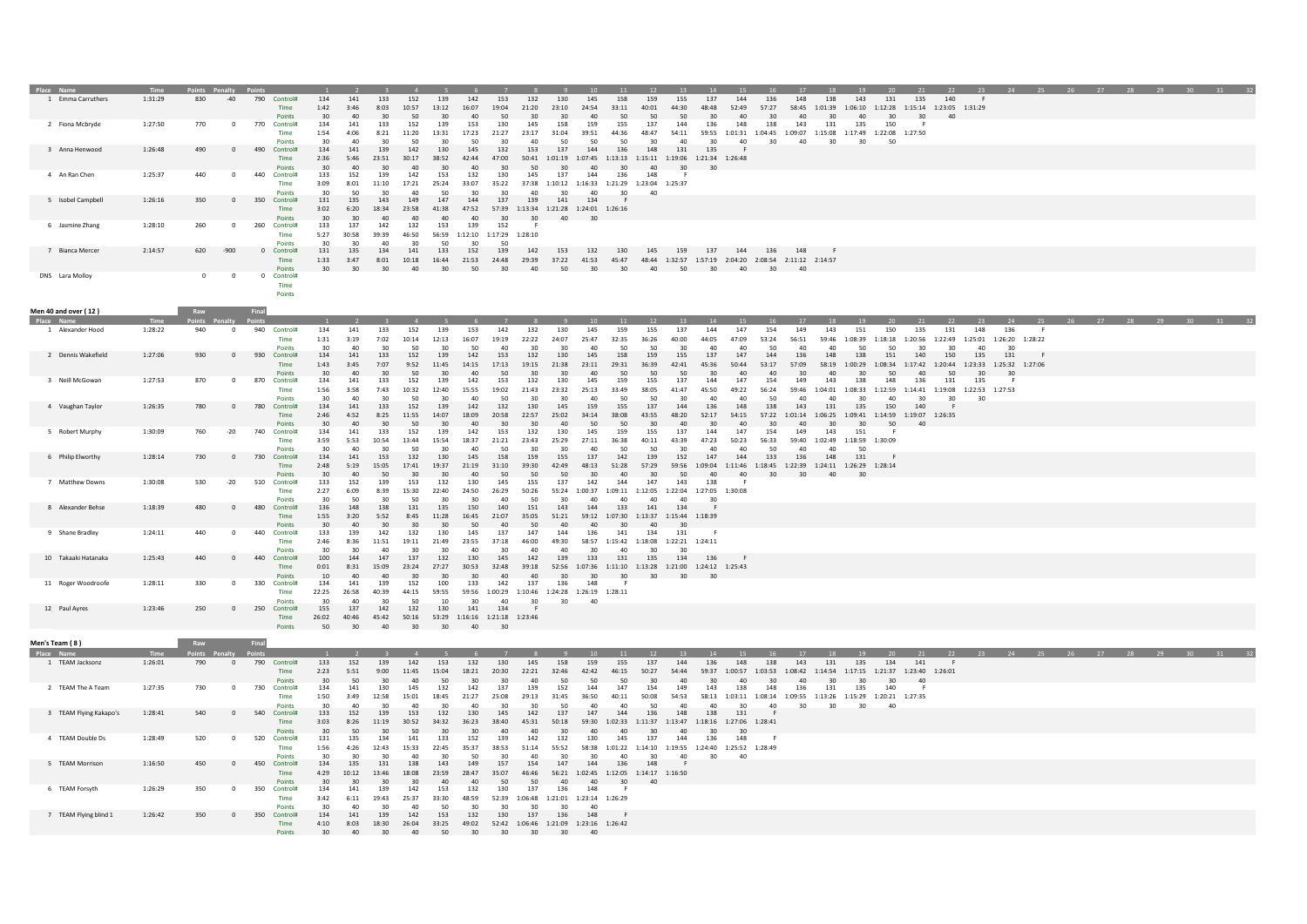| 1 Emma Carruthers<br>1:31:29<br>830<br>$-40$<br>790 Control#<br>134<br>141<br>133<br>152<br>139<br>142<br>153<br>132<br>130<br>145<br>158<br>159<br>155<br>137<br>144<br>136<br>148<br>138<br>143<br>135<br>140<br>F<br>131<br>1:42<br>3:46<br>8:03<br>10:57<br>13:12<br>16:07<br>19:04<br>21:20<br>23:10<br>24:54<br>33:11<br>40:01<br>44:30<br>48:48<br>52:49<br>57:27<br>58:45<br>1:01:39<br>1:06:10<br>1:12:28  1:15:14  1:23:05  1:31:29<br>Time<br>50<br>Points<br>30<br>40<br>30<br>50<br>30<br>40<br>30<br>30<br>40<br>50<br>50<br>50<br>30<br>40<br>30<br>40<br>30<br>40<br>30<br>30<br>1:27:50<br>770<br>770<br>134<br>153<br>130<br>158<br>159<br>137<br>148<br>138<br>143<br>131<br>2 Fiona Mcbryde<br>$\mathbf 0$<br>Control#<br>141<br>133<br>152<br>139<br>145<br>155<br>144<br>136<br>135<br>150<br>Time<br>1:54<br>4:06<br>8:21<br>11:20<br>13:31<br>17:23<br>21:27<br>23:17<br>31:04<br>39:51<br>44:36<br>48:47<br>54:11<br>59:55 1:01:31 1:04:45 1:09:07 1:15:08 1:17:49 1:22:08 1:27:50<br>Points<br>40<br>30<br>50<br>40<br>50<br>50<br>30<br>40<br>30<br>40<br>30<br>40<br>30<br>30<br>50<br>490<br>134<br>139<br>145<br>132<br>153<br>137<br>148<br>3 Anna Henwood<br>1:26:48<br>490<br>$\mathbf 0$<br>Control#<br>141<br>142<br>130<br>144<br>136<br>131<br>135<br>Time<br>2:36<br>5:46<br>23:51<br>30:17<br>38:52<br>42:44<br>47:00<br>50:41<br>1:01:19  1:07:45  1:13:13  1:15:11  1:19:06  1:21:34  1:26:48<br>30<br>40<br>30<br>40<br>30<br>40<br>30<br>50<br>30<br>40<br>30<br>40<br>30<br>30<br><b>Points</b><br>4 An Ran Chen<br>1:25:37<br>440<br>$\circ$<br>440<br>Control#<br>133<br>152<br>139<br>142<br>153<br>132<br>130<br>145<br>137<br>144<br>136<br>148<br>Time<br>3:09<br>8:01<br>11:10<br>17:21<br>25:24<br>33:07<br>35:22<br>37:38<br>1:10:12 1:16:33 1:21:29 1:23:04 1:25:37<br>50<br>30<br>30<br>40<br>40<br>30<br>30<br>Point<br>40<br>350<br>143<br>147<br>144<br>5 Isobel Campbel<br>1:26:16<br>350<br>$\mathbf 0$<br>Control#<br>131<br>135<br>149<br>137<br>139<br>141<br>134<br>Time<br>3:02<br>6:20<br>18:34<br>23:58<br>41:38<br>47:52<br>57:39 1:13:34 1:21:28 1:24:01 1:26:16<br>Points<br>30<br>30<br>40<br>40<br>40<br>40<br>30<br>30<br>40<br>30<br>1:28:10<br>260<br>260<br>133<br>137<br>142<br>132<br>153<br>139<br>152<br>6 Jasmine Zhang<br>$\mathbf 0$<br>Control#<br>Time<br>5:27<br>30:58<br>39:39<br>46:50<br>56:59 1:12:10 1:17:29 1:28:10<br>40<br>30<br>50<br>50<br>Points<br>620<br>131<br>134<br>152<br>139<br>142<br>7 Bianca Mercer<br>2:14:57<br>$-900$<br>0 Control#<br>135<br>141<br>133<br>153<br>132<br>130<br>145<br>159<br>137<br>144<br>136<br>148<br>24:48<br>29:39 37:22 41:53 45:47<br>48:44 1:32:57 1:57:19 2:04:20 2:08:54 2:11:12 2:14:57<br>Time<br>1:33<br>3:47<br>8:01<br>10:18<br>16:44<br>21:53<br>Points<br>30<br>30<br>30<br>40<br>30<br>50<br>30<br>40<br>50<br>30<br>30<br>40<br>50<br>30<br>40<br>30<br>40<br>DNS Lara Molloy<br>$\circ$<br>$\mathbf 0$<br>0 Control#<br>Time<br>Points<br>Men 40 and over (12)<br>Raw<br>Final<br>Place Name<br>13<br>24<br>25<br>10<br>11<br>12<br>14<br>15<br>17<br>18<br>19<br>20<br>21<br>22<br>23<br>16<br>134<br>133<br>152<br>153<br>142<br>132<br>130<br>159<br>155<br>137<br>144<br>147<br>149<br>1 Alexander Hood<br>1:28:22<br>940<br>$^{\circ}$<br>940 Control#<br>141<br>139<br>145<br>154<br>143<br>151<br>150<br>135<br>131<br>148<br>-136<br>- 6<br>1:31<br>3:19<br>7:02<br>10:14<br>12:13<br>16:07<br>19:19<br>22:22<br>24:07<br>25:47<br>32:35<br>36:26<br>40:00<br>44:05<br>47:09<br>53:24<br>56:51<br>59:46<br>1:08:39<br>1:18:18<br>1:20:56<br>1:22:49<br>1:25:01 1:26:20 1:28:22<br>Time<br>30<br>40<br>40<br>40<br>50<br>50<br><b>Points</b><br>30<br>40<br>30<br>50<br>30<br>-50<br>40<br>30<br>40<br>50<br>50<br>30<br>50<br>40<br>30<br>30<br>40<br>30<br>930<br>134<br>1:27:06<br>930<br>132<br>130<br>136<br>148<br>2 Dennis Wakefield<br>$\overline{0}$<br>141<br>133<br>152<br>139<br>142<br>153<br>158<br>159<br>155<br>137<br>147<br>138<br>151<br>150<br>135<br>131<br>Control#<br>145<br>144<br>140<br>7:07<br>Time<br>1:43<br>3:45<br>9:52<br>11:45<br>14:15<br>17:13<br>19:15<br>21:38<br>23:11<br>29:31<br>36:39<br>42:41<br>45:36<br>50:44<br>53:17<br>57:09<br>58:19 1:00:29 1:08:34 1:17:42 1:20:44 1:23:33 1:25:32 1:27:06<br>$30^{\circ}$<br>40<br>50<br>30<br>50<br>30<br>$30^{\circ}$<br>50<br>50<br>50<br>$30^{\circ}$<br>40<br>$30^{\circ}$<br>50<br>Points<br>30<br>40<br>40<br>40<br>40<br>30<br>-50<br>40<br>$30^{\circ}$<br>$30^{\circ}$<br>3 Neill McGowan<br>1:27:53<br>870<br>870 Control#<br>130<br>137<br>$^{\circ}$<br>134<br>141<br>133<br>152<br>139<br>142<br>153<br>132<br>145<br>159<br>155<br>144<br>147<br>154<br>149<br>143<br>138<br>148<br>136<br>131<br>135<br>1:56<br>3:58<br>7:43<br>10:32<br>12:40<br>15:55<br>19:02<br>21:43<br>23:32<br>33:49<br>38:05<br>41:47<br>45:50<br>49:22<br>56:24<br>59:46 1:04:01 1:08:33 1:12:59 1:14:41 1:19:08 1:22:53 1:27:53<br>Time<br>25:13<br>40<br><b>Points</b><br>30<br>40<br>$30^{\circ}$<br>50<br>40<br>50<br>30<br>30<br>40<br>50<br>50<br>30<br>40<br>40<br>50<br>40<br>30<br>40<br>30<br>30<br>30<br>-30<br>780 Control#<br>134<br>132<br>145<br>137<br>150<br>1:26:35<br>780<br>141<br>133<br>152<br>142<br>130<br>159<br>155<br>144<br>136<br>148<br>143<br>131<br>135<br>4 Vaughan Taylor<br>$\overline{0}$<br>139<br>138<br>140<br>4:52<br>8:25<br>14:07<br>18:09<br>20:58<br>22:57<br>25:02<br>38:08<br>43:55<br>48:20<br>52:17<br>Time<br>2:46<br>11:55<br>34:14<br>54:15<br>57:22 1:01:14 1:06:25 1:09:41 1:14:59 1:19:07 1:26:35<br>50<br>Points<br>30<br>40<br>$30^{\circ}$<br>50<br>$30^{\circ}$<br>40<br>$30^{\circ}$<br>$30^{\circ}$<br>40<br>50<br>$30^{\circ}$<br>-40<br>$30^{\circ}$<br>40<br>$30^{\circ}$<br>40<br>$30^{\circ}$<br>30<br>-50<br>40<br>740 Control#<br>134<br>130<br>5 Robert Murphy<br>1:30:09<br>760<br>$-20$<br>141<br>133<br>152<br>139<br>142<br>153<br>132<br>145<br>159<br>155<br>137<br>144<br>147<br>154<br>149<br>143<br>151<br>3:59<br>5:53<br>10:54<br>13:44<br>15:54<br>18:37<br>21:21<br>23:43<br>25:29<br>27:11<br>36:38<br>40:11<br>43:39<br>47:23<br>50:23<br>56:33<br>59:40<br>1:02:49<br>1:18:59 1:30:09<br>Time<br>30<br>40<br>30<br>$\Delta \Omega$<br>50<br>30<br>50<br>30<br>40<br>40<br>50<br>Points<br>30<br>30<br>50<br>40<br>40<br>50<br>730 Control#<br>148<br>1:28:14<br>730<br>134<br>158<br>159<br>155<br>139<br>147<br>136<br>131<br>6 Philip Elworthy<br>$\overline{0}$<br>141<br>153<br>132<br>130<br>145<br>137<br>142<br>152<br>144<br>133<br>2:48<br>15:05<br>19:37<br>21:19<br>51:28<br>57:29<br>59:56<br>1:09:04  1:11:46  1:18:45  1:22:39  1:24:11  1:26:29  1:28:14<br>Time<br>5:19<br>17:41<br>31:10<br>39:30<br>42:49<br>48:13<br>50<br>50<br>50<br>Points<br>30<br>40<br>30<br>$30^{\circ}$<br>40<br>- 50<br>$30^{\circ}$<br>40<br>$30^{\circ}$<br>50<br>40<br>40<br>30<br>30<br>40<br>30<br>530<br>510 Control#<br>133<br>152<br>153<br>130<br>155<br>137<br>147<br>7 Matthew Downs<br>1:30:08<br>$-20$<br>139<br>132<br>145<br>142<br>144<br>143<br>138<br>2:27<br>6:09<br>8:39<br>15:30<br>22:40<br>24:50<br>26:29<br>50:26<br>55:24<br>1:00:37<br>$1:09:11 \qquad 1:12:05 \qquad 1:22:04 \qquad 1:27:05 \qquad 1:30:08$<br>Time<br>Points<br>50<br>30<br>30<br>30<br>40<br>50<br>$30^{\circ}$<br>$\Delta \Omega$<br>40<br>40<br>30<br>50<br>40<br>30<br>1:18:39<br>480 Control#<br>140<br>151<br>143<br>141<br>8 Alexander Behse<br>480<br>$\overline{0}$<br>136<br>148<br>138<br>131<br>150<br>144<br>133<br>134<br>135<br>3:20<br>5:52<br>16:45<br>21:07<br>59:12  1:07:30  1:13:37  1:15:44  1:18:39<br>Time<br>1:55<br>8:45<br>11:28<br>35:05<br>51:21<br>50<br>Points<br>30<br>40<br>$30^{\circ}$<br>30<br>$30^{\circ}$<br>50<br>40<br>40<br>40<br>$30^{\circ}$<br>40<br>30<br>440<br>440 Control#<br>133<br>147<br>9 Shane Bradley<br>1:24:11<br>$^{\circ}$<br>139<br>142<br>132<br>130<br>145<br>137<br>144<br>136<br>141<br>134<br>131<br>- 6<br>2:46<br>8:36<br>11:51<br>19:11<br>21:49<br>23:55<br>37:18<br>46:00<br>49:30<br>58:57<br>$1:15:42 \quad 1:18:08 \quad 1:22:21 \quad 1:24:11$<br>Time<br>Points<br>30<br>30<br>40<br>30<br>30<br>40<br>30<br>40<br>40<br>30<br>40<br>30<br>30<br>440 Control#<br>10 Takaaki Hatanaka<br>1:25:43<br>440<br>$\overline{0}$<br>100<br>144<br>147<br>137<br>132<br>130<br>145<br>142<br>139<br>133<br>131<br>135<br>134<br>136<br>15:09<br>30:53<br>32:48<br>52:56 1:07:36 1:11:10 1:13:28 1:21:00 1:24:12 1:25:43<br>Time<br>0:01<br>8:31<br>23:24<br>27:27<br>39:18<br>Points<br>10<br>40<br>40<br>30<br>$30^{\circ}$<br>30<br>40<br>40<br>30<br>30<br>30<br>30<br>30<br>30<br>330<br>330 Control#<br>142<br>137<br>136<br>11 Roger Woodroofe<br>1:28:11<br>$\Omega$<br>134<br>141<br>139<br>152<br>100<br>133<br>148<br>22:25<br>26:58<br>40:39<br>44:15<br>59:55<br>59:56<br>1:00:29<br>$1:10:46 \qquad 1:24:28 \qquad 1:26:19 \qquad 1:28:11$<br>Time<br>30<br>Points<br>30<br>40<br>30<br>50<br>10<br>40<br>$30^{\circ}$<br>$30^{\circ}$<br>40<br>155<br>137<br>12 Paul Ayres<br>1:23:46<br>250<br>$\mathbf{0}$<br>250 Control#<br>142<br>132<br>130<br>141<br>134<br>26:02<br>40:46<br>45:42<br>50:16<br>53:29  1:16:16  1:21:18  1:23:46<br>Time<br>50<br>30<br>40<br>Points<br>30<br>30<br>40<br>30<br>Men's Team (8)<br>Raw<br>Final<br>Place Name<br>$-4$<br>10<br>11<br>12<br>13<br>14<br>15<br>18<br>22<br>-17<br>1 TEAM Jacksonz<br>1:26:01<br>790<br>$\mathbf 0$<br>790 Control#<br>133<br>152<br>139<br>142<br>153<br>132<br>130<br>145<br>158<br>159<br>155<br>137<br>144<br>136<br>148<br>138<br>143<br>131<br>135<br>134<br>141<br>2:23<br>5:51<br>9:00<br>11:45<br>15:04<br>18:21<br>20:30<br>22:21<br>32:46<br>42:42<br>46:15<br>50:27<br>54:44<br>59:37<br>1:00:57<br>1:03:53<br>1:08:42<br>1:14:54<br>1:17:15<br>1:21:37 1:23:40 1:26:01<br>Time<br>30<br>50<br>30<br>40<br>50<br>30<br>30<br>40<br>50<br>50<br>50<br>30<br>40<br>30<br>40<br>30<br>40<br>30<br>30<br><b>Points</b><br>30<br>40<br>2 TEAM The A Team<br>1:27:35<br>730<br>134<br>130<br>145<br>137<br>139<br>152<br>144<br>147<br>154<br>138<br>136<br>131<br>135<br>140<br>730<br>$\mathsf 0$<br>Control#<br>141<br>132<br>142<br>149<br>143<br>148<br>12:58<br>3:49<br>15:01<br>21:27<br>36:50<br>58:13 1:03:11 1:08:14 1:09:55 1:13:26 1:15:29 1:20:21 1:27:35<br>Time<br>1:50<br>18:45<br>25:08<br>29:13<br>31:45<br>40:11<br>50:08<br>54:53<br>30 <sub>2</sub><br>30<br>Points<br>30<br>$\Delta \Omega$<br>30<br>40<br>20<br>$\Delta \Omega$<br>20<br>20<br>50<br>$\Lambda$ <sup>0</sup><br>$\Lambda$ <sup><math>\Omega</math></sup><br>50<br>$\Delta$ 0<br>$\Delta$ 0<br>20<br>AC<br>30<br>40<br>3 TEAM Flying Kakapo's<br>1:28:41<br>540<br>$\mathbf 0$<br>540<br>Control#<br>133<br>152<br>139<br>153<br>132<br>130<br>145<br>142<br>137<br>147<br>144<br>136<br>148<br>138<br>131<br>3:03<br>11:19<br>8:26<br>30:52<br>34:32<br>36:23<br>38:40<br>45:31<br>50:18<br>59:30<br>1:02:33 1:11:37 1:13:47 1:18:16<br>$1:27:06$ $1:28:41$<br>Time<br>30<br>50<br>30<br>50<br>30<br>30<br>40<br>40<br>30<br>40<br>40<br>Points<br>40<br>30<br>30<br>30<br>4 TEAM Double Ds<br>520<br>$\mathbf 0$<br>520<br>131<br>135<br>134<br>141<br>133<br>152<br>139<br>142<br>132<br>130<br>137<br>144<br>136<br>148<br>1:28:49<br>Control#<br>145<br>4:26<br>12:43<br>35:37<br>38:53<br>58:38 1:01:22 1:14:10 1:19:55 1:24:40 1:25:52 1:28:49<br>Time<br>1:56<br>15:33<br>22:45<br>51:14<br>55:52<br>50<br>Point<br>30<br>30<br>30<br>40<br>20<br>30 <sub>0</sub><br>40<br>30<br>20<br>$\Lambda$ <sup><math>\Omega</math></sup><br>30<br>40<br>30<br>40<br>5 TEAM Morrison<br>1:16:50<br>450<br>$\mathbf 0$<br>450<br>Control#<br>134<br>135<br>131<br>138<br>143<br>149<br>157<br>154<br>147<br>144<br>136<br>148<br>4:29<br>10:12<br>13:46<br>18:08<br>23:59<br>28:47<br>35:07<br>46:46<br>56:21  1:02:45  1:12:05  1:14:17  1:16:50<br>Time<br>30<br>30<br>30<br>30<br>40<br>40<br>50<br>50<br>40<br>30<br><b>Points</b><br>40<br>40<br>6 TEAM Forsyth<br>350<br>134<br>139<br>142<br>153<br>132<br>130<br>137<br>136<br>1:26:29<br>350<br>$\mathsf 0$<br>Control#<br>141<br>148<br>3:42<br>19:43<br>25:37<br>33:30<br>48:59<br>52:39 1:06:48 1:21:01 1:23:14 1:26:29<br>Time<br>6:11<br>30<br>Points<br>30<br>40<br>30<br>40<br>50<br>20<br>20<br>30<br>7 TEAM Flying blind 1<br>1:26:42<br>350<br>$\mathsf 0$<br>350<br>Control#<br>134<br>141<br>139<br>142<br>153<br>132<br>130<br>137<br>136<br>148<br>49:02<br>4:10<br>8:03<br>18:30<br>26:04<br>33:25<br>52:42 1:06:46 1:21:09 1:23:16 1:26:42<br>Time<br>30<br><b>Points</b><br>30<br>40<br>30<br>40<br>50<br>30<br>30<br>30<br>40 | Place Name | Time | Points Penalty Points |  |  |  |  |  |  |  | <sup>12</sup> |  |  |  |  |  | 23 |  |  |  |  |
|-----------------------------------------------------------------------------------------------------------------------------------------------------------------------------------------------------------------------------------------------------------------------------------------------------------------------------------------------------------------------------------------------------------------------------------------------------------------------------------------------------------------------------------------------------------------------------------------------------------------------------------------------------------------------------------------------------------------------------------------------------------------------------------------------------------------------------------------------------------------------------------------------------------------------------------------------------------------------------------------------------------------------------------------------------------------------------------------------------------------------------------------------------------------------------------------------------------------------------------------------------------------------------------------------------------------------------------------------------------------------------------------------------------------------------------------------------------------------------------------------------------------------------------------------------------------------------------------------------------------------------------------------------------------------------------------------------------------------------------------------------------------------------------------------------------------------------------------------------------------------------------------------------------------------------------------------------------------------------------------------------------------------------------------------------------------------------------------------------------------------------------------------------------------------------------------------------------------------------------------------------------------------------------------------------------------------------------------------------------------------------------------------------------------------------------------------------------------------------------------------------------------------------------------------------------------------------------------------------------------------------------------------------------------------------------------------------------------------------------------------------------------------------------------------------------------------------------------------------------------------------------------------------------------------------------------------------------------------------------------------------------------------------------------------------------------------------------------------------------------------------------------------------------------------------------------------------------------------------------------------------------------------------------------------------------------------------------------------------------------------------------------------------------------------------------------------------------------------------------------------------------------------------------------------------------------------------------------------------------------------------------------------------------------------------------------------------------------------------------------------------------------------------------------------------------------------------------------------------------------------------------------------------------------------------------------------------------------------------------------------------------------------------------------------------------------------------------------------------------------------------------------------------------------------------------------------------------------------------------------------------------------------------------------------------------------------------------------------------------------------------------------------------------------------------------------------------------------------------------------------------------------------------------------------------------------------------------------------------------------------------------------------------------------------------------------------------------------------------------------------------------------------------------------------------------------------------------------------------------------------------------------------------------------------------------------------------------------------------------------------------------------------------------------------------------------------------------------------------------------------------------------------------------------------------------------------------------------------------------------------------------------------------------------------------------------------------------------------------------------------------------------------------------------------------------------------------------------------------------------------------------------------------------------------------------------------------------------------------------------------------------------------------------------------------------------------------------------------------------------------------------------------------------------------------------------------------------------------------------------------------------------------------------------------------------------------------------------------------------------------------------------------------------------------------------------------------------------------------------------------------------------------------------------------------------------------------------------------------------------------------------------------------------------------------------------------------------------------------------------------------------------------------------------------------------------------------------------------------------------------------------------------------------------------------------------------------------------------------------------------------------------------------------------------------------------------------------------------------------------------------------------------------------------------------------------------------------------------------------------------------------------------------------------------------------------------------------------------------------------------------------------------------------------------------------------------------------------------------------------------------------------------------------------------------------------------------------------------------------------------------------------------------------------------------------------------------------------------------------------------------------------------------------------------------------------------------------------------------------------------------------------------------------------------------------------------------------------------------------------------------------------------------------------------------------------------------------------------------------------------------------------------------------------------------------------------------------------------------------------------------------------------------------------------------------------------------------------------------------------------------------------------------------------------------------------------------------------------------------------------------------------------------------------------------------------------------------------------------------------------------------------------------------------------------------------------------------------------------------------------------------------------------------------------------------------------------------------------------------------------------------------------------------------------------------------------------------------------------------------------------------------------------------------------------------------------------------------------------------------------------------------------------------------------------------------------------------------------------------------------------------------------------------------------------------------------------------------------------------------------------------------------------------------------------------------------------------------------------------------------------------------------------------------------------------------------------------------------------------------------------------------------------------------------------------------------------------------------------------------------------------------------------------------------------------------------------------------------------------------------------------------------------------------------------------------------------------------------------------------------------------------------------------------------------------------------------------------------------------------------------------------------------------------------------------------------------------------------------------------------------------------------------------------------------------------------------------------------------------------------------------------------------------------------------------------------------------------------------------------------------------------------------------------------------------------------------------------------------------------------------------------------------------------------------------------------------------------------------------------------------------------------------------------------------------------------------------------------------------------------------------------------------------------------------------------------------------------------------------------------------------------------------------------------------------------------------------------------------------------------------------------------------------------------------------------------------------------------------------------------------------------------------------------------------------------------------------------------------------------------------------------------------------------------------------------------------------------------------------------------------------------------------------------------------------------------------------------------------------------------------------------------------------------------------------------------------------------------------------------------------------------------------------------------------------------------------------------------------------------------------------------------------------------------------------------------------------------------------------------------------------------------------------------------------------------------------------------------------------------------------------------------------------------------------------------------------------------------------------------------------------------------------------------------------------------------------------------------------------------------------------------------------------------------------------------------------------------------------------------------------------------------------------------------------------------------------------------------------------------------------------------------------------------------------------------------------------------------------------------------------------------------------------------------------------------------------------------------------------------------------------------------------------------------------------------------------------------------------------------------------------------------------------------------|------------|------|-----------------------|--|--|--|--|--|--|--|---------------|--|--|--|--|--|----|--|--|--|--|
|                                                                                                                                                                                                                                                                                                                                                                                                                                                                                                                                                                                                                                                                                                                                                                                                                                                                                                                                                                                                                                                                                                                                                                                                                                                                                                                                                                                                                                                                                                                                                                                                                                                                                                                                                                                                                                                                                                                                                                                                                                                                                                                                                                                                                                                                                                                                                                                                                                                                                                                                                                                                                                                                                                                                                                                                                                                                                                                                                                                                                                                                                                                                                                                                                                                                                                                                                                                                                                                                                                                                                                                                                                                                                                                                                                                                                                                                                                                                                                                                                                                                                                                                                                                                                                                                                                                                                                                                                                                                                                                                                                                                                                                                                                                                                                                                                                                                                                                                                                                                                                                                                                                                                                                                                                                                                                                                                                                                                                                                                                                                                                                                                                                                                                                                                                                                                                                                                                                                                                                                                                                                                                                                                                                                                                                                                                                                                                                                                                                                                                                                                                                                                                                                                                                                                                                                                                                                                                                                                                                                                                                                                                                                                                                                                                                                                                                                                                                                                                                                                                                                                                                                                                                                                                                                                                                                                                                                                                                                                                                                                                                                                                                                                                                                                                                                                                                                                                                                                                                                                                                                                                                                                                                                                                                                                                                                                                                                                                                                                                                                                                                                                                                                                                                                                                                                                                                                                                                                                                                                                                                                                                                                                                                                                                                                                                                                                                                                                                                                                                                                                                                                                                                                                                                                                                                                                                                                                                                                                                                                                                                                                                                                                                                                                                                                                                                                                                                                                                                                                                                                                                                                                                                                                                                                                                                                                                                                                                                                                                                                                                                                                                                                                                                                                                                                                                                                                                                                                                                                                                                                                                                                                                                                                                                                                                                                                                                                                                                                                                                                                                                                                                                                                                                                       |            |      |                       |  |  |  |  |  |  |  |               |  |  |  |  |  |    |  |  |  |  |
|                                                                                                                                                                                                                                                                                                                                                                                                                                                                                                                                                                                                                                                                                                                                                                                                                                                                                                                                                                                                                                                                                                                                                                                                                                                                                                                                                                                                                                                                                                                                                                                                                                                                                                                                                                                                                                                                                                                                                                                                                                                                                                                                                                                                                                                                                                                                                                                                                                                                                                                                                                                                                                                                                                                                                                                                                                                                                                                                                                                                                                                                                                                                                                                                                                                                                                                                                                                                                                                                                                                                                                                                                                                                                                                                                                                                                                                                                                                                                                                                                                                                                                                                                                                                                                                                                                                                                                                                                                                                                                                                                                                                                                                                                                                                                                                                                                                                                                                                                                                                                                                                                                                                                                                                                                                                                                                                                                                                                                                                                                                                                                                                                                                                                                                                                                                                                                                                                                                                                                                                                                                                                                                                                                                                                                                                                                                                                                                                                                                                                                                                                                                                                                                                                                                                                                                                                                                                                                                                                                                                                                                                                                                                                                                                                                                                                                                                                                                                                                                                                                                                                                                                                                                                                                                                                                                                                                                                                                                                                                                                                                                                                                                                                                                                                                                                                                                                                                                                                                                                                                                                                                                                                                                                                                                                                                                                                                                                                                                                                                                                                                                                                                                                                                                                                                                                                                                                                                                                                                                                                                                                                                                                                                                                                                                                                                                                                                                                                                                                                                                                                                                                                                                                                                                                                                                                                                                                                                                                                                                                                                                                                                                                                                                                                                                                                                                                                                                                                                                                                                                                                                                                                                                                                                                                                                                                                                                                                                                                                                                                                                                                                                                                                                                                                                                                                                                                                                                                                                                                                                                                                                                                                                                                                                                                                                                                                                                                                                                                                                                                                                                                                                                                                                                                       |            |      |                       |  |  |  |  |  |  |  |               |  |  |  |  |  |    |  |  |  |  |
|                                                                                                                                                                                                                                                                                                                                                                                                                                                                                                                                                                                                                                                                                                                                                                                                                                                                                                                                                                                                                                                                                                                                                                                                                                                                                                                                                                                                                                                                                                                                                                                                                                                                                                                                                                                                                                                                                                                                                                                                                                                                                                                                                                                                                                                                                                                                                                                                                                                                                                                                                                                                                                                                                                                                                                                                                                                                                                                                                                                                                                                                                                                                                                                                                                                                                                                                                                                                                                                                                                                                                                                                                                                                                                                                                                                                                                                                                                                                                                                                                                                                                                                                                                                                                                                                                                                                                                                                                                                                                                                                                                                                                                                                                                                                                                                                                                                                                                                                                                                                                                                                                                                                                                                                                                                                                                                                                                                                                                                                                                                                                                                                                                                                                                                                                                                                                                                                                                                                                                                                                                                                                                                                                                                                                                                                                                                                                                                                                                                                                                                                                                                                                                                                                                                                                                                                                                                                                                                                                                                                                                                                                                                                                                                                                                                                                                                                                                                                                                                                                                                                                                                                                                                                                                                                                                                                                                                                                                                                                                                                                                                                                                                                                                                                                                                                                                                                                                                                                                                                                                                                                                                                                                                                                                                                                                                                                                                                                                                                                                                                                                                                                                                                                                                                                                                                                                                                                                                                                                                                                                                                                                                                                                                                                                                                                                                                                                                                                                                                                                                                                                                                                                                                                                                                                                                                                                                                                                                                                                                                                                                                                                                                                                                                                                                                                                                                                                                                                                                                                                                                                                                                                                                                                                                                                                                                                                                                                                                                                                                                                                                                                                                                                                                                                                                                                                                                                                                                                                                                                                                                                                                                                                                                                                                                                                                                                                                                                                                                                                                                                                                                                                                                                                                                       |            |      |                       |  |  |  |  |  |  |  |               |  |  |  |  |  |    |  |  |  |  |
|                                                                                                                                                                                                                                                                                                                                                                                                                                                                                                                                                                                                                                                                                                                                                                                                                                                                                                                                                                                                                                                                                                                                                                                                                                                                                                                                                                                                                                                                                                                                                                                                                                                                                                                                                                                                                                                                                                                                                                                                                                                                                                                                                                                                                                                                                                                                                                                                                                                                                                                                                                                                                                                                                                                                                                                                                                                                                                                                                                                                                                                                                                                                                                                                                                                                                                                                                                                                                                                                                                                                                                                                                                                                                                                                                                                                                                                                                                                                                                                                                                                                                                                                                                                                                                                                                                                                                                                                                                                                                                                                                                                                                                                                                                                                                                                                                                                                                                                                                                                                                                                                                                                                                                                                                                                                                                                                                                                                                                                                                                                                                                                                                                                                                                                                                                                                                                                                                                                                                                                                                                                                                                                                                                                                                                                                                                                                                                                                                                                                                                                                                                                                                                                                                                                                                                                                                                                                                                                                                                                                                                                                                                                                                                                                                                                                                                                                                                                                                                                                                                                                                                                                                                                                                                                                                                                                                                                                                                                                                                                                                                                                                                                                                                                                                                                                                                                                                                                                                                                                                                                                                                                                                                                                                                                                                                                                                                                                                                                                                                                                                                                                                                                                                                                                                                                                                                                                                                                                                                                                                                                                                                                                                                                                                                                                                                                                                                                                                                                                                                                                                                                                                                                                                                                                                                                                                                                                                                                                                                                                                                                                                                                                                                                                                                                                                                                                                                                                                                                                                                                                                                                                                                                                                                                                                                                                                                                                                                                                                                                                                                                                                                                                                                                                                                                                                                                                                                                                                                                                                                                                                                                                                                                                                                                                                                                                                                                                                                                                                                                                                                                                                                                                                                                                       |            |      |                       |  |  |  |  |  |  |  |               |  |  |  |  |  |    |  |  |  |  |
|                                                                                                                                                                                                                                                                                                                                                                                                                                                                                                                                                                                                                                                                                                                                                                                                                                                                                                                                                                                                                                                                                                                                                                                                                                                                                                                                                                                                                                                                                                                                                                                                                                                                                                                                                                                                                                                                                                                                                                                                                                                                                                                                                                                                                                                                                                                                                                                                                                                                                                                                                                                                                                                                                                                                                                                                                                                                                                                                                                                                                                                                                                                                                                                                                                                                                                                                                                                                                                                                                                                                                                                                                                                                                                                                                                                                                                                                                                                                                                                                                                                                                                                                                                                                                                                                                                                                                                                                                                                                                                                                                                                                                                                                                                                                                                                                                                                                                                                                                                                                                                                                                                                                                                                                                                                                                                                                                                                                                                                                                                                                                                                                                                                                                                                                                                                                                                                                                                                                                                                                                                                                                                                                                                                                                                                                                                                                                                                                                                                                                                                                                                                                                                                                                                                                                                                                                                                                                                                                                                                                                                                                                                                                                                                                                                                                                                                                                                                                                                                                                                                                                                                                                                                                                                                                                                                                                                                                                                                                                                                                                                                                                                                                                                                                                                                                                                                                                                                                                                                                                                                                                                                                                                                                                                                                                                                                                                                                                                                                                                                                                                                                                                                                                                                                                                                                                                                                                                                                                                                                                                                                                                                                                                                                                                                                                                                                                                                                                                                                                                                                                                                                                                                                                                                                                                                                                                                                                                                                                                                                                                                                                                                                                                                                                                                                                                                                                                                                                                                                                                                                                                                                                                                                                                                                                                                                                                                                                                                                                                                                                                                                                                                                                                                                                                                                                                                                                                                                                                                                                                                                                                                                                                                                                                                                                                                                                                                                                                                                                                                                                                                                                                                                                                                                       |            |      |                       |  |  |  |  |  |  |  |               |  |  |  |  |  |    |  |  |  |  |
|                                                                                                                                                                                                                                                                                                                                                                                                                                                                                                                                                                                                                                                                                                                                                                                                                                                                                                                                                                                                                                                                                                                                                                                                                                                                                                                                                                                                                                                                                                                                                                                                                                                                                                                                                                                                                                                                                                                                                                                                                                                                                                                                                                                                                                                                                                                                                                                                                                                                                                                                                                                                                                                                                                                                                                                                                                                                                                                                                                                                                                                                                                                                                                                                                                                                                                                                                                                                                                                                                                                                                                                                                                                                                                                                                                                                                                                                                                                                                                                                                                                                                                                                                                                                                                                                                                                                                                                                                                                                                                                                                                                                                                                                                                                                                                                                                                                                                                                                                                                                                                                                                                                                                                                                                                                                                                                                                                                                                                                                                                                                                                                                                                                                                                                                                                                                                                                                                                                                                                                                                                                                                                                                                                                                                                                                                                                                                                                                                                                                                                                                                                                                                                                                                                                                                                                                                                                                                                                                                                                                                                                                                                                                                                                                                                                                                                                                                                                                                                                                                                                                                                                                                                                                                                                                                                                                                                                                                                                                                                                                                                                                                                                                                                                                                                                                                                                                                                                                                                                                                                                                                                                                                                                                                                                                                                                                                                                                                                                                                                                                                                                                                                                                                                                                                                                                                                                                                                                                                                                                                                                                                                                                                                                                                                                                                                                                                                                                                                                                                                                                                                                                                                                                                                                                                                                                                                                                                                                                                                                                                                                                                                                                                                                                                                                                                                                                                                                                                                                                                                                                                                                                                                                                                                                                                                                                                                                                                                                                                                                                                                                                                                                                                                                                                                                                                                                                                                                                                                                                                                                                                                                                                                                                                                                                                                                                                                                                                                                                                                                                                                                                                                                                                                                                       |            |      |                       |  |  |  |  |  |  |  |               |  |  |  |  |  |    |  |  |  |  |
|                                                                                                                                                                                                                                                                                                                                                                                                                                                                                                                                                                                                                                                                                                                                                                                                                                                                                                                                                                                                                                                                                                                                                                                                                                                                                                                                                                                                                                                                                                                                                                                                                                                                                                                                                                                                                                                                                                                                                                                                                                                                                                                                                                                                                                                                                                                                                                                                                                                                                                                                                                                                                                                                                                                                                                                                                                                                                                                                                                                                                                                                                                                                                                                                                                                                                                                                                                                                                                                                                                                                                                                                                                                                                                                                                                                                                                                                                                                                                                                                                                                                                                                                                                                                                                                                                                                                                                                                                                                                                                                                                                                                                                                                                                                                                                                                                                                                                                                                                                                                                                                                                                                                                                                                                                                                                                                                                                                                                                                                                                                                                                                                                                                                                                                                                                                                                                                                                                                                                                                                                                                                                                                                                                                                                                                                                                                                                                                                                                                                                                                                                                                                                                                                                                                                                                                                                                                                                                                                                                                                                                                                                                                                                                                                                                                                                                                                                                                                                                                                                                                                                                                                                                                                                                                                                                                                                                                                                                                                                                                                                                                                                                                                                                                                                                                                                                                                                                                                                                                                                                                                                                                                                                                                                                                                                                                                                                                                                                                                                                                                                                                                                                                                                                                                                                                                                                                                                                                                                                                                                                                                                                                                                                                                                                                                                                                                                                                                                                                                                                                                                                                                                                                                                                                                                                                                                                                                                                                                                                                                                                                                                                                                                                                                                                                                                                                                                                                                                                                                                                                                                                                                                                                                                                                                                                                                                                                                                                                                                                                                                                                                                                                                                                                                                                                                                                                                                                                                                                                                                                                                                                                                                                                                                                                                                                                                                                                                                                                                                                                                                                                                                                                                                                                                       |            |      |                       |  |  |  |  |  |  |  |               |  |  |  |  |  |    |  |  |  |  |
|                                                                                                                                                                                                                                                                                                                                                                                                                                                                                                                                                                                                                                                                                                                                                                                                                                                                                                                                                                                                                                                                                                                                                                                                                                                                                                                                                                                                                                                                                                                                                                                                                                                                                                                                                                                                                                                                                                                                                                                                                                                                                                                                                                                                                                                                                                                                                                                                                                                                                                                                                                                                                                                                                                                                                                                                                                                                                                                                                                                                                                                                                                                                                                                                                                                                                                                                                                                                                                                                                                                                                                                                                                                                                                                                                                                                                                                                                                                                                                                                                                                                                                                                                                                                                                                                                                                                                                                                                                                                                                                                                                                                                                                                                                                                                                                                                                                                                                                                                                                                                                                                                                                                                                                                                                                                                                                                                                                                                                                                                                                                                                                                                                                                                                                                                                                                                                                                                                                                                                                                                                                                                                                                                                                                                                                                                                                                                                                                                                                                                                                                                                                                                                                                                                                                                                                                                                                                                                                                                                                                                                                                                                                                                                                                                                                                                                                                                                                                                                                                                                                                                                                                                                                                                                                                                                                                                                                                                                                                                                                                                                                                                                                                                                                                                                                                                                                                                                                                                                                                                                                                                                                                                                                                                                                                                                                                                                                                                                                                                                                                                                                                                                                                                                                                                                                                                                                                                                                                                                                                                                                                                                                                                                                                                                                                                                                                                                                                                                                                                                                                                                                                                                                                                                                                                                                                                                                                                                                                                                                                                                                                                                                                                                                                                                                                                                                                                                                                                                                                                                                                                                                                                                                                                                                                                                                                                                                                                                                                                                                                                                                                                                                                                                                                                                                                                                                                                                                                                                                                                                                                                                                                                                                                                                                                                                                                                                                                                                                                                                                                                                                                                                                                                                                                       |            |      |                       |  |  |  |  |  |  |  |               |  |  |  |  |  |    |  |  |  |  |
|                                                                                                                                                                                                                                                                                                                                                                                                                                                                                                                                                                                                                                                                                                                                                                                                                                                                                                                                                                                                                                                                                                                                                                                                                                                                                                                                                                                                                                                                                                                                                                                                                                                                                                                                                                                                                                                                                                                                                                                                                                                                                                                                                                                                                                                                                                                                                                                                                                                                                                                                                                                                                                                                                                                                                                                                                                                                                                                                                                                                                                                                                                                                                                                                                                                                                                                                                                                                                                                                                                                                                                                                                                                                                                                                                                                                                                                                                                                                                                                                                                                                                                                                                                                                                                                                                                                                                                                                                                                                                                                                                                                                                                                                                                                                                                                                                                                                                                                                                                                                                                                                                                                                                                                                                                                                                                                                                                                                                                                                                                                                                                                                                                                                                                                                                                                                                                                                                                                                                                                                                                                                                                                                                                                                                                                                                                                                                                                                                                                                                                                                                                                                                                                                                                                                                                                                                                                                                                                                                                                                                                                                                                                                                                                                                                                                                                                                                                                                                                                                                                                                                                                                                                                                                                                                                                                                                                                                                                                                                                                                                                                                                                                                                                                                                                                                                                                                                                                                                                                                                                                                                                                                                                                                                                                                                                                                                                                                                                                                                                                                                                                                                                                                                                                                                                                                                                                                                                                                                                                                                                                                                                                                                                                                                                                                                                                                                                                                                                                                                                                                                                                                                                                                                                                                                                                                                                                                                                                                                                                                                                                                                                                                                                                                                                                                                                                                                                                                                                                                                                                                                                                                                                                                                                                                                                                                                                                                                                                                                                                                                                                                                                                                                                                                                                                                                                                                                                                                                                                                                                                                                                                                                                                                                                                                                                                                                                                                                                                                                                                                                                                                                                                                                                                                       |            |      |                       |  |  |  |  |  |  |  |               |  |  |  |  |  |    |  |  |  |  |
|                                                                                                                                                                                                                                                                                                                                                                                                                                                                                                                                                                                                                                                                                                                                                                                                                                                                                                                                                                                                                                                                                                                                                                                                                                                                                                                                                                                                                                                                                                                                                                                                                                                                                                                                                                                                                                                                                                                                                                                                                                                                                                                                                                                                                                                                                                                                                                                                                                                                                                                                                                                                                                                                                                                                                                                                                                                                                                                                                                                                                                                                                                                                                                                                                                                                                                                                                                                                                                                                                                                                                                                                                                                                                                                                                                                                                                                                                                                                                                                                                                                                                                                                                                                                                                                                                                                                                                                                                                                                                                                                                                                                                                                                                                                                                                                                                                                                                                                                                                                                                                                                                                                                                                                                                                                                                                                                                                                                                                                                                                                                                                                                                                                                                                                                                                                                                                                                                                                                                                                                                                                                                                                                                                                                                                                                                                                                                                                                                                                                                                                                                                                                                                                                                                                                                                                                                                                                                                                                                                                                                                                                                                                                                                                                                                                                                                                                                                                                                                                                                                                                                                                                                                                                                                                                                                                                                                                                                                                                                                                                                                                                                                                                                                                                                                                                                                                                                                                                                                                                                                                                                                                                                                                                                                                                                                                                                                                                                                                                                                                                                                                                                                                                                                                                                                                                                                                                                                                                                                                                                                                                                                                                                                                                                                                                                                                                                                                                                                                                                                                                                                                                                                                                                                                                                                                                                                                                                                                                                                                                                                                                                                                                                                                                                                                                                                                                                                                                                                                                                                                                                                                                                                                                                                                                                                                                                                                                                                                                                                                                                                                                                                                                                                                                                                                                                                                                                                                                                                                                                                                                                                                                                                                                                                                                                                                                                                                                                                                                                                                                                                                                                                                                                                                                       |            |      |                       |  |  |  |  |  |  |  |               |  |  |  |  |  |    |  |  |  |  |
|                                                                                                                                                                                                                                                                                                                                                                                                                                                                                                                                                                                                                                                                                                                                                                                                                                                                                                                                                                                                                                                                                                                                                                                                                                                                                                                                                                                                                                                                                                                                                                                                                                                                                                                                                                                                                                                                                                                                                                                                                                                                                                                                                                                                                                                                                                                                                                                                                                                                                                                                                                                                                                                                                                                                                                                                                                                                                                                                                                                                                                                                                                                                                                                                                                                                                                                                                                                                                                                                                                                                                                                                                                                                                                                                                                                                                                                                                                                                                                                                                                                                                                                                                                                                                                                                                                                                                                                                                                                                                                                                                                                                                                                                                                                                                                                                                                                                                                                                                                                                                                                                                                                                                                                                                                                                                                                                                                                                                                                                                                                                                                                                                                                                                                                                                                                                                                                                                                                                                                                                                                                                                                                                                                                                                                                                                                                                                                                                                                                                                                                                                                                                                                                                                                                                                                                                                                                                                                                                                                                                                                                                                                                                                                                                                                                                                                                                                                                                                                                                                                                                                                                                                                                                                                                                                                                                                                                                                                                                                                                                                                                                                                                                                                                                                                                                                                                                                                                                                                                                                                                                                                                                                                                                                                                                                                                                                                                                                                                                                                                                                                                                                                                                                                                                                                                                                                                                                                                                                                                                                                                                                                                                                                                                                                                                                                                                                                                                                                                                                                                                                                                                                                                                                                                                                                                                                                                                                                                                                                                                                                                                                                                                                                                                                                                                                                                                                                                                                                                                                                                                                                                                                                                                                                                                                                                                                                                                                                                                                                                                                                                                                                                                                                                                                                                                                                                                                                                                                                                                                                                                                                                                                                                                                                                                                                                                                                                                                                                                                                                                                                                                                                                                                                                                       |            |      |                       |  |  |  |  |  |  |  |               |  |  |  |  |  |    |  |  |  |  |
|                                                                                                                                                                                                                                                                                                                                                                                                                                                                                                                                                                                                                                                                                                                                                                                                                                                                                                                                                                                                                                                                                                                                                                                                                                                                                                                                                                                                                                                                                                                                                                                                                                                                                                                                                                                                                                                                                                                                                                                                                                                                                                                                                                                                                                                                                                                                                                                                                                                                                                                                                                                                                                                                                                                                                                                                                                                                                                                                                                                                                                                                                                                                                                                                                                                                                                                                                                                                                                                                                                                                                                                                                                                                                                                                                                                                                                                                                                                                                                                                                                                                                                                                                                                                                                                                                                                                                                                                                                                                                                                                                                                                                                                                                                                                                                                                                                                                                                                                                                                                                                                                                                                                                                                                                                                                                                                                                                                                                                                                                                                                                                                                                                                                                                                                                                                                                                                                                                                                                                                                                                                                                                                                                                                                                                                                                                                                                                                                                                                                                                                                                                                                                                                                                                                                                                                                                                                                                                                                                                                                                                                                                                                                                                                                                                                                                                                                                                                                                                                                                                                                                                                                                                                                                                                                                                                                                                                                                                                                                                                                                                                                                                                                                                                                                                                                                                                                                                                                                                                                                                                                                                                                                                                                                                                                                                                                                                                                                                                                                                                                                                                                                                                                                                                                                                                                                                                                                                                                                                                                                                                                                                                                                                                                                                                                                                                                                                                                                                                                                                                                                                                                                                                                                                                                                                                                                                                                                                                                                                                                                                                                                                                                                                                                                                                                                                                                                                                                                                                                                                                                                                                                                                                                                                                                                                                                                                                                                                                                                                                                                                                                                                                                                                                                                                                                                                                                                                                                                                                                                                                                                                                                                                                                                                                                                                                                                                                                                                                                                                                                                                                                                                                                                                                                       |            |      |                       |  |  |  |  |  |  |  |               |  |  |  |  |  |    |  |  |  |  |
|                                                                                                                                                                                                                                                                                                                                                                                                                                                                                                                                                                                                                                                                                                                                                                                                                                                                                                                                                                                                                                                                                                                                                                                                                                                                                                                                                                                                                                                                                                                                                                                                                                                                                                                                                                                                                                                                                                                                                                                                                                                                                                                                                                                                                                                                                                                                                                                                                                                                                                                                                                                                                                                                                                                                                                                                                                                                                                                                                                                                                                                                                                                                                                                                                                                                                                                                                                                                                                                                                                                                                                                                                                                                                                                                                                                                                                                                                                                                                                                                                                                                                                                                                                                                                                                                                                                                                                                                                                                                                                                                                                                                                                                                                                                                                                                                                                                                                                                                                                                                                                                                                                                                                                                                                                                                                                                                                                                                                                                                                                                                                                                                                                                                                                                                                                                                                                                                                                                                                                                                                                                                                                                                                                                                                                                                                                                                                                                                                                                                                                                                                                                                                                                                                                                                                                                                                                                                                                                                                                                                                                                                                                                                                                                                                                                                                                                                                                                                                                                                                                                                                                                                                                                                                                                                                                                                                                                                                                                                                                                                                                                                                                                                                                                                                                                                                                                                                                                                                                                                                                                                                                                                                                                                                                                                                                                                                                                                                                                                                                                                                                                                                                                                                                                                                                                                                                                                                                                                                                                                                                                                                                                                                                                                                                                                                                                                                                                                                                                                                                                                                                                                                                                                                                                                                                                                                                                                                                                                                                                                                                                                                                                                                                                                                                                                                                                                                                                                                                                                                                                                                                                                                                                                                                                                                                                                                                                                                                                                                                                                                                                                                                                                                                                                                                                                                                                                                                                                                                                                                                                                                                                                                                                                                                                                                                                                                                                                                                                                                                                                                                                                                                                                                                                                       |            |      |                       |  |  |  |  |  |  |  |               |  |  |  |  |  |    |  |  |  |  |
|                                                                                                                                                                                                                                                                                                                                                                                                                                                                                                                                                                                                                                                                                                                                                                                                                                                                                                                                                                                                                                                                                                                                                                                                                                                                                                                                                                                                                                                                                                                                                                                                                                                                                                                                                                                                                                                                                                                                                                                                                                                                                                                                                                                                                                                                                                                                                                                                                                                                                                                                                                                                                                                                                                                                                                                                                                                                                                                                                                                                                                                                                                                                                                                                                                                                                                                                                                                                                                                                                                                                                                                                                                                                                                                                                                                                                                                                                                                                                                                                                                                                                                                                                                                                                                                                                                                                                                                                                                                                                                                                                                                                                                                                                                                                                                                                                                                                                                                                                                                                                                                                                                                                                                                                                                                                                                                                                                                                                                                                                                                                                                                                                                                                                                                                                                                                                                                                                                                                                                                                                                                                                                                                                                                                                                                                                                                                                                                                                                                                                                                                                                                                                                                                                                                                                                                                                                                                                                                                                                                                                                                                                                                                                                                                                                                                                                                                                                                                                                                                                                                                                                                                                                                                                                                                                                                                                                                                                                                                                                                                                                                                                                                                                                                                                                                                                                                                                                                                                                                                                                                                                                                                                                                                                                                                                                                                                                                                                                                                                                                                                                                                                                                                                                                                                                                                                                                                                                                                                                                                                                                                                                                                                                                                                                                                                                                                                                                                                                                                                                                                                                                                                                                                                                                                                                                                                                                                                                                                                                                                                                                                                                                                                                                                                                                                                                                                                                                                                                                                                                                                                                                                                                                                                                                                                                                                                                                                                                                                                                                                                                                                                                                                                                                                                                                                                                                                                                                                                                                                                                                                                                                                                                                                                                                                                                                                                                                                                                                                                                                                                                                                                                                                                                                                       |            |      |                       |  |  |  |  |  |  |  |               |  |  |  |  |  |    |  |  |  |  |
|                                                                                                                                                                                                                                                                                                                                                                                                                                                                                                                                                                                                                                                                                                                                                                                                                                                                                                                                                                                                                                                                                                                                                                                                                                                                                                                                                                                                                                                                                                                                                                                                                                                                                                                                                                                                                                                                                                                                                                                                                                                                                                                                                                                                                                                                                                                                                                                                                                                                                                                                                                                                                                                                                                                                                                                                                                                                                                                                                                                                                                                                                                                                                                                                                                                                                                                                                                                                                                                                                                                                                                                                                                                                                                                                                                                                                                                                                                                                                                                                                                                                                                                                                                                                                                                                                                                                                                                                                                                                                                                                                                                                                                                                                                                                                                                                                                                                                                                                                                                                                                                                                                                                                                                                                                                                                                                                                                                                                                                                                                                                                                                                                                                                                                                                                                                                                                                                                                                                                                                                                                                                                                                                                                                                                                                                                                                                                                                                                                                                                                                                                                                                                                                                                                                                                                                                                                                                                                                                                                                                                                                                                                                                                                                                                                                                                                                                                                                                                                                                                                                                                                                                                                                                                                                                                                                                                                                                                                                                                                                                                                                                                                                                                                                                                                                                                                                                                                                                                                                                                                                                                                                                                                                                                                                                                                                                                                                                                                                                                                                                                                                                                                                                                                                                                                                                                                                                                                                                                                                                                                                                                                                                                                                                                                                                                                                                                                                                                                                                                                                                                                                                                                                                                                                                                                                                                                                                                                                                                                                                                                                                                                                                                                                                                                                                                                                                                                                                                                                                                                                                                                                                                                                                                                                                                                                                                                                                                                                                                                                                                                                                                                                                                                                                                                                                                                                                                                                                                                                                                                                                                                                                                                                                                                                                                                                                                                                                                                                                                                                                                                                                                                                                                                                                       |            |      |                       |  |  |  |  |  |  |  |               |  |  |  |  |  |    |  |  |  |  |
|                                                                                                                                                                                                                                                                                                                                                                                                                                                                                                                                                                                                                                                                                                                                                                                                                                                                                                                                                                                                                                                                                                                                                                                                                                                                                                                                                                                                                                                                                                                                                                                                                                                                                                                                                                                                                                                                                                                                                                                                                                                                                                                                                                                                                                                                                                                                                                                                                                                                                                                                                                                                                                                                                                                                                                                                                                                                                                                                                                                                                                                                                                                                                                                                                                                                                                                                                                                                                                                                                                                                                                                                                                                                                                                                                                                                                                                                                                                                                                                                                                                                                                                                                                                                                                                                                                                                                                                                                                                                                                                                                                                                                                                                                                                                                                                                                                                                                                                                                                                                                                                                                                                                                                                                                                                                                                                                                                                                                                                                                                                                                                                                                                                                                                                                                                                                                                                                                                                                                                                                                                                                                                                                                                                                                                                                                                                                                                                                                                                                                                                                                                                                                                                                                                                                                                                                                                                                                                                                                                                                                                                                                                                                                                                                                                                                                                                                                                                                                                                                                                                                                                                                                                                                                                                                                                                                                                                                                                                                                                                                                                                                                                                                                                                                                                                                                                                                                                                                                                                                                                                                                                                                                                                                                                                                                                                                                                                                                                                                                                                                                                                                                                                                                                                                                                                                                                                                                                                                                                                                                                                                                                                                                                                                                                                                                                                                                                                                                                                                                                                                                                                                                                                                                                                                                                                                                                                                                                                                                                                                                                                                                                                                                                                                                                                                                                                                                                                                                                                                                                                                                                                                                                                                                                                                                                                                                                                                                                                                                                                                                                                                                                                                                                                                                                                                                                                                                                                                                                                                                                                                                                                                                                                                                                                                                                                                                                                                                                                                                                                                                                                                                                                                                                                                       |            |      |                       |  |  |  |  |  |  |  |               |  |  |  |  |  |    |  |  |  |  |
|                                                                                                                                                                                                                                                                                                                                                                                                                                                                                                                                                                                                                                                                                                                                                                                                                                                                                                                                                                                                                                                                                                                                                                                                                                                                                                                                                                                                                                                                                                                                                                                                                                                                                                                                                                                                                                                                                                                                                                                                                                                                                                                                                                                                                                                                                                                                                                                                                                                                                                                                                                                                                                                                                                                                                                                                                                                                                                                                                                                                                                                                                                                                                                                                                                                                                                                                                                                                                                                                                                                                                                                                                                                                                                                                                                                                                                                                                                                                                                                                                                                                                                                                                                                                                                                                                                                                                                                                                                                                                                                                                                                                                                                                                                                                                                                                                                                                                                                                                                                                                                                                                                                                                                                                                                                                                                                                                                                                                                                                                                                                                                                                                                                                                                                                                                                                                                                                                                                                                                                                                                                                                                                                                                                                                                                                                                                                                                                                                                                                                                                                                                                                                                                                                                                                                                                                                                                                                                                                                                                                                                                                                                                                                                                                                                                                                                                                                                                                                                                                                                                                                                                                                                                                                                                                                                                                                                                                                                                                                                                                                                                                                                                                                                                                                                                                                                                                                                                                                                                                                                                                                                                                                                                                                                                                                                                                                                                                                                                                                                                                                                                                                                                                                                                                                                                                                                                                                                                                                                                                                                                                                                                                                                                                                                                                                                                                                                                                                                                                                                                                                                                                                                                                                                                                                                                                                                                                                                                                                                                                                                                                                                                                                                                                                                                                                                                                                                                                                                                                                                                                                                                                                                                                                                                                                                                                                                                                                                                                                                                                                                                                                                                                                                                                                                                                                                                                                                                                                                                                                                                                                                                                                                                                                                                                                                                                                                                                                                                                                                                                                                                                                                                                                                                                       |            |      |                       |  |  |  |  |  |  |  |               |  |  |  |  |  |    |  |  |  |  |
|                                                                                                                                                                                                                                                                                                                                                                                                                                                                                                                                                                                                                                                                                                                                                                                                                                                                                                                                                                                                                                                                                                                                                                                                                                                                                                                                                                                                                                                                                                                                                                                                                                                                                                                                                                                                                                                                                                                                                                                                                                                                                                                                                                                                                                                                                                                                                                                                                                                                                                                                                                                                                                                                                                                                                                                                                                                                                                                                                                                                                                                                                                                                                                                                                                                                                                                                                                                                                                                                                                                                                                                                                                                                                                                                                                                                                                                                                                                                                                                                                                                                                                                                                                                                                                                                                                                                                                                                                                                                                                                                                                                                                                                                                                                                                                                                                                                                                                                                                                                                                                                                                                                                                                                                                                                                                                                                                                                                                                                                                                                                                                                                                                                                                                                                                                                                                                                                                                                                                                                                                                                                                                                                                                                                                                                                                                                                                                                                                                                                                                                                                                                                                                                                                                                                                                                                                                                                                                                                                                                                                                                                                                                                                                                                                                                                                                                                                                                                                                                                                                                                                                                                                                                                                                                                                                                                                                                                                                                                                                                                                                                                                                                                                                                                                                                                                                                                                                                                                                                                                                                                                                                                                                                                                                                                                                                                                                                                                                                                                                                                                                                                                                                                                                                                                                                                                                                                                                                                                                                                                                                                                                                                                                                                                                                                                                                                                                                                                                                                                                                                                                                                                                                                                                                                                                                                                                                                                                                                                                                                                                                                                                                                                                                                                                                                                                                                                                                                                                                                                                                                                                                                                                                                                                                                                                                                                                                                                                                                                                                                                                                                                                                                                                                                                                                                                                                                                                                                                                                                                                                                                                                                                                                                                                                                                                                                                                                                                                                                                                                                                                                                                                                                                                                                       |            |      |                       |  |  |  |  |  |  |  |               |  |  |  |  |  |    |  |  |  |  |
|                                                                                                                                                                                                                                                                                                                                                                                                                                                                                                                                                                                                                                                                                                                                                                                                                                                                                                                                                                                                                                                                                                                                                                                                                                                                                                                                                                                                                                                                                                                                                                                                                                                                                                                                                                                                                                                                                                                                                                                                                                                                                                                                                                                                                                                                                                                                                                                                                                                                                                                                                                                                                                                                                                                                                                                                                                                                                                                                                                                                                                                                                                                                                                                                                                                                                                                                                                                                                                                                                                                                                                                                                                                                                                                                                                                                                                                                                                                                                                                                                                                                                                                                                                                                                                                                                                                                                                                                                                                                                                                                                                                                                                                                                                                                                                                                                                                                                                                                                                                                                                                                                                                                                                                                                                                                                                                                                                                                                                                                                                                                                                                                                                                                                                                                                                                                                                                                                                                                                                                                                                                                                                                                                                                                                                                                                                                                                                                                                                                                                                                                                                                                                                                                                                                                                                                                                                                                                                                                                                                                                                                                                                                                                                                                                                                                                                                                                                                                                                                                                                                                                                                                                                                                                                                                                                                                                                                                                                                                                                                                                                                                                                                                                                                                                                                                                                                                                                                                                                                                                                                                                                                                                                                                                                                                                                                                                                                                                                                                                                                                                                                                                                                                                                                                                                                                                                                                                                                                                                                                                                                                                                                                                                                                                                                                                                                                                                                                                                                                                                                                                                                                                                                                                                                                                                                                                                                                                                                                                                                                                                                                                                                                                                                                                                                                                                                                                                                                                                                                                                                                                                                                                                                                                                                                                                                                                                                                                                                                                                                                                                                                                                                                                                                                                                                                                                                                                                                                                                                                                                                                                                                                                                                                                                                                                                                                                                                                                                                                                                                                                                                                                                                                                                                                       |            |      |                       |  |  |  |  |  |  |  |               |  |  |  |  |  |    |  |  |  |  |
|                                                                                                                                                                                                                                                                                                                                                                                                                                                                                                                                                                                                                                                                                                                                                                                                                                                                                                                                                                                                                                                                                                                                                                                                                                                                                                                                                                                                                                                                                                                                                                                                                                                                                                                                                                                                                                                                                                                                                                                                                                                                                                                                                                                                                                                                                                                                                                                                                                                                                                                                                                                                                                                                                                                                                                                                                                                                                                                                                                                                                                                                                                                                                                                                                                                                                                                                                                                                                                                                                                                                                                                                                                                                                                                                                                                                                                                                                                                                                                                                                                                                                                                                                                                                                                                                                                                                                                                                                                                                                                                                                                                                                                                                                                                                                                                                                                                                                                                                                                                                                                                                                                                                                                                                                                                                                                                                                                                                                                                                                                                                                                                                                                                                                                                                                                                                                                                                                                                                                                                                                                                                                                                                                                                                                                                                                                                                                                                                                                                                                                                                                                                                                                                                                                                                                                                                                                                                                                                                                                                                                                                                                                                                                                                                                                                                                                                                                                                                                                                                                                                                                                                                                                                                                                                                                                                                                                                                                                                                                                                                                                                                                                                                                                                                                                                                                                                                                                                                                                                                                                                                                                                                                                                                                                                                                                                                                                                                                                                                                                                                                                                                                                                                                                                                                                                                                                                                                                                                                                                                                                                                                                                                                                                                                                                                                                                                                                                                                                                                                                                                                                                                                                                                                                                                                                                                                                                                                                                                                                                                                                                                                                                                                                                                                                                                                                                                                                                                                                                                                                                                                                                                                                                                                                                                                                                                                                                                                                                                                                                                                                                                                                                                                                                                                                                                                                                                                                                                                                                                                                                                                                                                                                                                                                                                                                                                                                                                                                                                                                                                                                                                                                                                                                                                       |            |      |                       |  |  |  |  |  |  |  |               |  |  |  |  |  |    |  |  |  |  |
|                                                                                                                                                                                                                                                                                                                                                                                                                                                                                                                                                                                                                                                                                                                                                                                                                                                                                                                                                                                                                                                                                                                                                                                                                                                                                                                                                                                                                                                                                                                                                                                                                                                                                                                                                                                                                                                                                                                                                                                                                                                                                                                                                                                                                                                                                                                                                                                                                                                                                                                                                                                                                                                                                                                                                                                                                                                                                                                                                                                                                                                                                                                                                                                                                                                                                                                                                                                                                                                                                                                                                                                                                                                                                                                                                                                                                                                                                                                                                                                                                                                                                                                                                                                                                                                                                                                                                                                                                                                                                                                                                                                                                                                                                                                                                                                                                                                                                                                                                                                                                                                                                                                                                                                                                                                                                                                                                                                                                                                                                                                                                                                                                                                                                                                                                                                                                                                                                                                                                                                                                                                                                                                                                                                                                                                                                                                                                                                                                                                                                                                                                                                                                                                                                                                                                                                                                                                                                                                                                                                                                                                                                                                                                                                                                                                                                                                                                                                                                                                                                                                                                                                                                                                                                                                                                                                                                                                                                                                                                                                                                                                                                                                                                                                                                                                                                                                                                                                                                                                                                                                                                                                                                                                                                                                                                                                                                                                                                                                                                                                                                                                                                                                                                                                                                                                                                                                                                                                                                                                                                                                                                                                                                                                                                                                                                                                                                                                                                                                                                                                                                                                                                                                                                                                                                                                                                                                                                                                                                                                                                                                                                                                                                                                                                                                                                                                                                                                                                                                                                                                                                                                                                                                                                                                                                                                                                                                                                                                                                                                                                                                                                                                                                                                                                                                                                                                                                                                                                                                                                                                                                                                                                                                                                                                                                                                                                                                                                                                                                                                                                                                                                                                                                                                                       |            |      |                       |  |  |  |  |  |  |  |               |  |  |  |  |  |    |  |  |  |  |
|                                                                                                                                                                                                                                                                                                                                                                                                                                                                                                                                                                                                                                                                                                                                                                                                                                                                                                                                                                                                                                                                                                                                                                                                                                                                                                                                                                                                                                                                                                                                                                                                                                                                                                                                                                                                                                                                                                                                                                                                                                                                                                                                                                                                                                                                                                                                                                                                                                                                                                                                                                                                                                                                                                                                                                                                                                                                                                                                                                                                                                                                                                                                                                                                                                                                                                                                                                                                                                                                                                                                                                                                                                                                                                                                                                                                                                                                                                                                                                                                                                                                                                                                                                                                                                                                                                                                                                                                                                                                                                                                                                                                                                                                                                                                                                                                                                                                                                                                                                                                                                                                                                                                                                                                                                                                                                                                                                                                                                                                                                                                                                                                                                                                                                                                                                                                                                                                                                                                                                                                                                                                                                                                                                                                                                                                                                                                                                                                                                                                                                                                                                                                                                                                                                                                                                                                                                                                                                                                                                                                                                                                                                                                                                                                                                                                                                                                                                                                                                                                                                                                                                                                                                                                                                                                                                                                                                                                                                                                                                                                                                                                                                                                                                                                                                                                                                                                                                                                                                                                                                                                                                                                                                                                                                                                                                                                                                                                                                                                                                                                                                                                                                                                                                                                                                                                                                                                                                                                                                                                                                                                                                                                                                                                                                                                                                                                                                                                                                                                                                                                                                                                                                                                                                                                                                                                                                                                                                                                                                                                                                                                                                                                                                                                                                                                                                                                                                                                                                                                                                                                                                                                                                                                                                                                                                                                                                                                                                                                                                                                                                                                                                                                                                                                                                                                                                                                                                                                                                                                                                                                                                                                                                                                                                                                                                                                                                                                                                                                                                                                                                                                                                                                                                                                       |            |      |                       |  |  |  |  |  |  |  |               |  |  |  |  |  |    |  |  |  |  |
|                                                                                                                                                                                                                                                                                                                                                                                                                                                                                                                                                                                                                                                                                                                                                                                                                                                                                                                                                                                                                                                                                                                                                                                                                                                                                                                                                                                                                                                                                                                                                                                                                                                                                                                                                                                                                                                                                                                                                                                                                                                                                                                                                                                                                                                                                                                                                                                                                                                                                                                                                                                                                                                                                                                                                                                                                                                                                                                                                                                                                                                                                                                                                                                                                                                                                                                                                                                                                                                                                                                                                                                                                                                                                                                                                                                                                                                                                                                                                                                                                                                                                                                                                                                                                                                                                                                                                                                                                                                                                                                                                                                                                                                                                                                                                                                                                                                                                                                                                                                                                                                                                                                                                                                                                                                                                                                                                                                                                                                                                                                                                                                                                                                                                                                                                                                                                                                                                                                                                                                                                                                                                                                                                                                                                                                                                                                                                                                                                                                                                                                                                                                                                                                                                                                                                                                                                                                                                                                                                                                                                                                                                                                                                                                                                                                                                                                                                                                                                                                                                                                                                                                                                                                                                                                                                                                                                                                                                                                                                                                                                                                                                                                                                                                                                                                                                                                                                                                                                                                                                                                                                                                                                                                                                                                                                                                                                                                                                                                                                                                                                                                                                                                                                                                                                                                                                                                                                                                                                                                                                                                                                                                                                                                                                                                                                                                                                                                                                                                                                                                                                                                                                                                                                                                                                                                                                                                                                                                                                                                                                                                                                                                                                                                                                                                                                                                                                                                                                                                                                                                                                                                                                                                                                                                                                                                                                                                                                                                                                                                                                                                                                                                                                                                                                                                                                                                                                                                                                                                                                                                                                                                                                                                                                                                                                                                                                                                                                                                                                                                                                                                                                                                                                                                                       |            |      |                       |  |  |  |  |  |  |  |               |  |  |  |  |  |    |  |  |  |  |
|                                                                                                                                                                                                                                                                                                                                                                                                                                                                                                                                                                                                                                                                                                                                                                                                                                                                                                                                                                                                                                                                                                                                                                                                                                                                                                                                                                                                                                                                                                                                                                                                                                                                                                                                                                                                                                                                                                                                                                                                                                                                                                                                                                                                                                                                                                                                                                                                                                                                                                                                                                                                                                                                                                                                                                                                                                                                                                                                                                                                                                                                                                                                                                                                                                                                                                                                                                                                                                                                                                                                                                                                                                                                                                                                                                                                                                                                                                                                                                                                                                                                                                                                                                                                                                                                                                                                                                                                                                                                                                                                                                                                                                                                                                                                                                                                                                                                                                                                                                                                                                                                                                                                                                                                                                                                                                                                                                                                                                                                                                                                                                                                                                                                                                                                                                                                                                                                                                                                                                                                                                                                                                                                                                                                                                                                                                                                                                                                                                                                                                                                                                                                                                                                                                                                                                                                                                                                                                                                                                                                                                                                                                                                                                                                                                                                                                                                                                                                                                                                                                                                                                                                                                                                                                                                                                                                                                                                                                                                                                                                                                                                                                                                                                                                                                                                                                                                                                                                                                                                                                                                                                                                                                                                                                                                                                                                                                                                                                                                                                                                                                                                                                                                                                                                                                                                                                                                                                                                                                                                                                                                                                                                                                                                                                                                                                                                                                                                                                                                                                                                                                                                                                                                                                                                                                                                                                                                                                                                                                                                                                                                                                                                                                                                                                                                                                                                                                                                                                                                                                                                                                                                                                                                                                                                                                                                                                                                                                                                                                                                                                                                                                                                                                                                                                                                                                                                                                                                                                                                                                                                                                                                                                                                                                                                                                                                                                                                                                                                                                                                                                                                                                                                                                                                       |            |      |                       |  |  |  |  |  |  |  |               |  |  |  |  |  |    |  |  |  |  |
|                                                                                                                                                                                                                                                                                                                                                                                                                                                                                                                                                                                                                                                                                                                                                                                                                                                                                                                                                                                                                                                                                                                                                                                                                                                                                                                                                                                                                                                                                                                                                                                                                                                                                                                                                                                                                                                                                                                                                                                                                                                                                                                                                                                                                                                                                                                                                                                                                                                                                                                                                                                                                                                                                                                                                                                                                                                                                                                                                                                                                                                                                                                                                                                                                                                                                                                                                                                                                                                                                                                                                                                                                                                                                                                                                                                                                                                                                                                                                                                                                                                                                                                                                                                                                                                                                                                                                                                                                                                                                                                                                                                                                                                                                                                                                                                                                                                                                                                                                                                                                                                                                                                                                                                                                                                                                                                                                                                                                                                                                                                                                                                                                                                                                                                                                                                                                                                                                                                                                                                                                                                                                                                                                                                                                                                                                                                                                                                                                                                                                                                                                                                                                                                                                                                                                                                                                                                                                                                                                                                                                                                                                                                                                                                                                                                                                                                                                                                                                                                                                                                                                                                                                                                                                                                                                                                                                                                                                                                                                                                                                                                                                                                                                                                                                                                                                                                                                                                                                                                                                                                                                                                                                                                                                                                                                                                                                                                                                                                                                                                                                                                                                                                                                                                                                                                                                                                                                                                                                                                                                                                                                                                                                                                                                                                                                                                                                                                                                                                                                                                                                                                                                                                                                                                                                                                                                                                                                                                                                                                                                                                                                                                                                                                                                                                                                                                                                                                                                                                                                                                                                                                                                                                                                                                                                                                                                                                                                                                                                                                                                                                                                                                                                                                                                                                                                                                                                                                                                                                                                                                                                                                                                                                                                                                                                                                                                                                                                                                                                                                                                                                                                                                                                                                                       |            |      |                       |  |  |  |  |  |  |  |               |  |  |  |  |  |    |  |  |  |  |
|                                                                                                                                                                                                                                                                                                                                                                                                                                                                                                                                                                                                                                                                                                                                                                                                                                                                                                                                                                                                                                                                                                                                                                                                                                                                                                                                                                                                                                                                                                                                                                                                                                                                                                                                                                                                                                                                                                                                                                                                                                                                                                                                                                                                                                                                                                                                                                                                                                                                                                                                                                                                                                                                                                                                                                                                                                                                                                                                                                                                                                                                                                                                                                                                                                                                                                                                                                                                                                                                                                                                                                                                                                                                                                                                                                                                                                                                                                                                                                                                                                                                                                                                                                                                                                                                                                                                                                                                                                                                                                                                                                                                                                                                                                                                                                                                                                                                                                                                                                                                                                                                                                                                                                                                                                                                                                                                                                                                                                                                                                                                                                                                                                                                                                                                                                                                                                                                                                                                                                                                                                                                                                                                                                                                                                                                                                                                                                                                                                                                                                                                                                                                                                                                                                                                                                                                                                                                                                                                                                                                                                                                                                                                                                                                                                                                                                                                                                                                                                                                                                                                                                                                                                                                                                                                                                                                                                                                                                                                                                                                                                                                                                                                                                                                                                                                                                                                                                                                                                                                                                                                                                                                                                                                                                                                                                                                                                                                                                                                                                                                                                                                                                                                                                                                                                                                                                                                                                                                                                                                                                                                                                                                                                                                                                                                                                                                                                                                                                                                                                                                                                                                                                                                                                                                                                                                                                                                                                                                                                                                                                                                                                                                                                                                                                                                                                                                                                                                                                                                                                                                                                                                                                                                                                                                                                                                                                                                                                                                                                                                                                                                                                                                                                                                                                                                                                                                                                                                                                                                                                                                                                                                                                                                                                                                                                                                                                                                                                                                                                                                                                                                                                                                                                                                       |            |      |                       |  |  |  |  |  |  |  |               |  |  |  |  |  |    |  |  |  |  |
|                                                                                                                                                                                                                                                                                                                                                                                                                                                                                                                                                                                                                                                                                                                                                                                                                                                                                                                                                                                                                                                                                                                                                                                                                                                                                                                                                                                                                                                                                                                                                                                                                                                                                                                                                                                                                                                                                                                                                                                                                                                                                                                                                                                                                                                                                                                                                                                                                                                                                                                                                                                                                                                                                                                                                                                                                                                                                                                                                                                                                                                                                                                                                                                                                                                                                                                                                                                                                                                                                                                                                                                                                                                                                                                                                                                                                                                                                                                                                                                                                                                                                                                                                                                                                                                                                                                                                                                                                                                                                                                                                                                                                                                                                                                                                                                                                                                                                                                                                                                                                                                                                                                                                                                                                                                                                                                                                                                                                                                                                                                                                                                                                                                                                                                                                                                                                                                                                                                                                                                                                                                                                                                                                                                                                                                                                                                                                                                                                                                                                                                                                                                                                                                                                                                                                                                                                                                                                                                                                                                                                                                                                                                                                                                                                                                                                                                                                                                                                                                                                                                                                                                                                                                                                                                                                                                                                                                                                                                                                                                                                                                                                                                                                                                                                                                                                                                                                                                                                                                                                                                                                                                                                                                                                                                                                                                                                                                                                                                                                                                                                                                                                                                                                                                                                                                                                                                                                                                                                                                                                                                                                                                                                                                                                                                                                                                                                                                                                                                                                                                                                                                                                                                                                                                                                                                                                                                                                                                                                                                                                                                                                                                                                                                                                                                                                                                                                                                                                                                                                                                                                                                                                                                                                                                                                                                                                                                                                                                                                                                                                                                                                                                                                                                                                                                                                                                                                                                                                                                                                                                                                                                                                                                                                                                                                                                                                                                                                                                                                                                                                                                                                                                                                                                                       |            |      |                       |  |  |  |  |  |  |  |               |  |  |  |  |  |    |  |  |  |  |
|                                                                                                                                                                                                                                                                                                                                                                                                                                                                                                                                                                                                                                                                                                                                                                                                                                                                                                                                                                                                                                                                                                                                                                                                                                                                                                                                                                                                                                                                                                                                                                                                                                                                                                                                                                                                                                                                                                                                                                                                                                                                                                                                                                                                                                                                                                                                                                                                                                                                                                                                                                                                                                                                                                                                                                                                                                                                                                                                                                                                                                                                                                                                                                                                                                                                                                                                                                                                                                                                                                                                                                                                                                                                                                                                                                                                                                                                                                                                                                                                                                                                                                                                                                                                                                                                                                                                                                                                                                                                                                                                                                                                                                                                                                                                                                                                                                                                                                                                                                                                                                                                                                                                                                                                                                                                                                                                                                                                                                                                                                                                                                                                                                                                                                                                                                                                                                                                                                                                                                                                                                                                                                                                                                                                                                                                                                                                                                                                                                                                                                                                                                                                                                                                                                                                                                                                                                                                                                                                                                                                                                                                                                                                                                                                                                                                                                                                                                                                                                                                                                                                                                                                                                                                                                                                                                                                                                                                                                                                                                                                                                                                                                                                                                                                                                                                                                                                                                                                                                                                                                                                                                                                                                                                                                                                                                                                                                                                                                                                                                                                                                                                                                                                                                                                                                                                                                                                                                                                                                                                                                                                                                                                                                                                                                                                                                                                                                                                                                                                                                                                                                                                                                                                                                                                                                                                                                                                                                                                                                                                                                                                                                                                                                                                                                                                                                                                                                                                                                                                                                                                                                                                                                                                                                                                                                                                                                                                                                                                                                                                                                                                                                                                                                                                                                                                                                                                                                                                                                                                                                                                                                                                                                                                                                                                                                                                                                                                                                                                                                                                                                                                                                                                                                                                       |            |      |                       |  |  |  |  |  |  |  |               |  |  |  |  |  |    |  |  |  |  |
|                                                                                                                                                                                                                                                                                                                                                                                                                                                                                                                                                                                                                                                                                                                                                                                                                                                                                                                                                                                                                                                                                                                                                                                                                                                                                                                                                                                                                                                                                                                                                                                                                                                                                                                                                                                                                                                                                                                                                                                                                                                                                                                                                                                                                                                                                                                                                                                                                                                                                                                                                                                                                                                                                                                                                                                                                                                                                                                                                                                                                                                                                                                                                                                                                                                                                                                                                                                                                                                                                                                                                                                                                                                                                                                                                                                                                                                                                                                                                                                                                                                                                                                                                                                                                                                                                                                                                                                                                                                                                                                                                                                                                                                                                                                                                                                                                                                                                                                                                                                                                                                                                                                                                                                                                                                                                                                                                                                                                                                                                                                                                                                                                                                                                                                                                                                                                                                                                                                                                                                                                                                                                                                                                                                                                                                                                                                                                                                                                                                                                                                                                                                                                                                                                                                                                                                                                                                                                                                                                                                                                                                                                                                                                                                                                                                                                                                                                                                                                                                                                                                                                                                                                                                                                                                                                                                                                                                                                                                                                                                                                                                                                                                                                                                                                                                                                                                                                                                                                                                                                                                                                                                                                                                                                                                                                                                                                                                                                                                                                                                                                                                                                                                                                                                                                                                                                                                                                                                                                                                                                                                                                                                                                                                                                                                                                                                                                                                                                                                                                                                                                                                                                                                                                                                                                                                                                                                                                                                                                                                                                                                                                                                                                                                                                                                                                                                                                                                                                                                                                                                                                                                                                                                                                                                                                                                                                                                                                                                                                                                                                                                                                                                                                                                                                                                                                                                                                                                                                                                                                                                                                                                                                                                                                                                                                                                                                                                                                                                                                                                                                                                                                                                                                                                                       |            |      |                       |  |  |  |  |  |  |  |               |  |  |  |  |  |    |  |  |  |  |
|                                                                                                                                                                                                                                                                                                                                                                                                                                                                                                                                                                                                                                                                                                                                                                                                                                                                                                                                                                                                                                                                                                                                                                                                                                                                                                                                                                                                                                                                                                                                                                                                                                                                                                                                                                                                                                                                                                                                                                                                                                                                                                                                                                                                                                                                                                                                                                                                                                                                                                                                                                                                                                                                                                                                                                                                                                                                                                                                                                                                                                                                                                                                                                                                                                                                                                                                                                                                                                                                                                                                                                                                                                                                                                                                                                                                                                                                                                                                                                                                                                                                                                                                                                                                                                                                                                                                                                                                                                                                                                                                                                                                                                                                                                                                                                                                                                                                                                                                                                                                                                                                                                                                                                                                                                                                                                                                                                                                                                                                                                                                                                                                                                                                                                                                                                                                                                                                                                                                                                                                                                                                                                                                                                                                                                                                                                                                                                                                                                                                                                                                                                                                                                                                                                                                                                                                                                                                                                                                                                                                                                                                                                                                                                                                                                                                                                                                                                                                                                                                                                                                                                                                                                                                                                                                                                                                                                                                                                                                                                                                                                                                                                                                                                                                                                                                                                                                                                                                                                                                                                                                                                                                                                                                                                                                                                                                                                                                                                                                                                                                                                                                                                                                                                                                                                                                                                                                                                                                                                                                                                                                                                                                                                                                                                                                                                                                                                                                                                                                                                                                                                                                                                                                                                                                                                                                                                                                                                                                                                                                                                                                                                                                                                                                                                                                                                                                                                                                                                                                                                                                                                                                                                                                                                                                                                                                                                                                                                                                                                                                                                                                                                                                                                                                                                                                                                                                                                                                                                                                                                                                                                                                                                                                                                                                                                                                                                                                                                                                                                                                                                                                                                                                                                                                       |            |      |                       |  |  |  |  |  |  |  |               |  |  |  |  |  |    |  |  |  |  |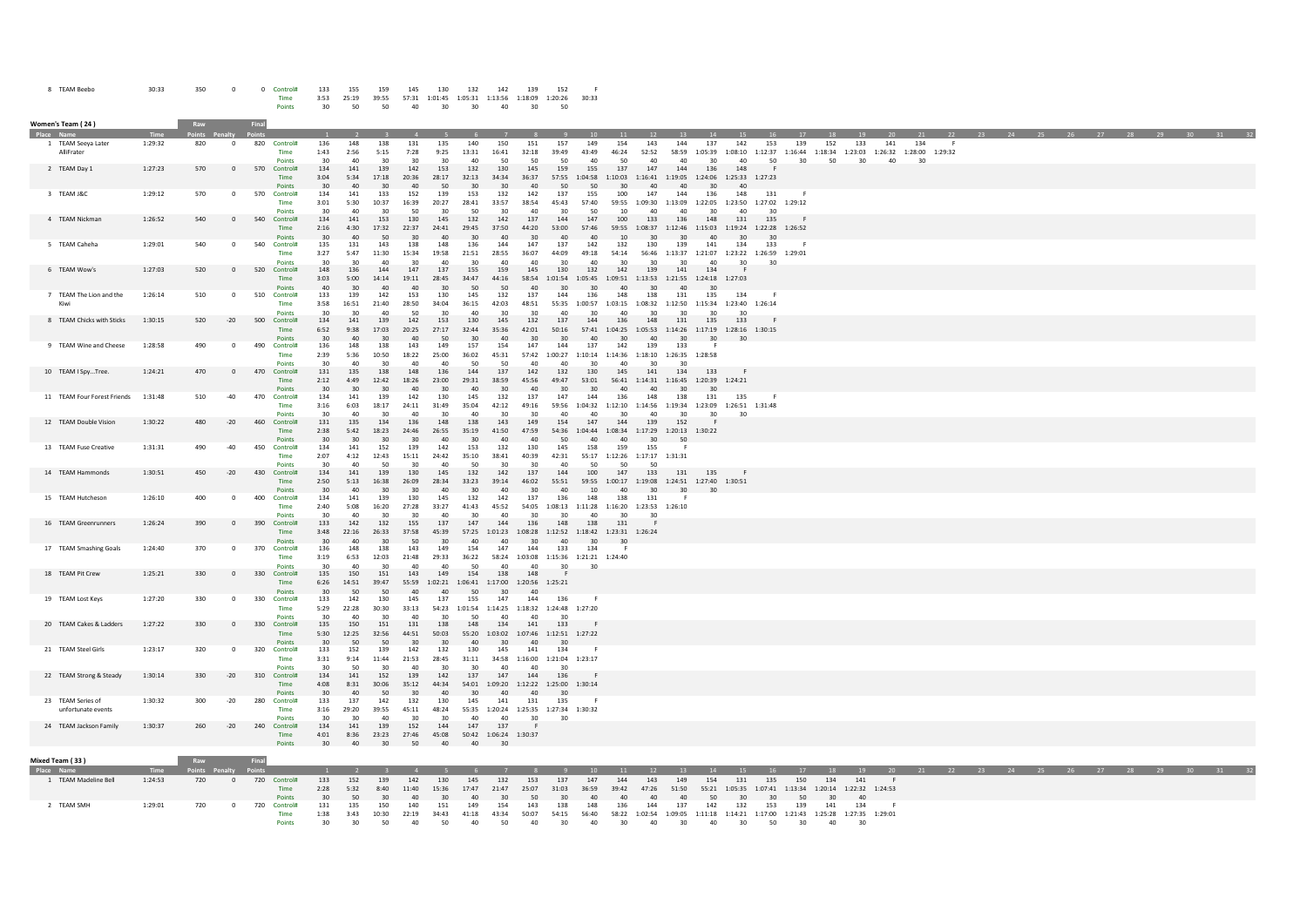| <b>TEAM Beebo</b> | 30:33 | 350 |  | Control# | 133  | 155   | 159   | 145   | 130     | 132     | 142     | 139     | 152     |       |
|-------------------|-------|-----|--|----------|------|-------|-------|-------|---------|---------|---------|---------|---------|-------|
|                   |       |     |  | Time     | 3:53 | 25:19 | 39:55 | 57:31 | 1:01:45 | 1:05:31 | 1:13:56 | 1:18:09 | 1:20:26 | 30:33 |
|                   |       |     |  | Points   | 30   | 50    | 50    | 40    | 30      | 30      | 40      | 30      | 50      |       |

| Women's Team ( 24 )                            |                    | Raw                   |                         | Final |                                            |                                |                           |                              |                                 |                                                      |                                 |                                 |                                                                           |                             |                                   |                                                                    |                          |                                                 |                             |                                                                    |                                      |                                                                                                   |                                            |                 |                                                                |                 |    |  |  |          |        |  |
|------------------------------------------------|--------------------|-----------------------|-------------------------|-------|--------------------------------------------|--------------------------------|---------------------------|------------------------------|---------------------------------|------------------------------------------------------|---------------------------------|---------------------------------|---------------------------------------------------------------------------|-----------------------------|-----------------------------------|--------------------------------------------------------------------|--------------------------|-------------------------------------------------|-----------------------------|--------------------------------------------------------------------|--------------------------------------|---------------------------------------------------------------------------------------------------|--------------------------------------------|-----------------|----------------------------------------------------------------|-----------------|----|--|--|----------|--------|--|
| Place Nan<br>1 TEAM Seeya Later<br>AlliFrater  | Time<br>1:29:32    | 820                   | $\Omega$                | 820   | Control#<br>Time<br>Points                 | 136<br>1:43<br>30              | 148<br>2:56<br>40         | 138<br>5:15<br>30            | 131<br>7:28<br>30               | 135<br>9:25<br>30                                    | 140<br>13:31<br>40              | 150<br>16:41<br>50              | 151<br>32:18<br>50                                                        | 157<br>39:49<br>50          | 149<br>43:49<br>40                | 154<br>46:24<br>50                                                 | 12<br>143<br>52:52<br>40 | 144<br>58:59<br>40                              | 137<br>1:05:39<br>30        | 142<br>40                                                          | 153<br>1:08:10 1:12:37<br>50         | 139<br>1:16:44<br>30                                                                              | <b>18</b><br>152<br>50                     | 19<br>133<br>30 | 20<br>141<br>1:18:34  1:23:03  1:26:32  1:28:00  1:29:32<br>40 | 21<br>134<br>30 | 22 |  |  |          | $30 -$ |  |
| 2 TEAM Day 1                                   | 1:27:23            | 570                   | $\overline{0}$          |       | 570 Control#<br>Time<br>Points             | 134<br>3:04<br>$30^{\circ}$    | 141<br>5:34<br>40         | 139<br>17:18<br>$30^{\circ}$ | 142<br>20:36<br>40              | 153<br>28:17<br>50                                   | 132<br>32:13<br>30 <sup>2</sup> | 130<br>34:34<br>30              | 145<br>36:37<br>40                                                        | 159<br>57:55<br>50          | 155<br>1:04:58<br>50              | 137<br>1:10:03<br>30 <sup>2</sup>                                  | 147<br>40                | 144<br>1:16:41  1:19:05<br>40                   | 136<br>30 <sup>2</sup>      | 148<br>1:24:06 1:25:33 1:27:23<br>40                               |                                      |                                                                                                   |                                            |                 |                                                                |                 |    |  |  |          |        |  |
| 3 TEAM J&C                                     | 1:29:12            | 570                   | $^{\circ}$              | 570   | Control#<br>Time<br>Points                 | 134<br>3:01<br>30              | 141<br>5:30<br>40         | 133<br>10:37<br>30           | 152<br>16:39<br>50              | 139<br>20:27<br>-30                                  | 153<br>28:41<br>50              | 132<br>33:57<br>30              | 142<br>38:54<br>40                                                        | 137<br>45:43<br>30          | 155<br>57:40<br>50                | 100<br>59:55<br>10                                                 | 147<br>40                | 144<br>1:09:30 1:13:09 1:22:05<br>40            | 136<br>30                   | 148<br>40                                                          | 131<br>1:23:50 1:27:02               | 1:29:12                                                                                           |                                            |                 |                                                                |                 |    |  |  |          |        |  |
| 4 TFAM Nickman                                 | 1:26:52            | 540                   | $\mathbf{0}$            | 540   | Control#<br>Time<br>Points                 | 134<br>2:16<br>30              | 141<br>4:30<br>40         | 153<br>17:32<br>50           | 130<br>22:37<br>30              | 145<br>24:41<br>40                                   | 132<br>29:45<br>30              | 142<br>37:50<br>40              | 137<br>44:20<br>30                                                        | 144<br>53:00<br>40          | 147<br>57:46<br>40                | 100<br>10                                                          | 133<br>30                | 136<br>30 <sup>2</sup>                          | 148<br>40                   | 131<br>59:55 1:08:37 1:12:46 1:15:03 1:19:24 1:22:28 1:26:52<br>30 | 135<br>30                            |                                                                                                   |                                            |                 |                                                                |                 |    |  |  |          |        |  |
| 5 TEAM Caheha                                  | 1:29:01            | 540                   | $\overline{0}$          | 540   | Control#<br>Time<br>Points                 | 135<br>3:27<br>30              | 131<br>5:47<br>30         | 143<br>11:30<br>$\Delta$ 0   | 138<br>15:34<br>٩n              | 148<br>19:58<br>40                                   | 136<br>21:51<br>30              | 144<br>28:55<br>40 <sup>2</sup> | 147<br>36:07<br>40                                                        | 137<br>44:09<br>30          | 142<br>49:18<br>40 <sup>2</sup>   | 132<br>54:14<br>30                                                 | 130<br>30                | 139<br>56:46 1:13:37 1:21:07<br>30 <sub>0</sub> | 141<br>40 <sup>2</sup>      | 134<br>30                                                          | 133<br>1:23:22 1:26:59 1:29:01<br>30 |                                                                                                   |                                            |                 |                                                                |                 |    |  |  |          |        |  |
| 6 TEAM Wow's                                   | 1:27:03            | 520                   | $\mathbf{0}$            | 520   | Control#<br>Time<br>Points                 | 148<br>3:03<br>40              | 136<br>5:00<br>30         | 144<br>14:14<br>40           | 147<br>19:11<br>40              | 137<br>28:45<br>30                                   | 155<br>34:47<br>50              | 159<br>44:16<br>50              | 145<br>58:54<br>40                                                        | 130<br>1:01:54<br>30        | 132<br>30 <sub>2</sub>            | 142<br>1:05:45 1:09:51<br>40                                       | 139<br>$30^{\circ}$      | 141<br>40                                       | 134<br>$30^{\circ}$         | 1:13:53  1:21:55  1:24:18  1:27:03                                 |                                      |                                                                                                   |                                            |                 |                                                                |                 |    |  |  |          |        |  |
| 7 TEAM The Lion and the<br>Kiw                 | 1:26:14            | 510                   | $\overline{\mathbf{0}}$ |       | 510 Control#<br>Time<br>Points             | 133<br>3:58<br>30              | 139<br>16:51<br>30        | 142<br>21:40<br>40           | 153<br>28:50<br>50              | 130<br>34:04<br>30                                   | 145<br>36:15<br>40              | 132<br>42:03<br>30 <sub>o</sub> | 137<br>48:51<br>30                                                        | 144<br>55:35<br>40          | 136<br>1:00:57<br>30              | 148<br>1:03:15<br>40                                               | 138<br>30                | 131<br>30                                       | 135<br>30                   | 134<br>1:08:32 1:12:50 1:15:34 1:23:40 1:26:14<br>30               |                                      |                                                                                                   |                                            |                 |                                                                |                 |    |  |  |          |        |  |
| 8 TEAM Chicks with Sticks                      | 1:30:15            | 520                   | $-20$                   |       | 500 Control#<br>Time<br>Points             | 134<br>6:52<br>30              | 141<br>9:38<br>40         | 139<br>17:03<br>30           | 142<br>20:25<br>40              | 153<br>27:17<br>50                                   | 130<br>32:44<br>30              | 145<br>35:36<br>40              | 132<br>42:01<br>30                                                        | 137<br>50:16<br>30          | 144<br>57:41<br>40                | 136<br>30                                                          | 148<br>40                | 131<br>30                                       | 135<br>30                   | 133<br>1:04:25 1:05:53 1:14:26 1:17:19 1:28:16 1:30:15<br>30       |                                      |                                                                                                   |                                            |                 |                                                                |                 |    |  |  |          |        |  |
| 9 TEAM Wine and Cheese                         | 1:28:58            | 490                   | $^{\circ}$              | 490   | Control#<br>Time<br>Points                 | 136<br>2:39<br>30              | 148<br>5:36<br>40         | 138<br>10:50<br>30           | 143<br>18:22<br>40              | 149<br>25:00<br>40                                   | 157<br>36:02<br>50              | 154<br>45:31<br>50              | 147<br>40                                                                 | 144<br>40                   | 137<br>٩n                         | 142<br>57:42 1:00:27 1:10:14 1:14:36 1:18:10 1:26:35 1:28:58<br>40 | 139<br>30                | 133                                             |                             |                                                                    |                                      |                                                                                                   |                                            |                 |                                                                |                 |    |  |  |          |        |  |
| 10 TEAM I SpyTree.                             | 1:24:21            | 470                   | $\Omega$                |       | 470 Control#<br>Time<br>Points             | 131<br>2:12<br>30              | 135<br>4:49<br>30         | 138<br>12:42<br>30           | 148<br>18:26<br>40              | 136<br>23:00<br>30                                   | 144<br>29:31<br>40              | 137<br>38:59<br>30              | 142<br>45:56<br>40                                                        | 132<br>49:47<br>30          | 130<br>53:01<br>30                | 145<br>40                                                          | 141<br>40                | 134<br>30                                       | 133<br>30                   | 56:41  1:14:31  1:16:45  1:20:39  1:24:21                          |                                      |                                                                                                   |                                            |                 |                                                                |                 |    |  |  |          |        |  |
| 11 TEAM Four Forest Friends                    | 1:31:48            | 510                   | $-40$                   |       | 470 Control#<br>Time<br>Points             | 134<br>3:16<br>30              | 141<br>6:03<br>40         | 139<br>18:17<br>30           | 142<br>24:11<br>40 <sup>2</sup> | 130<br>31:49<br>30                                   | 145<br>35:04<br>40              | 132<br>42:12<br>30 <sub>0</sub> | 137<br>49:16<br>30                                                        | 147<br>59:56<br>40          | 144<br>1:04:32<br>40 <sup>2</sup> | 136<br>30                                                          | 148<br>40                | 138<br>30 <sub>o</sub>                          | 131<br>30                   | 135<br>1:12:10  1:14:56  1:19:34  1:23:09  1:26:51  1:31:48<br>30  |                                      |                                                                                                   |                                            |                 |                                                                |                 |    |  |  |          |        |  |
| 12 TEAM Double Vision                          | 1:30:22            | 480                   | $-20$                   |       | 460 Control#<br>Time<br>Points             | 131<br>2:38<br>30              | 135<br>5:42<br>30         | 134<br>18:23<br>$30^{\circ}$ | 136<br>24:46<br>30              | 148<br>26:55<br>40                                   | 138<br>35:19<br>30              | 143<br>41:50<br>40              | 149<br>47:59<br>40                                                        | 154<br>54:36<br>50          | 147<br>40                         | 144<br>1:04:44 1:08:34 1:17:29 1:20:13 1:30:22<br>40               | 139<br>$30^{\circ}$      | 152<br>50                                       |                             |                                                                    |                                      |                                                                                                   |                                            |                 |                                                                |                 |    |  |  |          |        |  |
| 13 TEAM Fuse Creative<br>14 TEAM Hammonds      | 1:31:31<br>1:30:51 | 490<br>450            | $-40$<br>$-20$          | 450   | Control#<br>Time<br>Points<br>430 Control# | 134<br>2:07<br>30<br>134       | 141<br>4:12<br>40         | 152<br>12:43<br>50<br>139    | 139<br>15:11<br>30<br>130       | 142<br>24:42<br>40<br>145                            | 153<br>35:10<br>50<br>132       | 132<br>38:41<br>30<br>142       | 130<br>40:39<br>30                                                        | 145<br>42:31<br>40<br>144   | 158<br>50<br>100                  | 159<br>55:17 1:12:26 1:17:17 1:31:31<br>50<br>147                  | 155<br>50<br>133         | - 6<br>131                                      | 135                         |                                                                    |                                      |                                                                                                   |                                            |                 |                                                                |                 |    |  |  |          |        |  |
| 15 TEAM Hutcheson                              |                    |                       | $^{\circ}$              | 400   | Time<br>Points<br>Control#                 | 2:50<br>30                     | 141<br>5:13<br>40         | 16:38<br>30                  | 26:09<br>30                     | 28:34<br>40<br>145                                   | 33:23<br>30                     | 39:14<br>40<br>142              | 137<br>46:02<br>30                                                        | 55:51<br>40                 | 10<br>148                         | 40<br>138                                                          | 30                       | 30                                              | 30                          | 59:55  1:00:17  1:19:08  1:24:51  1:27:40  1:30:51                 |                                      |                                                                                                   |                                            |                 |                                                                |                 |    |  |  |          |        |  |
|                                                | 1:26:10<br>1:26:24 | 400                   | $\overline{0}$          |       | Time<br>Points<br>Control#                 | 134<br>2:40<br>30 <sub>0</sub> | 141<br>5:08<br>40         | 139<br>16:20<br>30           | 130<br>27:28<br>30              | 33:27<br>40                                          | 132<br>41:43<br>30              | 45:52<br>40<br>144              | 137<br>54:05<br>30                                                        | 136<br>1:08:13<br>30<br>148 | 40<br>138                         | 1:11:28  1:16:20  1:23:53  1:26:10<br>30                           | 131<br>30                |                                                 |                             |                                                                    |                                      |                                                                                                   |                                            |                 |                                                                |                 |    |  |  |          |        |  |
| 16 TEAM Greenrunners<br>17 TEAM Smashing Goals | 1:24:40            | 390<br>370            | $^{\circ}$              | 390   | Time<br>Points<br>370 Control#             | 133<br>3:48<br>30<br>136       | 142<br>22:16<br>40<br>148 | 132<br>26:33<br>30<br>138    | 155<br>37:58<br>50<br>143       | 137<br>45:39<br>30<br>149                            | 147<br>40<br>154                | 40<br>147                       | 136<br>57:25 1:01:23 1:08:28 1:12:52 1:18:42 1:23:31 1:26:24<br>30<br>144 | 40<br>133                   | 30<br>134                         | 131<br>30                                                          |                          |                                                 |                             |                                                                    |                                      |                                                                                                   |                                            |                 |                                                                |                 |    |  |  |          |        |  |
| 18 TEAM Pit Crew                               | 1:25:21            | 330                   | $\mathbf 0$             | 330   | Time<br>Points<br>Control#                 | 3:19<br>30<br>135              | 6:53<br>40<br>150         | 12:03<br>30<br>151           | 21:48<br>40<br>143              | 29:33<br>40<br>149                                   | 36:22<br>50<br>154              | 58:24<br>40<br>138              | 1:03:08  1:15:36  1:21:21  1:24:40<br>40<br>148                           | $30^{\circ}$                | 30                                |                                                                    |                          |                                                 |                             |                                                                    |                                      |                                                                                                   |                                            |                 |                                                                |                 |    |  |  |          |        |  |
| 19 TEAM Lost Keys                              | 1:27:20            | 330                   | $\overline{\mathbf{0}}$ | 330   | Time<br>Points<br>Control#                 | 6:26<br>30<br>133              | 14:51<br>50<br>142        | 39:47<br>50<br>130           | 55:59<br>40<br>145              | 1:02:21 1:06:41 1:17:00 1:20:56 1:25:21<br>40<br>137 | 50<br>155                       | 30<br>147                       | 40<br>144                                                                 | 136                         |                                   |                                                                    |                          |                                                 |                             |                                                                    |                                      |                                                                                                   |                                            |                 |                                                                |                 |    |  |  |          |        |  |
| 20 TEAM Cakes & Ladders                        | 1:27:22            | 330                   | $\overline{0}$          |       | Time<br>Points<br>330 Control#             | 5:29<br>30<br>135              | 22:28<br>40<br>150        | 30:30<br>30<br>151           | 33:13<br>40<br>131              | 30<br>138                                            | 50<br>148                       | 40<br>134                       | 54:23 1:01:54 1:14:25 1:18:32 1:24:48 1:27:20<br>40<br>141                | 133                         |                                   |                                                                    |                          |                                                 |                             |                                                                    |                                      |                                                                                                   |                                            |                 |                                                                |                 |    |  |  |          |        |  |
| 21 TEAM Steel Girls                            | 1:23:17            | 320                   | $\overline{\mathbf{0}}$ | 320   | Time<br>Points<br>Control#                 | 5:30<br>30 <sup>2</sup><br>133 | 12:25<br>50<br>152        | 32:56<br>50<br>139           | 44:51<br>30<br>142              | 50:03<br>30<br>132                                   | 40 <sup>2</sup><br>130          | 30<br>145                       | 55:20  1:03:02  1:07:46  1:12:51  1:27:22<br>40<br>141                    | 30<br>134                   |                                   |                                                                    |                          |                                                 |                             |                                                                    |                                      |                                                                                                   |                                            |                 |                                                                |                 |    |  |  |          |        |  |
| 22 TEAM Strong & Steady                        | 1:30:14            | 330                   | $-20$                   | 310   | Time<br>Points<br>Control#                 | 3:31<br>30<br>134              | 9:14<br>50<br>141         | 11:44<br>30<br>152           | 21:53<br>40<br>139              | 28:45<br>30<br>142                                   | 31:11<br>-30<br>137             | 40<br>147                       | 34:58 1:16:00 1:21:04 1:23:17<br>40<br>144                                | -30<br>136                  |                                   |                                                                    |                          |                                                 |                             |                                                                    |                                      |                                                                                                   |                                            |                 |                                                                |                 |    |  |  |          |        |  |
| 23 TEAM Series of                              | 1:30:32            | 300                   | $-20$                   |       | Time<br>Points<br>280 Control#             | 4:08<br>30<br>133              | 8:31<br>40<br>137         | 30:06<br>50<br>142           | 35:12<br>30<br>132              | 44:34<br>40<br>130                                   | 30<br>145                       | 40<br>141                       | 54:01  1:09:20  1:12:22  1:25:00  1:30:14<br>40<br>131                    | 30<br>135                   | - F                               |                                                                    |                          |                                                 |                             |                                                                    |                                      |                                                                                                   |                                            |                 |                                                                |                 |    |  |  |          |        |  |
| unfortunate events<br>24 TEAM Jackson Family   | 1:30:37            | 260                   | $-20$                   | 240   | Time<br>Points<br>Control#                 | 3:16<br>30<br>134              | 29:20<br>30<br>141        | 39:55<br>40<br>139           | 45:11<br>30<br>152              | 48:24<br>$30^{\circ}$<br>144                         | 40<br>147                       | 40<br>137                       | 55:35  1:20:24  1:25:35  1:27:34  1:30:32<br>30                           | 30                          |                                   |                                                                    |                          |                                                 |                             |                                                                    |                                      |                                                                                                   |                                            |                 |                                                                |                 |    |  |  |          |        |  |
|                                                |                    |                       |                         |       | Time<br>Points                             | 4:01<br>$30^{\circ}$           | 8:36<br>40                | 23:23<br>30                  | 27:46<br>50                     | 45:08<br>40                                          | 40                              | 50:42  1:06:24  1:30:37<br>30   |                                                                           |                             |                                   |                                                                    |                          |                                                 |                             |                                                                    |                                      |                                                                                                   |                                            |                 |                                                                |                 |    |  |  |          |        |  |
| Mixed Team (33 )                               |                    | Raw                   |                         |       |                                            |                                |                           |                              |                                 |                                                      |                                 |                                 |                                                                           |                             |                                   |                                                                    |                          |                                                 |                             |                                                                    |                                      |                                                                                                   |                                            |                 |                                                                |                 |    |  |  |          |        |  |
| 1 TEAM Madeline Bell                           | Time<br>1:24:53    | 'oints Penaltv<br>720 | $\mathbf{0}$            |       | 720 Control#<br>Time<br>Points             | 133<br>2:28<br>30              | 152<br>5:32<br>50         | 139<br>8:40<br>30            | 142<br>11:40<br>40              | 130<br>15:36<br>30                                   | 145<br>17:47<br>40              | 132<br>21:47<br>30              | 153<br>25:07<br>50                                                        | 137<br>31:03<br>30          | 147<br>36:59<br>40                | 144<br>39:42<br>40                                                 | 143<br>47:26<br>40       | 149<br>51:50<br>40                              | $-14$<br>154<br>55:21<br>50 | 131<br>30                                                          | 135<br>1:05:35 1:07:41<br>30         | 17<br>150<br>1:13:34<br>50                                                                        | 18<br>134<br>1:20:14 1:22:32 1:24:53<br>30 | 19<br>141<br>40 | 20                                                             | 21              |    |  |  | 27 28 29 |        |  |
| 2 TEAM SMH                                     | 1:29:01            | 720                   | $^{\circ}$              |       | 720 Control#<br>Time<br>Points             | 131<br>1:38<br>$30^{\circ}$    | 135<br>3:43<br>30         | 150<br>10:30<br>50           | 140<br>22:19<br>40              | 151<br>34:43<br>50                                   | 149<br>41:18<br>40              | 154<br>43:34<br>50              | 143<br>50:07<br>40                                                        | 138<br>54:15<br>30          | 148<br>56:40<br>40 <sup>2</sup>   | 136<br>58:22<br>$30^{\circ}$                                       | 144<br>40                | 137<br>30 <sub>1</sub>                          | 142<br>40 <sup>2</sup>      | 132<br>30 <sub>0</sub>                                             | 153<br>50                            | 139<br>1:02:54 1:09:05 1:11:18 1:14:21 1:17:00 1:21:43 1:25:28 1:27:35 1:29:01<br>30 <sub>o</sub> | 141<br>40                                  | 134<br>30       | - 6                                                            |                 |    |  |  |          |        |  |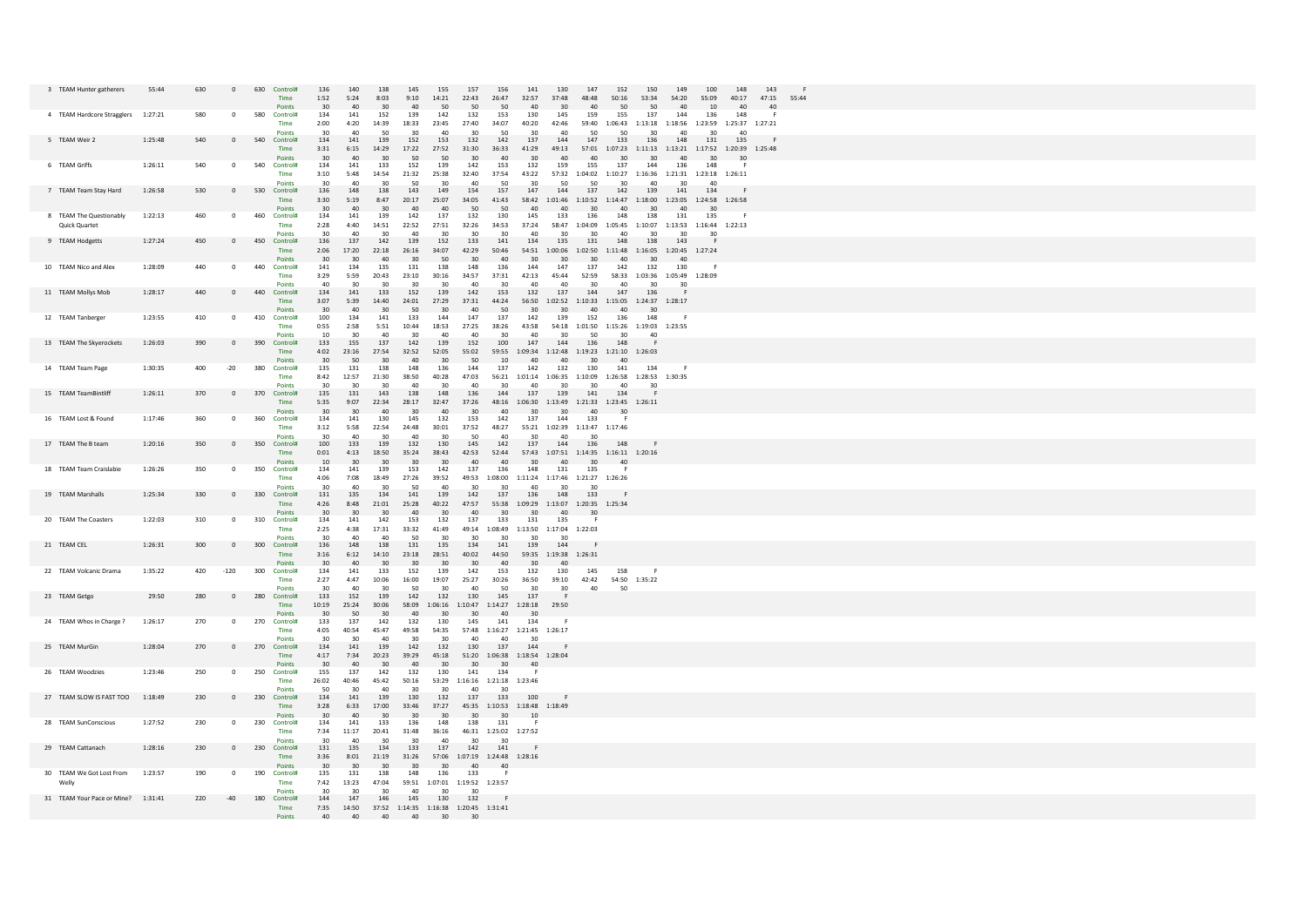| 3 TEAM Hunter gatherers                  | 55:44   | 630<br>$\mathbf{0}$   | 630<br>Control#<br>Time                              | 136<br>1:52<br>30           | 140<br>138<br>5:24<br>8:03<br>40<br>30                        | 145<br>155<br>157<br>156<br>141<br>130<br>147<br>152<br>150<br>149<br>100<br>148<br>143<br>9:10<br>14:21<br>22:43<br>26:47<br>32:57<br>37:48<br>53:34<br>54:20<br>55:09<br>48:48<br>50:16<br>40:17<br>47:15<br>55:44<br>40<br>50<br>50<br>50<br>40<br>30 <sub>o</sub><br>40<br>50<br>50<br>40<br>10<br>40 |
|------------------------------------------|---------|-----------------------|------------------------------------------------------|-----------------------------|---------------------------------------------------------------|-----------------------------------------------------------------------------------------------------------------------------------------------------------------------------------------------------------------------------------------------------------------------------------------------------------|
| 4 TEAM Hardcore Stragglers               | 1:27:21 |                       | 580<br>Control<br>Time                               | 134<br>2:00                 | 141<br>152<br>4:20<br>14:39                                   | 139<br>142<br>132<br>153<br>130<br>145<br>159<br>155<br>137<br>144<br>136<br>148<br>18:33<br>23:45<br>27:40<br>34:07<br>40:20<br>42:46<br>59:40 1:06:43 1:13:18 1:18:56 1:23:59 1:25:37 1:27:21                                                                                                           |
| 5 TEAM Weir 2                            | 1:25:48 | 540<br>$\mathbf{0}$   | Points<br>540<br>Control#<br>Time                    | 30<br>134<br>3:31           | 40<br>50<br>141<br>139<br>6:15<br>14:29                       | 50<br>30<br>30<br>40<br>30<br>40<br>30<br>40<br>152<br>132<br>142<br>144<br>153<br>137<br>147<br>133<br>136<br>148<br>131<br>135<br>17:22<br>27:52<br>31:30<br>36:33<br>41:29<br>49:13<br>57:01 1:07:23 1:11:13 1:13:21 1:17:52 1:20:39 1:25:48                                                           |
| 6 TEAM Griffs                            | 1:26:11 | 540<br>$\Omega$       | Points<br>540<br>Control#<br><b>Time</b>             | $30^{\circ}$<br>134<br>3:10 | 40<br>$30^{\circ}$<br>141<br>133<br>14:54<br>5:48<br>21:32    | 30<br>30<br>50<br>50<br>40<br>40<br>$30^{\circ}$<br>$30^{\circ}$<br>40<br>40<br>$30^{\circ}$<br>30<br>142<br>152<br>139<br>153<br>132<br>159<br>155<br>137<br>144<br>136<br>148<br>32:40<br>37:54<br>43:22<br>57:32  1:04:02  1:10:27  1:16:36  1:21:31  1:23:18  1:26:11<br>25:38                        |
| 7 TEAM Team Stav Hard                    | 1:26:58 | 530                   | Points<br>530<br>$\Omega$<br>Control#<br><b>Time</b> | 30<br>136<br>3:30           | 40<br>30<br>148<br>138<br>8:47<br>5:19                        | 40<br>50<br>30<br>-50<br>30<br>50<br>50<br>30<br>40<br>30<br>$\Delta$ 0<br>143<br>157<br>144<br>149<br>154<br>147<br>137<br>142<br>139<br>141<br>134<br>25:07<br>34:05<br>41:43<br>58:42<br>$1:01:46 \qquad 1:10:52 \qquad 1:14:47 \qquad 1:18:00 \qquad 1:23:05 \qquad 1:24:58 \qquad 1:26:58$<br>20:17  |
| 8 TEAM The Questionably<br>Quick Quartet | 1:22:13 | 460<br>$\circ$        | Points<br>460<br>Control#<br>Time                    | 30<br>134<br>2:28           | 40<br>30 <sup>2</sup><br>141<br>139<br>4:40<br>14:51<br>22:52 | 40<br>40<br>50<br>50<br>40<br>40<br>30<br>40<br>30 <sup>2</sup><br>40<br>30 <sup>2</sup><br>142<br>137<br>132<br>130<br>145<br>133<br>136<br>148<br>138<br>131<br>135<br>27:51<br>32:26<br>34:53<br>37:24<br>58:47 1:04:09 1:05:45 1:10:07 1:13:53 1:16:44 1:22:13                                        |
| 9 TEAM Hodgetts                          | 1:27:24 | 450<br>$\mathsf 0$    | Points<br>450 Control#<br>Time                       | 30<br>136<br>2:06           | $\Delta \Omega$<br>30<br>137<br>142<br>17:20<br>22:18         | 40<br>30<br>30<br>30<br>40<br>30<br>30<br>$\Delta \Omega$<br>30<br>30<br>-30<br>139<br>152<br>133<br>141<br>134<br>135<br>131<br>148<br>138<br>143<br>- 6<br>34:07<br>42:29<br>1:00:06 1:02:50 1:11:48 1:16:05 1:20:45 1:27:24<br>26:16<br>50:46<br>54:51                                                 |
| 10 TEAM Nico and Alex                    | 1:28:09 | 440<br>$\circ$        | Points<br>440<br>Control#<br>Time                    | 30<br>141<br>3:29           | 30<br>40<br>134<br>135<br>5:59<br>20:43<br>23:10              | 30<br>50<br>30<br>40<br>30<br>30<br>$30^{\circ}$<br>40<br>30<br>40<br>148<br>136<br>144<br>147<br>137<br>132<br>131<br>138<br>142<br>130<br>34:57<br>30:16<br>37:31<br>42:13<br>45:44<br>52:59<br>58:33 1:03:36 1:05:49 1:28:09                                                                           |
| 11 TEAM Mollys Mob                       | 1:28:17 | 440<br>$\mathsf 0$    | Points<br>440<br>Control#<br>Time                    | 40<br>134<br>3:07           | 30<br>30<br>141<br>133<br>5:39<br>14:40                       | 40<br>30<br>40<br>40<br>40<br>30<br>30<br>30<br>30<br>30<br>152<br>139<br>142<br>153<br>132<br>137<br>144<br>147<br>136<br>$\mathbf{F}$<br>24:01<br>27:29<br>37:31<br>44:24<br>56:50<br>1:02:52<br>1:10:33 1:15:05 1:24:37 1:28:17                                                                        |
| 12 TEAM Tanberger                        | 1:23:55 | 410<br>0              | Points<br>410<br>Control#<br>Time                    | 30<br>100<br>0:55           | 40<br>30<br>134<br>141<br>2:58<br>5:51                        | 50<br>30<br>40<br>50<br>30<br>30<br>40<br>40<br>30<br>133<br>144<br>147<br>137<br>142<br>139<br>152<br>136<br>148<br>10:44<br>18:53<br>27:25<br>38:26<br>43:58<br>54:18  1:01:50  1:15:26  1:19:03  1:23:55                                                                                               |
| 13 TEAM The Skyerockets                  | 1:26:03 | 390<br>$\mathbf{0}$   | Points<br>390 Control#<br>Time                       | 10<br>133<br>4:02           | 30<br>40<br>137<br>155<br>23:16<br>27:54                      | 30<br>40<br>30<br>40<br>50<br>30<br>40<br>30<br>40<br>152<br>100<br>144<br>142<br>139<br>147<br>136<br>148<br>32:52<br>52:05<br>55:02<br>59:55<br>1:09:34<br>$1:12:48 \quad 1:19:23 \quad 1:21:10 \quad 1:26:03$                                                                                          |
| 14 TEAM Team Page                        | 1:30:35 | 400<br>$-20$          | Points<br>380<br>Control#<br>Time                    | 30<br>135<br>8:42           | 50<br>30<br>131<br>138<br>12:57<br>21:30                      | 50<br>40<br>40<br>30<br>10<br>40<br>30<br>40<br>132<br>148<br>144<br>137<br>142<br>134<br>136<br>130<br>141<br>38:50<br>40:28<br>47:03<br>56:21 1:01:14<br>1:06:35 1:10:09 1:26:58 1:28:53 1:30:35                                                                                                        |
| 15 TEAM TeamBintliff                     | 1:26:11 | 370                   | Points<br>370 Control#<br>$\mathbf{0}$<br>Time       | 30<br>135<br>5:35           | 30<br>30<br>131<br>143<br>9:07<br>22:34                       | 40<br>30<br>40<br>30<br>30<br>40<br>30<br>40<br>30<br>138<br>136<br>137<br>139<br>148<br>144<br>141<br>134<br>48:16  1:06:30  1:13:49  1:21:33  1:23:45  1:26:11<br>28:17<br>32:47<br>37:26                                                                                                               |
| 16 TEAM Lost & Found                     | 1:17:46 | 360<br>$^{\circ}$     | <b>Points</b><br>360<br>Control#<br>Time             | $30^{\circ}$<br>134<br>3:12 | $30^{\circ}$<br>40<br>141<br>130<br>22:54<br>5:58             | 30<br>40<br>30<br>40<br>$30^{\circ}$<br>30<br>40<br>$30^{\circ}$<br>145<br>132<br>153<br>142<br>137<br>144<br>133<br>37:52<br>48:27<br>24:48<br>30:01<br>55:21 1:02:39 1:13:47 1:17:46                                                                                                                    |
| 17 TEAM The B team                       | 1:20:16 | 350<br>$\mathbf{0}$   | Points<br>350 Control#<br><b>Time</b>                | 30<br>100<br>0:01           | 40<br>30<br>133<br>139<br>18:50<br>4:13                       | 40 <sup>2</sup><br>30<br>50<br>40<br>30 <sub>0</sub><br>40<br>30<br>132<br>130<br>145<br>142<br>137<br>144<br>136<br>148<br>42:53<br>38:43<br>52:44<br>57:43  1:07:51  1:14:35  1:16:11  1:20:16<br>35:24                                                                                                 |
| 18 TEAM Team Craislabi                   | 1:26:26 | 350<br>$\circ$        | Points<br>350<br>Control#<br><b>Time</b>             | 10<br>134<br>4:06           | 30<br>30<br>139<br>141<br>18:49<br>7:08                       | 30<br>30<br>40<br>40<br>30<br>40<br>30<br>40<br>142<br>137<br>136<br>148<br>131<br>153<br>135<br>49:53  1:08:00  1:11:24  1:17:46  1:21:27  1:26:26<br>27:26<br>39:52                                                                                                                                     |
| 19 TEAM Marshalls                        | 1:25:34 | 330<br>$\mathbf{0}$   | 330<br>Control#<br>Time                              | $30^{\circ}$<br>131<br>4:26 | 40<br>30<br>135<br>134<br>8:48<br>21:01<br>25:28              | 30<br>50<br>40<br>30<br>40<br>30<br>20<br>141<br>139<br>142<br>137<br>136<br>148<br>133<br>47:57<br>40:22<br>55:38  1:09:29  1:13:07  1:20:35  1:25:34                                                                                                                                                    |
| 20 TEAM The Coasters                     | 1:22:03 | 310<br>$\mathbf 0$    | Points<br>310 Control#<br>Time                       | 30<br>134<br>2:25           | 30<br>30<br>141<br>142<br>4:38<br>17:31                       | 40<br>30<br>40<br>30<br>30<br>40<br>30<br>153<br>132<br>137<br>133<br>131<br>135<br>33:32<br>41:49<br>49:14  1:08:49  1:13:50  1:17:04  1:22:03                                                                                                                                                           |
| 21 TEAM CEL                              | 1:26:31 | 300<br>$\overline{0}$ | Points<br>300 Control#<br>Time                       | 30<br>136<br>3:16           | 40<br>40<br>148<br>138<br>6:12<br>14:10<br>23:18              | 30<br>50<br>30<br>30<br>-30<br>144<br>131<br>135<br>134<br>141<br>139<br>28:51<br>40:02<br>44:50<br>59:35 1:19:38 1:26:31                                                                                                                                                                                 |
| 22 TEAM Volcanic Drama                   | 1:35:22 | 420<br>$-120$         | Points<br>300<br>Control#<br>Time                    | 30<br>134<br>2:27           | $30^{\circ}$<br>40<br>141<br>133<br>4:47<br>10:06             | 30<br>30 <sub>o</sub><br>30<br>$30^{\circ}$<br>40<br>40<br>152<br>153<br>139<br>142<br>132<br>130<br>145<br>158<br>25:27<br>54:50 1:35:22<br>16:00<br>19:07<br>30:26<br>36:50<br>39:10<br>42:42                                                                                                           |
| 23 TEAM Getgo                            | 29:50   | 280<br>$\Omega$       | Points<br>280<br>Control#<br>Time                    | 30<br>133<br>10:19          | 40<br>30<br>152<br>139<br>25:24<br>30:06                      | 40<br>-50<br>30<br>30<br>40<br>- 50<br>-30<br>142<br>130<br>132<br>145<br>137<br>58:09  1:06:16  1:10:47  1:14:27  1:28:18<br>29:50                                                                                                                                                                       |
| 24 TEAM Whos in Charge?                  | 1:26:17 | 270<br>$\overline{0}$ | Points<br>270<br>Control#<br>Time                    | 30<br>133<br>4:05           | 50<br>30 <sup>°</sup><br>137<br>142<br>45:47<br>40:54         | 40<br>30<br>30 <sup>2</sup><br>40<br>30 <sup>2</sup><br>132<br>130<br>145<br>141<br>134<br>F<br>57:48 1:16:27 1:21:45 1:26:17<br>49:58<br>54:35                                                                                                                                                           |
| 25 TEAM MurGin                           | 1:28:04 | 270<br>$\mathsf 0$    | Points<br>270<br>Control#<br>Time                    | 30<br>134<br>4:17           | 30<br>40<br>141<br>139<br>7:34<br>20:23<br>39:29              | 30<br>40<br>30<br>40<br>30<br>142<br>132<br>130<br>137<br>144<br>45:18<br>51:20 1:06:38 1:18:54 1:28:04                                                                                                                                                                                                   |
| 26 TEAM Woodzies                         | 1:23:46 | 250<br>$^{\circ}$     | Points<br>250<br>Control#<br>Time                    | 30<br>155<br>26:02          | 40<br>30 <sub>o</sub><br>137<br>142<br>40:46<br>45:42         | 30<br>30 <sup>°</sup><br>$30^{\circ}$<br>40<br>40<br>132<br>130<br>141<br>134<br>50:16<br>53:29 1:16:16 1:21:18 1:23:46                                                                                                                                                                                   |
| 27 TEAM SLOW IS FAST TOO                 | 1:18:49 | 230<br>$\mathbf{0}$   | Points<br>230<br>Control#<br>Time                    | 50<br>134<br>3:28           | 30<br>40<br>141<br>139<br>6:33<br>17:00                       | 30<br>40<br>30<br>130<br>132<br>137<br>133<br>100<br>45:35 1:10:53 1:18:48 1:18:49<br>33:46<br>37:27                                                                                                                                                                                                      |
| 28 TEAM SunConscious                     | 1:27:52 | 230<br>$^{\circ}$     | <b>Points</b><br>230 Control#<br>Time                | 30<br>134<br>7:34           | 40<br>30<br>141<br>133<br>11:17<br>20:41                      | 30<br>30<br>30<br>$30^{\circ}$<br>10<br>136<br>138<br>131<br>148<br>31:48<br>36:16<br>46:31 1:25:02 1:27:52                                                                                                                                                                                               |
| 29 TEAM Cattanach                        | 1:28:16 | 230<br>$\overline{0}$ | Points<br>230 Control#<br>Time                       | 30<br>131<br>3:36           | 40<br>30<br>135<br>134<br>8:01<br>21:19                       | 30<br>30<br>40<br>133<br>137<br>142<br>141<br>31:26<br>57:06 1:07:19 1:24:48 1:28:16                                                                                                                                                                                                                      |
| 30 TEAM We Got Lost From<br>Welly        | 1:23:57 | 190<br>$\Omega$       | Points<br>190 Control#<br>Time                       | $30^{\circ}$<br>135<br>7:42 | 30<br>$30^{\circ}$<br>131<br>138<br>13:23<br>47:04            | 30<br>30<br>40<br>40<br>148<br>136<br>133<br>- 6<br>59:51<br>1:07:01  1:19:52  1:23:57                                                                                                                                                                                                                    |
| 31 TFAM Your Pace or Mine? 1:31:41       |         | 220<br>$-40$          | Points<br>180<br>Control#<br>Time                    | 30<br>144<br>7:35           | 30<br>30<br>147<br>146<br>14:50                               | 40 <sup>2</sup><br>30<br>-30<br>132<br>145<br>130<br>37:52  1:14:35  1:16:38  1:20:45  1:31:41                                                                                                                                                                                                            |
|                                          |         |                       | Points                                               | 40                          | 40<br>40 40 30                                                | 30                                                                                                                                                                                                                                                                                                        |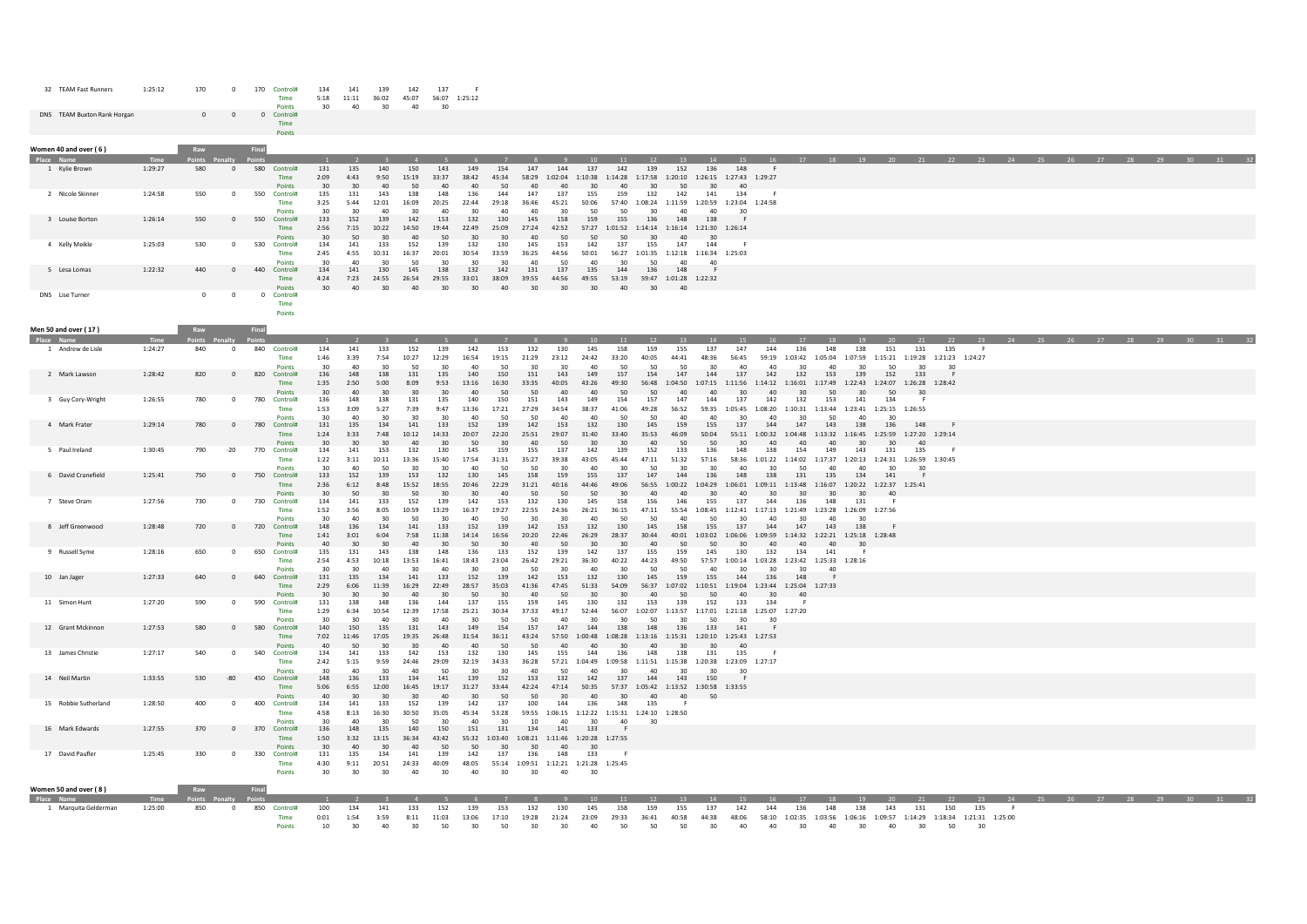| 32 TEAM Fast Runners        | 1:25:12 | 170            |            | 170<br>Control#<br>Time | 134<br>5:18     | 11:11 | 139<br>36:02    | 142<br>45:07 | 137   | 56:07 1:25:12 |       |       |         |         |         |         |         |                 |                         |                 |  |  |  |  |  |  |  |  |
|-----------------------------|---------|----------------|------------|-------------------------|-----------------|-------|-----------------|--------------|-------|---------------|-------|-------|---------|---------|---------|---------|---------|-----------------|-------------------------|-----------------|--|--|--|--|--|--|--|--|
|                             |         |                |            | <b>Points</b>           | 30 <sub>0</sub> | 40    | 30 <sub>1</sub> | 40           | 30    |               |       |       |         |         |         |         |         |                 |                         |                 |  |  |  |  |  |  |  |  |
| DNS TEAM Buxton Rank Horgan |         | $\overline{0}$ | $^{\circ}$ | 0 Control#              |                 |       |                 |              |       |               |       |       |         |         |         |         |         |                 |                         |                 |  |  |  |  |  |  |  |  |
|                             |         |                |            | Time                    |                 |       |                 |              |       |               |       |       |         |         |         |         |         |                 |                         |                 |  |  |  |  |  |  |  |  |
|                             |         |                |            | Points                  |                 |       |                 |              |       |               |       |       |         |         |         |         |         |                 |                         |                 |  |  |  |  |  |  |  |  |
|                             |         |                |            |                         |                 |       |                 |              |       |               |       |       |         |         |         |         |         |                 |                         |                 |  |  |  |  |  |  |  |  |
| Women 40 and over (6)       |         | Raw            |            | Final                   |                 |       |                 |              |       |               |       |       |         |         |         |         |         |                 |                         |                 |  |  |  |  |  |  |  |  |
| Place Name                  | Time    | Points Penalty |            | <b>Points</b>           |                 |       |                 |              |       |               |       |       |         |         |         |         |         |                 |                         |                 |  |  |  |  |  |  |  |  |
| 1 Kylie Brown               | 1:29:27 | 580            |            | 580<br>Control#         | 131             |       | 140             | 150          | 143   |               |       | 147   | 144     | 137     |         |         | 152     | 136             | 148                     |                 |  |  |  |  |  |  |  |  |
|                             |         |                |            | Time                    | 2:09            | 4:43  | 9:50            | 15:19        | 33:37 | 38:42         | 45:34 | 58:29 | 1:02:04 | 1:10:38 | 1:14:28 | 1:17:58 | 1:20:10 |                 | 1:26:15 1:27:43 1:29:27 |                 |  |  |  |  |  |  |  |  |
|                             |         |                |            | <b>Points</b>           |                 |       |                 |              |       |               |       |       |         |         |         |         |         |                 | 40                      |                 |  |  |  |  |  |  |  |  |
| 2 Nicole Skinner            | 1:24:58 | 550            | $^{\circ}$ | 550<br>Control#         | 135             |       | 143             | 138          |       |               |       | 147   |         | 155     |         | 132     | 142     | 141             | 134                     |                 |  |  |  |  |  |  |  |  |
|                             |         |                |            | Time                    | 3:25            | 5:44  |                 | 16:09        | 20:25 |               |       |       |         | 50:06   | 57:40   | 1:08:24 | 1:11:59 | 1:20:59         |                         | 1:23:04 1:24:58 |  |  |  |  |  |  |  |  |
|                             |         |                |            | Points                  |                 |       |                 |              |       |               |       |       |         |         |         |         |         |                 | 30                      |                 |  |  |  |  |  |  |  |  |
| 3 Louise Borton             | 1:26:14 | 550            | $\Omega$   | 550<br>Control#         | 133             | 152   | 139             | 142          | 153   |               |       | 145   |         | 159     |         |         | 148     | 138             |                         |                 |  |  |  |  |  |  |  |  |
|                             |         |                |            | Time                    | 2:56            | 7:15  | 10:22           | 14:50        | 19:44 | 2:49          | 25:09 |       | 42:52   | 57.27   | 1:01:52 | 1:14:14 | 1:16:14 |                 | 1:21:30 1:26:14         |                 |  |  |  |  |  |  |  |  |
|                             |         |                |            | <b>Points</b>           |                 |       |                 |              |       |               |       |       |         |         |         |         |         | 30              |                         |                 |  |  |  |  |  |  |  |  |
| 4 Kelly Meikle              | 1:25:03 | 530            | $^{\circ}$ | 530<br>Control#         | 134             |       | 133             | 152          | 139   |               |       | 145   | 153     | 142     |         |         | 147     | 144             |                         |                 |  |  |  |  |  |  |  |  |
|                             |         |                |            | Time                    | 2:45            | 4:55  | 10:31           | 16:37        | 20:01 |               | 3:59ء |       |         | 50:01   | 56:27   | 1:01:35 |         |                 | 1:12:18 1:16:34 1:25:03 |                 |  |  |  |  |  |  |  |  |
|                             |         |                |            | Points                  |                 |       |                 | 50           |       |               |       |       |         |         |         |         |         | 40              |                         |                 |  |  |  |  |  |  |  |  |
| 5 Lesa Lomas                | 1:22:32 | 440            |            | 440<br>Control#         | 134             |       | 130             | 145          | 138   |               |       | 131   | 137     | 135     |         |         | 148     |                 |                         |                 |  |  |  |  |  |  |  |  |
|                             |         |                |            | Time                    | 4:24            | 7:23  | 24:55           | 26:54        | 29:55 | 33:01         | 38:09 | 39:55 | 44:56   | 49:55   | 53:19   | 59:47   |         | 1:01:28 1:22:32 |                         |                 |  |  |  |  |  |  |  |  |
|                             |         |                |            | Points                  |                 |       |                 |              |       |               |       |       |         |         |         |         | 40      |                 |                         |                 |  |  |  |  |  |  |  |  |
|                             |         |                |            |                         |                 |       |                 |              |       |               |       |       |         |         |         |         |         |                 |                         |                 |  |  |  |  |  |  |  |  |

DNS Lise Turner 0 0 0 0

Time Points

| Men 50 and over (17)               |                 | Raw                               | Final |                                                 |                                |                                |                             |                            |                              |                                 |                      |                                                        |                      |                                                                 |                                                      |                              |                                      |                      |                            |                       |                                   |                                   |                         |                                                        |                                    |                                      |                                                                              |           |                      |  |                   |  |  |
|------------------------------------|-----------------|-----------------------------------|-------|-------------------------------------------------|--------------------------------|--------------------------------|-----------------------------|----------------------------|------------------------------|---------------------------------|----------------------|--------------------------------------------------------|----------------------|-----------------------------------------------------------------|------------------------------------------------------|------------------------------|--------------------------------------|----------------------|----------------------------|-----------------------|-----------------------------------|-----------------------------------|-------------------------|--------------------------------------------------------|------------------------------------|--------------------------------------|------------------------------------------------------------------------------|-----------|----------------------|--|-------------------|--|--|
| Place Name                         | Time            | Points Penal                      |       |                                                 |                                |                                |                             |                            |                              |                                 |                      |                                                        |                      |                                                                 |                                                      |                              |                                      |                      |                            |                       |                                   |                                   |                         |                                                        |                                    | 22                                   | 23                                                                           |           | 24 25 26 27 28 29 30 |  |                   |  |  |
| 1 Andrew de Lisle                  | 1:24:27         | 840<br>$\Omega$                   |       | 840 Control#<br>Time                            | 134<br>1:46<br>30              | 141<br>3:39<br>40              | 133<br>7:54<br>30           | 152<br>10:27<br>50         | 139<br>12:29<br>30           | 142<br>16:54<br>40              | 153<br>19:15<br>50   | 132<br>21:29<br>30                                     | 130<br>23:12<br>30   | 145<br>24:42<br>40                                              | 158<br>33:20                                         | 159<br>40:05<br>50           | 155<br>44:41<br>50                   | 137<br>48:36<br>30   | 147<br>56:45               | 144<br>59:19          | 136<br>1:03:42                    | 148<br>1:05:04<br>40              | 138<br>1:07:59<br>30    | 151<br>1:15:21<br>50                                   | 131                                | 135<br>1:19:28 1:21:23 1:24:27<br>30 | <b>F</b>                                                                     |           |                      |  |                   |  |  |
| 2 Mark Lawson                      | 1:28:42         | 820<br>- 0                        |       | <b>Points</b><br>820 Control#<br>Time<br>Points | 136<br>1:35<br>30              | 148<br>2:50<br>40              | 138<br>5:00<br>30           | 131<br>8:09<br>30          | 135<br>9:53<br>30            | 140<br>13:16<br>$\Delta$        | 150<br>16:30<br>50   | 151<br>33:35<br>50                                     | 143<br>40:05<br>40   | 149<br>43:26<br>40                                              | 50<br>157<br>49:30<br>50                             | 154<br>56:48<br>50           | 147<br>1:04:50<br>40                 | 144<br>1:07:15<br>40 | 40<br>137<br>1:11:56<br>30 | 40<br>142<br>1:14:12  | 30<br>132<br>1:16:01<br>30        | 153<br>1:17:49<br>50              | 139<br>1:22:43<br>30    | 152<br>1:24:07<br>50                                   | 30<br>133<br>1:26:28 1:28:42<br>30 |                                      |                                                                              |           |                      |  |                   |  |  |
| 3 Guy Cory-Wright                  | 1:26:55         | 780<br>$\Omega$                   | 780   | Control#<br>Time<br><b>Points</b>               | 136<br>1:53<br>30              | 148<br>3:09<br>40              | 138<br>5:27<br>30           | 131<br>7:39<br>30          | 135<br>9:47<br>30            | 140<br>13:36<br>40              | 150<br>17:21<br>50   | 151<br>27:29<br>50                                     | 143<br>34:54<br>40   | 149<br>38:37<br>40                                              | 154<br>41:06<br>50                                   | 157<br>49:28<br>50           | 147<br>56:52<br>40                   | 144<br>59:35<br>40   | 137<br>1:05:45<br>30       | 142<br>1:08:20<br>40  | 132<br>1:10:31<br>30              | 153<br>1:13:44<br>50              | 141<br>1:23:41<br>40    | 134<br>30                                              | - F<br>1:25:15 1:26:55             |                                      |                                                                              |           |                      |  |                   |  |  |
| 4 Mark Frater                      | 1:29:14         | 780<br>$\Omega$                   | 780   | Control#<br>Time<br>Points                      | 131<br>1:24<br>30              | 135<br>3:33<br>30 <sub>2</sub> | 134<br>7:48<br>30           | 141<br>10:12<br>$\Delta$ 0 | 133<br>14:33<br>30           | 152<br>20:07<br>50              | 139<br>22:20<br>30   | 142<br>25:51<br>$\Lambda$ <sup><math>\cap</math></sup> | 153<br>29:07<br>50   | 132<br>31:40<br>30                                              | 130<br>33:40<br>30                                   | 145<br>35:53<br>40           | 159<br>46:09<br>50                   | 155<br>50:04<br>50   | 137<br>55:11<br>30         | 144<br>1:00:32        | 147<br>1:04:48<br>$\Delta \Omega$ | 143<br>1:13:32<br>$\Delta \Omega$ | 138<br>1:16:45<br>30    | 136<br>1:25:59<br>30                                   | 148<br>1:27:20 1:29:14<br>40       |                                      |                                                                              |           |                      |  |                   |  |  |
| 5 Paul Ireland                     | 1:30:45         | $-20$<br>790                      | 770   | Control#<br>Time<br><b>Points</b>               | 134<br>1:22<br>30 <sup>2</sup> | 141<br>3:11<br>40              | 153<br>10:11<br>50          | 132<br>13:36<br>30         | 130<br>15:40<br>30           | 145<br>17:54<br>40              | 159<br>31:31<br>50   | 155<br>35:27<br>50                                     | 137<br>39:38<br>30   | 142<br>43:05<br>40                                              | 139<br>45:44<br>30                                   | 152<br>47:11<br>50           | 133<br>51:32<br>30                   | 136<br>57:16<br>30   | 148<br>58:36<br>40         | 138<br>1:01:22<br>30  | 154<br>1:14:02<br>50              | 149<br>1:17:37<br>40              | 143<br>1:20:13<br>40    | 131<br>1:24:31<br>30                                   | 135<br>1:26:59 1:30:45<br>30       | - F                                  |                                                                              |           |                      |  |                   |  |  |
| 6 David Cranefield                 | 1:25:41         | 750<br>$\Omega$                   |       | 750 Control#<br><b>Time</b><br>Points           | 133<br>2:36<br>30 <sub>2</sub> | 152<br>6:12<br>50              | 139<br>8:48<br>30           | 153<br>15:52<br>50         | 132<br>18:55<br>30           | 130<br>20:46<br>30              | 145<br>22:29<br>40   | 158<br>31:21<br>50                                     | 159<br>40:16<br>50   | 155<br>44:46<br>50                                              | 137<br>49:06<br>30                                   | 147<br>56:55<br>$\Delta$ 0   | 144<br>1:00:22<br>$\Delta$ 0         | 136<br>1:04:29<br>20 | 148<br>1:06:01<br>40       | 138<br>1:09:11<br>30  | 131<br>1:13:48<br>30              | 135<br>1:16:07<br>30 <sub>0</sub> | 134<br>1:20:22<br>30    | 141<br>1:22:37<br>40                                   | 1:25:41                            |                                      |                                                                              |           |                      |  |                   |  |  |
| 7 Steve Oram                       | 1:27:56         | 730<br>- 0                        |       | 730 Control#<br>Time<br><b>Points</b>           | 134<br>1:52<br>30              | 141<br>3:56<br>40              | 133<br>8:05<br>30           | 152<br>10:59<br>50         | 139<br>13:29<br>30           | 142<br>16:37<br>40              | 153<br>19:27<br>50   | 132<br>22:55<br>30                                     | 130<br>24:36<br>30   | 145<br>26:21<br>40                                              | 158<br>36:15<br>50                                   | 156<br>47:11<br>50           | 146<br>55:54<br>40                   | 155<br>1:08:45<br>50 | 137<br>30                  | 144<br>40             | 136<br>30                         | 148<br>40                         | 131<br>30               | - 6<br>1:12:41 1:17:13 1:21:49 1:23:28 1:26:09 1:27:56 |                                    |                                      |                                                                              |           |                      |  |                   |  |  |
| 8 Jeff Greenwood                   | 1:28:48         | 720<br>$\Omega$                   |       | 720 Control#<br>Time<br>Points                  | 148<br>1:41<br>40              | 136<br>3:01<br>$30^{\circ}$    | 134<br>6:04<br>$30^{\circ}$ | 141<br>7:58<br>40          | 133<br>11:38<br>30           | 152<br>14:14<br>50              | 139<br>16:56<br>30   | 142<br>20:20<br>40                                     | 153<br>22:46<br>50   | 132<br>26:29<br>30                                              | 130<br>28:37<br>30                                   | 145<br>30:44<br>40           | 158<br>40:01<br>50                   | 155<br>1:03:02<br>50 | 137<br>1:06:06<br>30       | 144<br>1:09:59<br>40  | 147<br>1:14:32<br>40              | 143<br>$\Delta \Omega$            | 138<br>30 <sup>2</sup>  | 1:22:21 1:25:18 1:28:48                                |                                    |                                      |                                                                              |           |                      |  |                   |  |  |
| 9 Russell Syme                     | 1:28:16         | 650<br>$\Omega$                   |       | 650 Control#<br>Time<br>Points                  | 135<br>2:54<br>30              | 131<br>4:53<br>30              | 143<br>10:18<br>40          | 138<br>13:53<br>30         | 148<br>16:41<br>40           | 136<br>18:43<br>30              | 133<br>23:04<br>30   | 152<br>26:42<br>50                                     | 139<br>29:21<br>30   | 142<br>36:30<br>40                                              | 137<br>40:22<br>30                                   | 155<br>44:23<br>50           | 159<br>49:50<br>50                   | 145<br>57:57<br>40   | 130<br>1:00:14<br>30       | 132<br>1:03:28<br>30  | 134<br>30                         | 141<br>40                         | 1:23:42 1:25:33 1:28:16 |                                                        |                                    |                                      |                                                                              |           |                      |  |                   |  |  |
| 10 Jan Jager                       | 1:27:33         | 640<br>$\Omega$                   |       | 640 Control#<br><b>Time</b><br>Points           | 131<br>2:29<br>$30^{\circ}$    | 135<br>6:06<br>$30^{\circ}$    | 134<br>11:39<br>30          | 141<br>16:29<br>40         | 133<br>22:49<br>30           | 152<br>28:57<br>50              | 139<br>35:03<br>30   | 142<br>41:36<br>$\Delta$ 0                             | 153<br>47:45<br>50   | 132<br>51:33<br>$30^{\circ}$                                    | 130<br>54:09<br>30                                   | 145<br>56:37<br>40           | 159<br>1:07:02<br>50                 | 155<br>1:10:51<br>50 | 144<br>1:19:04<br>40       | 136<br>1:23:44<br>30  | 148<br>1:25:04<br>40              | 1:27:33                           |                         |                                                        |                                    |                                      |                                                                              |           |                      |  |                   |  |  |
| 11 Simon Hunt                      | 1:27:20         | 590<br>$\Omega$                   |       | 590 Control#<br>Time<br>Points                  | 131<br>1:29<br>30              | 138<br>6:34<br>30              | 148<br>10:54<br>40          | 136<br>12:39<br>30         | 144<br>17:58<br>40           | 137<br>25:21<br>30              | 155<br>30:34<br>50   | 159<br>37:33<br>50                                     | 145<br>49:17<br>40   | 130<br>52:44<br>30                                              | 132<br>56:07<br>30                                   | 153<br>50                    | 139<br>1:02:07 1:13:57 1:17:01<br>30 | 152<br>50            | 133<br>30                  | 134<br>30             | 1:21:18 1:25:07 1:27:20           |                                   |                         |                                                        |                                    |                                      |                                                                              |           |                      |  |                   |  |  |
| 12 Grant Mckinnon                  | 1:27:53         | 580<br>$\Omega$                   |       | 580 Control#<br>Time<br><b>Points</b>           | 140<br>7:02<br>40              | 150<br>11:46<br>50             | 135<br>17:05<br>30          | 131<br>19:35<br>30         | 143<br>26:48<br>40           | 149<br>31:54<br>40              | 154<br>36:11<br>50   | 157<br>43:24<br>50                                     | 147<br>57:50<br>40   | 144<br>1:00:48<br>40                                            | 138<br>1:08:28<br>30                                 | 148<br>1:13:16<br>40         | 136<br>1:15:31<br>30                 | 133<br>1:20:10<br>30 | 141<br>40                  | 1:25:43 1:27:53       |                                   |                                   |                         |                                                        |                                    |                                      |                                                                              |           |                      |  |                   |  |  |
| 13 James Christie                  | 1:27:17         | 540<br>$\Omega$                   |       | 540 Control#<br>Time<br>Points                  | 134<br>2:42<br>30 <sub>0</sub> | 141<br>5:15<br>40              | 133<br>9:59<br>30           | 142<br>24:46<br>40         | 153<br>29:09<br>50           | 132<br>32:19<br>30              | 130<br>34:33<br>30   | 145<br>36:28<br>40                                     | 155<br>57:21<br>50   | 144<br>1:04:49<br>40                                            | 136<br>1:09:58<br>20                                 | 148<br>1:11:51<br>$\Delta$ 0 | 138<br>1:15:38<br>30                 | 131<br>1:20:38<br>30 | 135<br>30                  | -F<br>1:23:09 1:27:17 |                                   |                                   |                         |                                                        |                                    |                                      |                                                                              |           |                      |  |                   |  |  |
| 14 Neil Martin                     | 1:33:55         | 530<br>-80                        |       | 450 Control#<br>Time<br>Points                  | 148<br>5:06<br>40              | 136<br>6:55<br>30              | 133<br>12:00<br>30          | 134<br>16:45<br>30         | 141<br>19:17<br>40           | 139<br>31:27<br>30              | 152<br>33:44<br>50   | 153<br>42:24<br>50                                     | 132<br>47:14<br>30   | 142<br>50:35<br>40                                              | 137<br>57:37<br>30                                   | 144<br>1:05:42<br>40         | 143<br>1:13:52<br>40                 | 150<br>1:30:58<br>50 | 1:33:55                    |                       |                                   |                                   |                         |                                                        |                                    |                                      |                                                                              |           |                      |  |                   |  |  |
| 15 Robbie Sutherland               | 1:28:50         | 400<br>n                          | 400   | Control#<br>Time<br>Points                      | 134<br>4:58<br>30              | 141<br>8:13<br>40              | 133<br>16:30<br>30          | 152<br>30:50<br>50         | 139<br>35:05<br>30           | 142<br>45:34<br>40              | 137<br>53:28<br>30   | 100<br>59:55<br>10                                     | 144<br>40            | 136<br>30                                                       | 148<br>1:06:15 1:12:22 1:15:31 1:24:10 1:28:50<br>40 | 135<br>30                    |                                      |                      |                            |                       |                                   |                                   |                         |                                                        |                                    |                                      |                                                                              |           |                      |  |                   |  |  |
| 16 Mark Edwards                    | 1:27:55         | 370<br>$\Omega$                   |       | 370 Control#<br><b>Time</b><br><b>Points</b>    | 136<br>1:50<br>30              | 148<br>3:32<br>40              | 135<br>13:15<br>30          | 140<br>36:34<br>40         | 150<br>43:42<br>50           | 151<br>55:32<br>50              | 131<br>1:03:40<br>30 | 134<br>1:08:21<br>30                                   | 141<br>1:11:46<br>40 | 133<br>1:20:28 1:27:55<br>30                                    |                                                      |                              |                                      |                      |                            |                       |                                   |                                   |                         |                                                        |                                    |                                      |                                                                              |           |                      |  |                   |  |  |
| 17 David Paufler                   | 1:25:45         | 330<br>$\Omega$                   |       | 330 Control#<br>Time<br>Points                  | 131<br>4:30<br>$30^{\circ}$    | 135<br>9:11<br>$30^{\circ}$    | 134<br>20:51<br>30          | 141<br>24:33<br>40         | 139<br>40:09<br>$30^{\circ}$ | 142<br>48:05<br>40 <sup>2</sup> | 137<br>30            | 136<br>$30^{\circ}$                                    | 148<br>40            | 133<br>55:14 1:09:51 1:12:21 1:21:28 1:25:45<br>30 <sub>o</sub> | - F                                                  |                              |                                      |                      |                            |                       |                                   |                                   |                         |                                                        |                                    |                                      |                                                                              |           |                      |  |                   |  |  |
| Women 50 and over (8)              |                 | Raw                               | Final |                                                 |                                |                                |                             |                            |                              |                                 |                      |                                                        |                      |                                                                 |                                                      |                              |                                      |                      |                            |                       |                                   |                                   |                         |                                                        |                                    |                                      |                                                                              |           |                      |  |                   |  |  |
| Place Name<br>1 Marquita Gelderman | Time<br>1:25:00 | Points Penalty<br>850<br>$\Omega$ |       | 850 Control#<br>Time<br>Points                  | 100<br>0:01<br>10              | 134<br>1:54<br>30              | 141<br>3:59<br>40           | 133<br>8:11<br>30          | 152<br>11:03<br>50           | 139<br>13:06<br>30              | 153<br>17:10<br>50   | 132<br>19:28<br>$30^{\circ}$                           | 130<br>21:24<br>30   | 145<br>23:09<br>40                                              | 158<br>29:33<br>50                                   | 159<br>36:41<br>50           | 155<br>40:58<br>50                   | 137<br>44:38<br>30   | 142<br>48:06<br>40         | 144<br>58:10<br>40    | 136<br>30                         | 148<br>40                         | 138<br>30               | 143<br>40                                              | 131<br>30                          | 150<br>50                            | 135<br>1:02:35 1:03:56 1:06:16 1:09:57 1:14:29 1:18:34 1:21:31 1:25:00<br>30 | 24<br>- F |                      |  | 25 26 27 28 29 30 |  |  |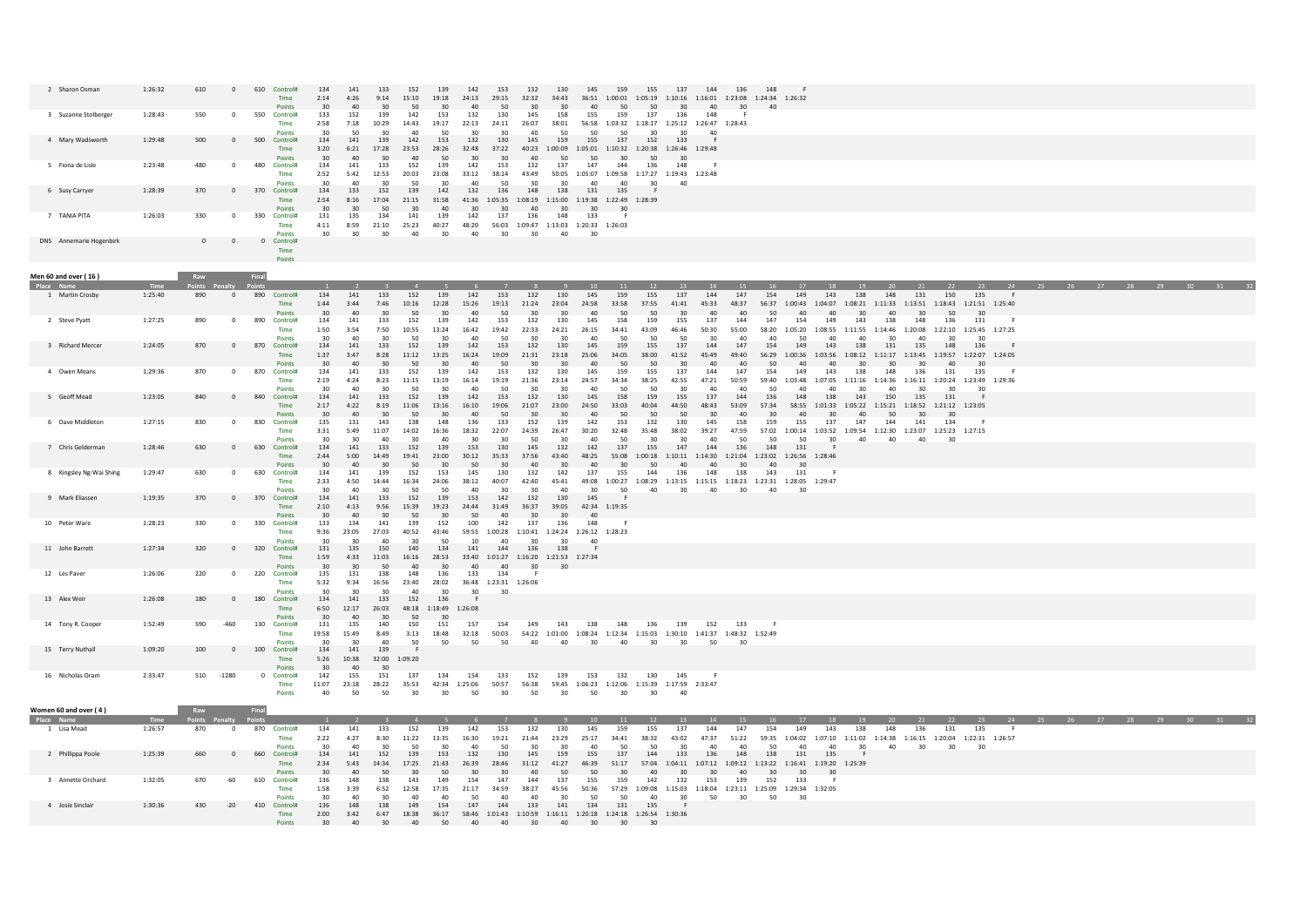| 2 Sharon Osman                    | 1:26:32 | 610          | $\Omega$                      |     | 610 Control#                                    | 134<br>2:14                    | 141<br>4:26                     | 133<br>9:14              | 152<br>15:10             | 139<br>19:18                    | 142<br>24:13                 | 153<br>29:15                           | 132<br>32:32                                                 | 130<br>34:43                    | 145<br>36:51                                               | 159<br>1:00:01               | 155<br>1:05:19                                                                   | 137<br>1:10:16 1:16:01 | 144                             | 136                           | 148<br>1:23:08 1:24:34 1:26:32               |                      |                                                                                               |                        |                                                                   |                        |                        |                              |    |  |  |                         |  |
|-----------------------------------|---------|--------------|-------------------------------|-----|-------------------------------------------------|--------------------------------|---------------------------------|--------------------------|--------------------------|---------------------------------|------------------------------|----------------------------------------|--------------------------------------------------------------|---------------------------------|------------------------------------------------------------|------------------------------|----------------------------------------------------------------------------------|------------------------|---------------------------------|-------------------------------|----------------------------------------------|----------------------|-----------------------------------------------------------------------------------------------|------------------------|-------------------------------------------------------------------|------------------------|------------------------|------------------------------|----|--|--|-------------------------|--|
| 3 Suzanne Stolberge               | 1:28:43 | 550          | $\overline{0}$                |     | Points<br>550 Control#<br>Time                  | 30 <sup>2</sup><br>133<br>2:58 | 40<br>152<br>7:18               | 30<br>139<br>10:29       | 50<br>142<br>14:43       | 30<br>153<br>19:17              | 40<br>132<br>22:13           | 50<br>130<br>24:11                     | 30 <sup>2</sup><br>145<br>26:07                              | 30<br>158<br>38:01              | 40<br>155<br>50                                            | 50<br>159                    | 50<br>137<br>56:58 1:03:32 1:18:17 1:25:12 1:26:47                               | 30 <sup>°</sup><br>136 | 40 <sup>2</sup><br>148          | 30<br>1:28:43                 | $\Delta \cap$                                |                      |                                                                                               |                        |                                                                   |                        |                        |                              |    |  |  |                         |  |
| 4 Mary Wadsworth                  | 1:29:48 | 500          | $\mathsf 0$                   | 500 | <b>Points</b><br>Control#<br>Time               | 30<br>134<br>3:20<br>30        | 50<br>141<br>6:21               | 30<br>139<br>17:28       | 40<br>142<br>23:53<br>40 | 50<br>153<br>28:26<br>50        | 30<br>132<br>32:48           | 30<br>130<br>37:22                     | 40<br>145                                                    | 50<br>159                       | 155<br>50                                                  | 50<br>137                    | 30<br>152<br>40:23 1:00:09 1:05:01 1:10:32 1:20:38 1:26:46 1:29:48<br>50         | 133<br>30              | 40                              |                               |                                              |                      |                                                                                               |                        |                                                                   |                        |                        |                              |    |  |  |                         |  |
| 5 Fiona de Lisle                  | 1:23:48 | 480          | $\Omega$                      | 480 | Points<br>Control#<br>Time                      | 134<br>2:52<br>30              | 40<br>141<br>5:42<br>40         | 30<br>133<br>12:53<br>30 | 152<br>20:03<br>50       | 139<br>23:08<br>30              | 30<br>142<br>33:12<br>40     | 30<br>153<br>38:14<br>50               | 40<br>132<br>43:49<br>30                                     | 50<br>137<br>30                 | 147<br>40                                                  | 30<br>144                    | 136<br>50:05 1:05:07 1:09:58 1:17:27 1:19:43 1:23:48<br>30                       | 148                    |                                 |                               |                                              |                      |                                                                                               |                        |                                                                   |                        |                        |                              |    |  |  |                         |  |
| 6 Susy Carryer                    | 1:28:39 | 370          | $\overline{0}$                |     | <b>Points</b><br>370 Control#<br>Time<br>Points | 134<br>2:54<br>$30^{\circ}$    | 133<br>8:16<br>$30^{\circ}$     | 152<br>17:04<br>50       | 139<br>21:15<br>30       | 142<br>31:58<br>40              | 132<br>41:36<br>$30^{\circ}$ | 136<br>1:05:35 1:08:19<br>$30^{\circ}$ | 148<br>40                                                    | 138<br>$30^{\circ}$             | 131<br>1:15:00  1:19:38  1:22:49  1:28:39<br>$30^{\circ}$  | 40<br>135<br>$30^{\circ}$    |                                                                                  | -40                    |                                 |                               |                                              |                      |                                                                                               |                        |                                                                   |                        |                        |                              |    |  |  |                         |  |
| 7 TANIA PITA                      | 1:26:03 | 330          | $\overline{0}$                | 330 | Control#<br>Time<br>Points                      | 131<br>4:11<br>30              | 135<br>8:59<br>30               | 134<br>21:10<br>30       | 141<br>25:23<br>40       | 139<br>40:27<br>30              | 142<br>48:20<br>40           | 137<br>30                              | 136<br>30                                                    | 148<br>40                       | 133<br>56:03 1:09:47 1:13:03 1:20:33 1:26:03<br>30         | - 6                          |                                                                                  |                        |                                 |                               |                                              |                      |                                                                                               |                        |                                                                   |                        |                        |                              |    |  |  |                         |  |
| DNS Annemarie Hogenbirk           |         | $\mathbf{0}$ | $\overline{0}$                |     | 0 Control#<br>Time<br>Points                    |                                |                                 |                          |                          |                                 |                              |                                        |                                                              |                                 |                                                            |                              |                                                                                  |                        |                                 |                               |                                              |                      |                                                                                               |                        |                                                                   |                        |                        |                              |    |  |  |                         |  |
| Men 60 and over (16)              |         | Raw          |                               |     |                                                 |                                |                                 |                          |                          |                                 |                              |                                        |                                                              |                                 |                                                            |                              |                                                                                  |                        |                                 |                               |                                              |                      |                                                                                               |                        |                                                                   |                        |                        |                              |    |  |  |                         |  |
|                                   |         |              |                               |     |                                                 |                                |                                 |                          |                          |                                 |                              |                                        |                                                              |                                 |                                                            |                              |                                                                                  |                        |                                 |                               |                                              |                      |                                                                                               |                        |                                                                   |                        |                        |                              |    |  |  | 25 26 27 28 29 30 31 32 |  |
| 1 Martin Crosby                   | 1:25:40 | 890          | $\overline{0}$                |     | 890 Control#<br>Time<br>Points                  | 134<br>1:44<br>$30^{\circ}$    | 141<br>3:44<br>40               | 133<br>7:46<br>30        | 152<br>10:16<br>50       | 139<br>12:28<br>30              | 142<br>15:26<br>40           | 153<br>19:13<br>50                     | 132<br>21:24<br>30                                           | 130<br>23:04<br>$30^{\circ}$    | 145<br>24:58<br>40                                         | 159<br>33:58<br>50           | 155<br>37:55<br>50                                                               | 137<br>41:41<br>30     | 144<br>45:33<br>40              | 147<br>48:37<br>40            | 154<br>50                                    | 149<br>40            | 143<br>56:37 1:00:43 1:04:07<br>40                                                            | 138<br>30              | 148<br>1:08:21  1:11:33  1:13:51  1:18:43  1:21:51  1:25:40<br>40 | 131<br>$30^{\circ}$    | 150<br>50              | 135<br>30                    |    |  |  |                         |  |
| 2 Steve Pyatt<br>3 Richard Mercer | 1:27:25 | 890<br>870   | $\mathbf 0$<br>$\overline{0}$ | 890 | Control#<br>Time<br>Points<br>870 Control#      | 134<br>1:50<br>30<br>134       | 141<br>3:54<br>40               | 133<br>7:50<br>30        | 152<br>10:55<br>50       | 139<br>13:24<br>30              | 142<br>16:42<br>40           | 153<br>19:42<br>50                     | 132<br>22:33<br>30                                           | 130<br>24:21<br>30<br>130       | 145<br>26:15<br>40                                         | 158<br>34:41<br>50<br>159    | 159<br>43:09<br>50<br>155                                                        | 155<br>46:46<br>50     | 137<br>50:30<br>30<br>144       | 144<br>55:00<br>40<br>147     | 147<br>40                                    | 154<br>50            | 149<br>58:20 1:05:20 1:08:55 1:11:55 1:14:46 1:20:08 1:22:10 1:25:45 1:27:25<br>40            | 143<br>40<br>138       | 138                                                               | 148<br>40              | 136<br>30<br>148       | 131<br>136                   |    |  |  |                         |  |
|                                   | 1:24:05 |              |                               |     | Time<br>Points                                  | 1:37<br>$30^{\circ}$           | 141<br>3:47<br>40               | 133<br>8:28<br>30        | 152<br>11:12<br>50       | 139<br>13:25<br>30              | 142<br>16:24<br>40           | 153<br>19:09<br>50                     | 132<br>21:31<br>30                                           | 23:18<br>30 <sub>o</sub>        | 145<br>25:06<br>40                                         | 34:05<br>50                  | 38:00<br>50                                                                      | 137<br>41:52<br>30     | 45:49<br>40                     | 49:40<br>40                   | 154<br>50                                    | 149<br>40            | 143<br>56:29 1:00:36 1:03:56<br>40                                                            | 1:08:12<br>30          | 131<br>1:11:17  1:13:45  1:19:57  1:22:07  1:24:05<br>30          | 135<br>30              | 40                     | $30^{\circ}$                 |    |  |  |                         |  |
| 4 Owen Means                      | 1:29:36 | 870          | $\overline{0}$                | 870 | Control#<br>Time<br><b>Points</b>               | 134<br>2:19<br>30              | 141<br>4:24<br>40               | 133<br>8:23<br>30        | 152<br>11:15<br>50       | 139<br>13:19<br>30              | 142<br>16:14<br>40           | 153<br>19:19<br>50                     | 132<br>21:36<br>30                                           | 130<br>23:14<br>30              | 145<br>24:57<br>40                                         | 159<br>34:34<br>50           | 155<br>38:25<br>50                                                               | 137<br>42:55<br>30     | 144<br>47:21<br>40              | 147<br>50:59<br>40            | 154<br>59:40<br>50                           | 149<br>1:03:48<br>40 | 143<br>1:07:05<br>40                                                                          | 138<br>1:11:16<br>30   | 148<br>1:14:36<br>40                                              | 136<br>1:16:11<br>30   | 131<br>1:20:24<br>30   | 135<br>1:23:49 1:29:36<br>30 |    |  |  |                         |  |
| 5 Geoff Mead                      | 1:23:05 | 840          | $\overline{0}$                |     | 840 Control#<br>Time<br><b>Points</b>           | 134<br>2:17<br>30 <sup>2</sup> | 141<br>4:22<br>40               | 133<br>8:19<br>30        | 152<br>11:06<br>50       | 139<br>13:16<br>30 <sup>2</sup> | 142<br>16:10<br>40           | 153<br>19:06<br>50                     | 132<br>21:07<br>30 <sup>2</sup>                              | 130<br>23:00<br>30 <sup>2</sup> | 145<br>24:50<br>40                                         | 158<br>33:03<br>50           | 159<br>40:04<br>50                                                               | 155<br>44:50<br>50     | 137<br>48:43<br>30              | 144<br>53:09<br>40            | 136<br>57:34<br>30 <sup>2</sup>              | 148<br>40            | 138<br>${\bf 58:55~~1:01:33~~1:05:22~~1:15:21~~1:18:52~~1:21:12~~1:23:05}$<br>30 <sup>2</sup> | 143<br>40 <sup>2</sup> | 150<br>50                                                         | 135<br>30 <sup>2</sup> | 131<br>30 <sup>2</sup> |                              |    |  |  |                         |  |
| 6 Dave Middleton                  | 1:27:15 | 830          | $\Omega$                      |     | 830 Control#<br>Time<br><b>Points</b>           | 135<br>3:31<br>30              | 131<br>5:49<br>30               | 143<br>11:07<br>40       | 138<br>14:02<br>30       | 148<br>16:36<br>40              | 136<br>18:32<br>30           | 133<br>22:07<br>30                     | 152<br>24:39<br>50                                           | 139<br>26:47<br>30              | 142<br>30:20<br>40 <sup>2</sup>                            | 153<br>32:48<br>50           | 132<br>35:48<br>30                                                               | 130<br>38:02<br>30     | 145<br>39:27<br>40 <sup>1</sup> | 158<br>47:59<br>50            | 159<br>50                                    | 155<br>50            | 137<br>57:02 1:00:14 1:03:52 1:09:54 1:12:30 1:23:07 1:25:23 1:27:15<br>30                    | 147<br>40              | 144<br>40                                                         | 141<br>40              | 134<br>30              |                              |    |  |  |                         |  |
| 7 Chris Gelderman                 | 1:28:46 | 630          | $\mathbf 0$                   |     | 630 Control#<br>Time<br>Points                  | 134<br>2:44<br>30 <sub>2</sub> | 141<br>5:00<br>40               | 133<br>14:49<br>30       | 152<br>19:41<br>50       | 139<br>23:00<br>$30^{\circ}$    | 153<br>30:12<br>50           | 130<br>35:33<br>30                     | 145<br>37:56<br>40                                           | 132<br>43:40<br>$30^{\circ}$    | 142<br>48:25<br>40                                         | 137<br>30                    | 155<br>55:08  1:00:18  1:10:11  1:14:30<br>50                                    | 147<br>40              | 144<br>40                       | 136<br>30                     | 148<br>1:21:04 1:23:02 1:26:56 1:28:46<br>40 | 131<br>$30^{\circ}$  |                                                                                               |                        |                                                                   |                        |                        |                              |    |  |  |                         |  |
| 8 Kingsley Ng-Wai Shing           | 1:29:47 | 630          | $\overline{0}$                | 630 | Control#<br>Time<br><b>Points</b>               | 134<br>2:33<br>30              | 141<br>4:50<br>40               | 139<br>14:44<br>30       | 152<br>16:34             | 153<br>24:06<br>50              | 145<br>38:12<br>40           | 130<br>40:07<br>30                     | 132<br>42:40<br>30                                           | 142<br>45:41<br>40              | 137<br>49:08<br>30                                         | 155<br>50                    | 144<br>1:00:27 1:08:29 1:13:15 1:15:15 1:18:23 1:23:31 1:28:05 1:29:47<br>40     | 136<br>30              | 148<br>40                       | 138<br>30                     | 143<br>40                                    | 131<br>30            |                                                                                               |                        |                                                                   |                        |                        |                              |    |  |  |                         |  |
| 9 Mark Eliassen                   | 1:19:35 | 370          | $\overline{0}$                |     | 370 Control#<br>Time<br>Points                  | 134<br>2:10<br>$30^{\circ}$    | 141<br>4:13<br>40               | 133<br>9:56<br>30        | 152<br>15:39<br>50       | 139<br>19:23<br>$30^{\circ}$    | 153<br>24:44<br>50           | 142<br>31:49<br>40                     | 132<br>36:37<br>$30^{\circ}$                                 | 130<br>39:05<br>$30^{\circ}$    | 145<br>42:34 1:19:35<br>40                                 |                              |                                                                                  |                        |                                 |                               |                                              |                      |                                                                                               |                        |                                                                   |                        |                        |                              |    |  |  |                         |  |
| 10 Peter Ware                     | 1:28:23 | 330          | $\overline{\mathbf{0}}$       | 330 | Control#<br>Time<br>Points                      | 133<br>9:36<br>30              | 134<br>23:05<br>30              | 141<br>27:03<br>40       | 139<br>40:52<br>30       | 152<br>43:46<br>50              | 100<br>10                    | 142<br>40                              | 137<br>30                                                    | 136<br>30                       | 148<br>59:55 1:00:28 1:10:41 1:24:24 1:26:12 1:28:23<br>40 |                              |                                                                                  |                        |                                 |                               |                                              |                      |                                                                                               |                        |                                                                   |                        |                        |                              |    |  |  |                         |  |
| 11 John Barrett                   | 1:27:34 | 320          | $\mathbf{0}$                  |     | 320 Control#<br>Time<br>Points                  | 131<br>1:59<br>$30^{\circ}$    | 135<br>4:33<br>30               | 150<br>11:03<br>50       | 140<br>16:16<br>40       | 134<br>28:53<br>$30^{\circ}$    | 141<br>40                    | 144<br>40                              | 136<br>33:40 1:01:27 1:16:20 1:21:53 1:27:34<br>$30^{\circ}$ | 138<br>30                       |                                                            |                              |                                                                                  |                        |                                 |                               |                                              |                      |                                                                                               |                        |                                                                   |                        |                        |                              |    |  |  |                         |  |
| 12 Les Paver                      | 1:26:06 | 220          | $\overline{0}$                |     | 220 Control#<br>Time<br><b>Points</b>           | 135<br>5:32                    | 131<br>9:34                     | 138<br>16:56             | 148<br>23:40             | 136<br>28:02<br>30              | 133<br>30                    | 134<br>36:48 1:23:31 1:26:06<br>30     |                                                              |                                 |                                                            |                              |                                                                                  |                        |                                 |                               |                                              |                      |                                                                                               |                        |                                                                   |                        |                        |                              |    |  |  |                         |  |
| 13 Alex Weir                      | 1:26:08 | 180          | $\overline{0}$                |     | 180 Control#<br>Time<br>Points                  | 134<br>6:50<br>30              | 141<br>12:17<br>40              | 133<br>26:03<br>30       | 152<br>48:18<br>50       | 136<br>1:18:49 1:26:08<br>30    |                              |                                        |                                                              |                                 |                                                            |                              |                                                                                  |                        |                                 |                               |                                              |                      |                                                                                               |                        |                                                                   |                        |                        |                              |    |  |  |                         |  |
| 14 Tony R. Cooper                 | 1:52:49 | 590          | $-460$                        |     | 130 Control#<br>Time<br><b>Dointe</b>           | 131<br>19:58<br>30             | 135<br>15:49<br>30 <sub>1</sub> | 140<br>8:49<br>40        | 150<br>3:13<br>50        | 151<br>18:48<br>50              | 157<br>32:18<br>50           | 154<br>50:03<br>50                     | 149<br>54:22 1:01:00<br>40                                   | 143<br>40 <sup>2</sup>          | 138<br>1:08:24<br>30 <sub>0</sub>                          | 148<br>40                    | 136<br>$1:12:34 \qquad 1:15:03 \qquad 1:30:10 \qquad 1:41:37$<br>30 <sup>2</sup> | 139<br>30 <sub>0</sub> | 152<br>50                       | 133<br>1:48:32  1:52:49<br>30 |                                              |                      |                                                                                               |                        |                                                                   |                        |                        |                              |    |  |  |                         |  |
| 15 Terry Nuthall                  | 1:09:20 | 100          | $\Omega$                      |     | 100 Control#<br>Time<br>Points                  | 134<br>5:26<br>30              | 141<br>10:38<br>40              | 139<br>32:00<br>30       | 1:09:20                  |                                 |                              |                                        |                                                              |                                 |                                                            |                              |                                                                                  |                        |                                 |                               |                                              |                      |                                                                                               |                        |                                                                   |                        |                        |                              |    |  |  |                         |  |
| 16 Nicholas Oram                  | 2:33:47 | 510          | $-1280$                       |     | 0 Control#<br>Time<br>Points                    | 142<br>11:07<br>40             | 155<br>23:18<br>50              | 151<br>28:22<br>50       | 137<br>35:53<br>30       | 134<br>42:34 1:25:06<br>$30 -$  | 154<br>50                    | 133<br>50:57<br>30                     | 152<br>56:38<br>50                                           | 139<br>30                       | 153<br>50                                                  | 132<br>30                    | 130<br>59:45  1:06:23  1:12:06  1:15:39  1:17:59  2:33:47<br>30                  | 145<br>40              |                                 |                               |                                              |                      |                                                                                               |                        |                                                                   |                        |                        |                              |    |  |  |                         |  |
| Women 60 and over (4)             |         | Raw          |                               |     |                                                 |                                |                                 |                          |                          |                                 |                              |                                        |                                                              |                                 |                                                            |                              |                                                                                  |                        |                                 |                               |                                              |                      |                                                                                               |                        |                                                                   |                        |                        |                              |    |  |  |                         |  |
|                                   |         |              |                               |     |                                                 | 134                            | 141                             |                          |                          | 139                             | 142                          |                                        |                                                              | 130                             | 145                                                        | 11<br>159                    | 155                                                                              | 13<br>137              | 144                             | 147                           | 154                                          | 149                  | 143                                                                                           | 138                    | 148                                                               | 21<br>136              | 22                     | 23<br>135                    | 24 |  |  |                         |  |
| 1 Lisa Mead                       | 1:26:57 | 870          | $\overline{\mathbf{0}}$       |     | 870 Control#<br>Time<br>Points                  | 2:22<br>٩n                     | 4:27<br>40                      | 133<br>8:30<br>30        | 152<br>11:22<br>50       | 13:35<br>20                     | 16:30<br>40                  | 153<br>19:21<br>50                     | 132<br>21:44<br>30                                           | 23:29<br>30                     | 25:17<br>40                                                | 34:41<br>50                  | 38:32<br>50                                                                      | 43:02<br>30            | 47:37<br>$40^{\circ}$           | 51:22<br>40                   | 50                                           | 40                   | 59:35 1:04:02 1:07:10 1:11:02 1:14:38 1:16:15 1:20:04 1:22:31 1:26:57<br>40                   | 30                     | 40                                                                | 30                     | 131<br>30              | 30                           |    |  |  |                         |  |
| 2 Phillippa Poole                 | 1:25:39 | 660          | $\mathbf{0}$                  |     | 660 Control#<br>Time<br>Points                  | 134<br>2:34<br>30 <sup>2</sup> | 141<br>5:43<br>40               | 152<br>14:34<br>50       | 139<br>17:25<br>30       | 153<br>21:43<br>50              | 132<br>26:39<br>30           | 130<br>28:46<br>30                     | 145<br>31:12<br>40                                           | 159<br>41:27<br>50              | 155<br>46:39<br>50                                         | 137<br>51:17<br>$30^{\circ}$ | 144<br>40                                                                        | 133<br>30              | 136<br>30 <sub>o</sub>          | 148<br>40                     | 138<br>30 <sup>°</sup>                       | 131<br>$30^{\circ}$  | 135<br>57:04  1:04:11  1:07:12  1:09:12  1:13:22  1:16:41  1:19:20  1:25:39<br>30             |                        |                                                                   |                        |                        |                              |    |  |  |                         |  |
| 3 Annette Orchard                 | 1:32:05 | 670          | $-60$                         |     | 610 Control#<br>Time<br><b>Points</b>           | 136<br>1:58<br>30              | 148<br>3:39<br>40               | 138<br>6:52<br>30        | 143<br>12:58             | 149<br>17:35<br>40              | 154<br>21:17<br>50           | 147<br>34:59<br>40                     | 144<br>38:27<br>40                                           | 137<br>45:56                    | 155<br>50:36<br>50                                         | 159<br>50                    | 142<br>57:29  1:09:08  1:15:03  1:18:04  1:23:11  1:25:09  1:29:34  1:32:05      | 132<br>30              | 153<br>50                       | 139<br>30                     | 152<br>50                                    | 133<br>30            |                                                                                               |                        |                                                                   |                        |                        |                              |    |  |  |                         |  |
| 4 Josie Sinclair                  | 1:30:36 | 430          | $-20$                         |     | 410 Control#<br>Time<br>Points                  | 136<br>2:00<br>30 <sub>2</sub> | 148<br>3:42<br>40               | 138<br>6:47<br>30        | 149<br>18:38<br>40       | 154<br>36:17<br>50              | 147<br>58:46 1:01:43<br>40   | 144<br>40                              | 133<br>1:10:59<br>30                                         | 141<br>40                       | 134<br>30 <sup>2</sup>                                     | 131<br>30                    | 135<br>1:16:11  1:20:18  1:24:18  1:26:54  1:30:36<br>30                         |                        |                                 |                               |                                              |                      |                                                                                               |                        |                                                                   |                        |                        |                              |    |  |  |                         |  |